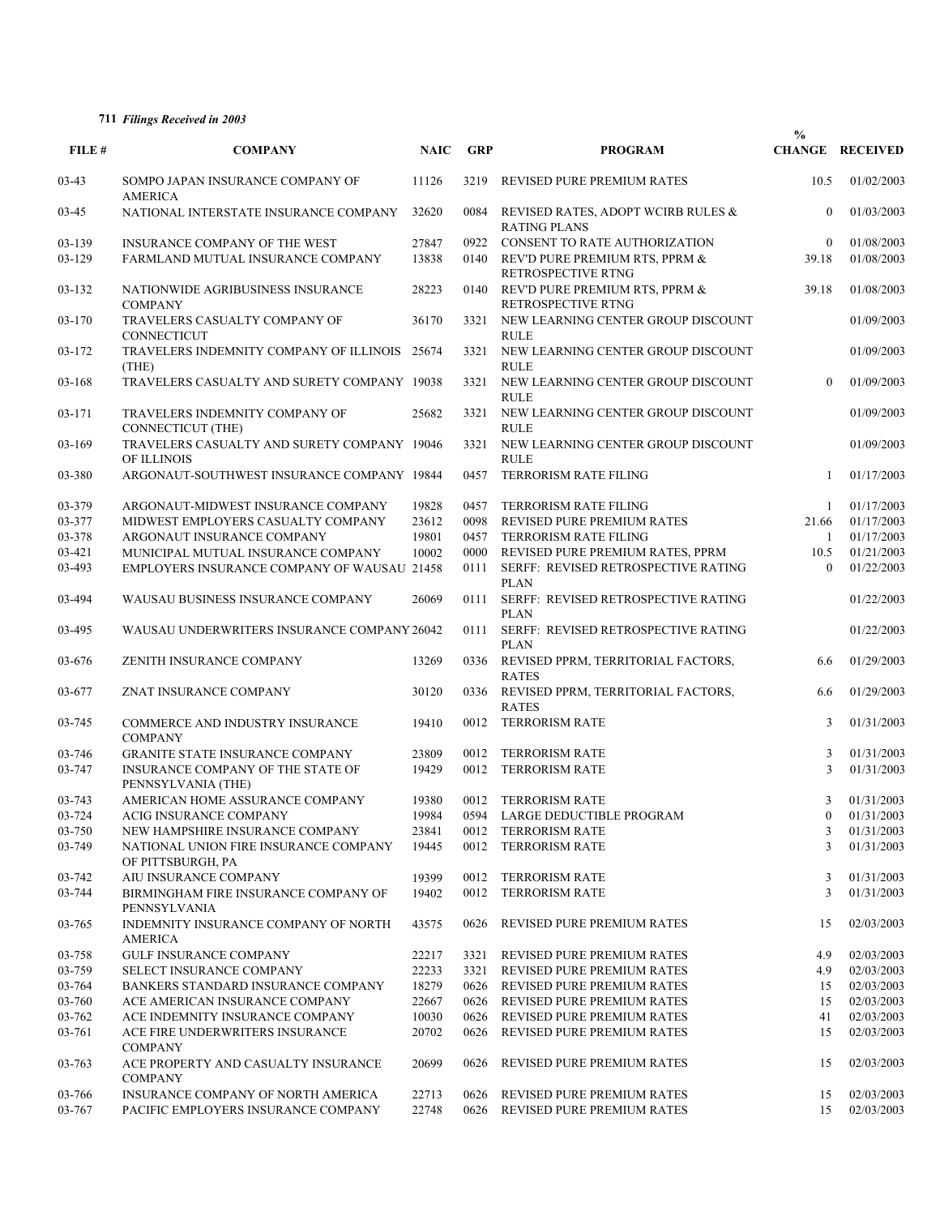## **711** *Filings Received in 2003*

| FILE#   | <b>COMPANY</b>                                             | <b>NAIC</b> | <b>GRP</b> | <b>PROGRAM</b>                                            | $\%$     | <b>CHANGE RECEIVED</b> |
|---------|------------------------------------------------------------|-------------|------------|-----------------------------------------------------------|----------|------------------------|
| $03-43$ | SOMPO JAPAN INSURANCE COMPANY OF                           | 11126       | 3219       | REVISED PURE PREMIUM RATES                                | 10.5     | 01/02/2003             |
| 03-45   | <b>AMERICA</b><br>NATIONAL INTERSTATE INSURANCE COMPANY    | 32620       | 0084       | REVISED RATES, ADOPT WCIRB RULES &<br><b>RATING PLANS</b> | $\theta$ | 01/03/2003             |
| 03-139  | INSURANCE COMPANY OF THE WEST                              | 27847       |            | 0922 CONSENT TO RATE AUTHORIZATION                        | $\theta$ | 01/08/2003             |
| 03-129  | FARMLAND MUTUAL INSURANCE COMPANY                          | 13838       | 0140       | REV'D PURE PREMIUM RTS, PPRM &<br>RETROSPECTIVE RTNG      | 39.18    | 01/08/2003             |
| 03-132  | NATIONWIDE AGRIBUSINESS INSURANCE<br><b>COMPANY</b>        | 28223       | 0140       | REV'D PURE PREMIUM RTS, PPRM &<br>RETROSPECTIVE RTNG      | 39.18    | 01/08/2003             |
| 03-170  | TRAVELERS CASUALTY COMPANY OF<br>CONNECTICUT               | 36170       | 3321       | NEW LEARNING CENTER GROUP DISCOUNT<br><b>RULE</b>         |          | 01/09/2003             |
| 03-172  | TRAVELERS INDEMNITY COMPANY OF ILLINOIS 25674<br>(THE)     |             |            | 3321 NEW LEARNING CENTER GROUP DISCOUNT<br><b>RULE</b>    |          | 01/09/2003             |
| 03-168  | TRAVELERS CASUALTY AND SURETY COMPANY 19038                |             | 3321       | NEW LEARNING CENTER GROUP DISCOUNT<br><b>RULE</b>         | $\theta$ | 01/09/2003             |
| 03-171  | TRAVELERS INDEMNITY COMPANY OF<br><b>CONNECTICUT (THE)</b> | 25682       | 3321       | NEW LEARNING CENTER GROUP DISCOUNT<br><b>RULE</b>         |          | 01/09/2003             |
| 03-169  | TRAVELERS CASUALTY AND SURETY COMPANY 19046<br>OF ILLINOIS |             |            | 3321 NEW LEARNING CENTER GROUP DISCOUNT<br><b>RULE</b>    |          | 01/09/2003             |
| 03-380  | ARGONAUT-SOUTHWEST INSURANCE COMPANY 19844                 |             | 0457       | <b>TERRORISM RATE FILING</b>                              | 1        | 01/17/2003             |
| 03-379  | ARGONAUT-MIDWEST INSURANCE COMPANY                         | 19828       | 0457       | <b>TERRORISM RATE FILING</b>                              | 1        | 01/17/2003             |
| 03-377  | MIDWEST EMPLOYERS CASUALTY COMPANY                         | 23612       | 0098       | <b>REVISED PURE PREMIUM RATES</b>                         | 21.66    | 01/17/2003             |
| 03-378  | ARGONAUT INSURANCE COMPANY                                 | 19801       | 0457       | TERRORISM RATE FILING                                     | 1        | 01/17/2003             |
| 03-421  | MUNICIPAL MUTUAL INSURANCE COMPANY                         | 10002       | 0000       | REVISED PURE PREMIUM RATES, PPRM                          | 10.5     | 01/21/2003             |
| 03-493  | <b>EMPLOYERS INSURANCE COMPANY OF WAUSAU 21458</b>         |             | 0111       | SERFF: REVISED RETROSPECTIVE RATING<br><b>PLAN</b>        | $\theta$ | 01/22/2003             |
| 03-494  | WAUSAU BUSINESS INSURANCE COMPANY                          | 26069       | 0111       | SERFF: REVISED RETROSPECTIVE RATING<br><b>PLAN</b>        |          | 01/22/2003             |
| 03-495  | WAUSAU UNDERWRITERS INSURANCE COMPANY 26042                |             | 0111       | SERFF: REVISED RETROSPECTIVE RATING<br><b>PLAN</b>        |          | 01/22/2003             |
| 03-676  | ZENITH INSURANCE COMPANY                                   | 13269       | 0336       | REVISED PPRM, TERRITORIAL FACTORS,<br><b>RATES</b>        | 6.6      | 01/29/2003             |
| 03-677  | ZNAT INSURANCE COMPANY                                     | 30120       | 0336       | REVISED PPRM, TERRITORIAL FACTORS,<br><b>RATES</b>        | 6.6      | 01/29/2003             |
| 03-745  | COMMERCE AND INDUSTRY INSURANCE<br><b>COMPANY</b>          | 19410       | 0012       | <b>TERRORISM RATE</b>                                     | 3        | 01/31/2003             |
| 03-746  | <b>GRANITE STATE INSURANCE COMPANY</b>                     | 23809       | 0012       | <b>TERRORISM RATE</b>                                     | 3        | 01/31/2003             |
| 03-747  | INSURANCE COMPANY OF THE STATE OF<br>PENNSYLVANIA (THE)    | 19429       | 0012       | <b>TERRORISM RATE</b>                                     | 3        | 01/31/2003             |
| 03-743  | AMERICAN HOME ASSURANCE COMPANY                            | 19380       |            | 0012 TERRORISM RATE                                       | 3        | 01/31/2003             |
| 03-724  | ACIG INSURANCE COMPANY                                     | 19984       | 0594       | LARGE DEDUCTIBLE PROGRAM                                  | $\bf{0}$ | 01/31/2003             |
| 03-750  | NEW HAMPSHIRE INSURANCE COMPANY                            | 23841       | 0012       | <b>TERRORISM RATE</b>                                     | 3        | 01/31/2003             |
| 03-749  | NATIONAL UNION FIRE INSURANCE COMPANY<br>OF PITTSBURGH, PA | 19445       | 0012       | <b>TERRORISM RATE</b>                                     | 3        | 01/31/2003             |
| 03-742  | AIU INSURANCE COMPANY                                      | 19399       | 0012       | <b>TERRORISM RATE</b>                                     | 3        | 01/31/2003             |
| 03-744  | BIRMINGHAM FIRE INSURANCE COMPANY OF<br>PENNSYLVANIA       | 19402       | 0012       | <b>TERRORISM RATE</b>                                     | 3        | 01/31/2003             |
| 03-765  | INDEMNITY INSURANCE COMPANY OF NORTH<br><b>AMERICA</b>     | 43575       | 0626       | REVISED PURE PREMIUM RATES                                | 15       | 02/03/2003             |
| 03-758  | <b>GULF INSURANCE COMPANY</b>                              | 22217       | 3321       | REVISED PURE PREMIUM RATES                                | 4.9      | 02/03/2003             |
| 03-759  | <b>SELECT INSURANCE COMPANY</b>                            | 22233       | 3321       | REVISED PURE PREMIUM RATES                                | 4.9      | 02/03/2003             |
| 03-764  | BANKERS STANDARD INSURANCE COMPANY                         | 18279       | 0626       | REVISED PURE PREMIUM RATES                                | 15       | 02/03/2003             |
| 03-760  | ACE AMERICAN INSURANCE COMPANY                             | 22667       | 0626       | REVISED PURE PREMIUM RATES                                | 15       | 02/03/2003             |
| 03-762  | ACE INDEMNITY INSURANCE COMPANY                            | 10030       | 0626       | REVISED PURE PREMIUM RATES                                | 41       | 02/03/2003             |
| 03-761  | ACE FIRE UNDERWRITERS INSURANCE<br><b>COMPANY</b>          | 20702       | 0626       | REVISED PURE PREMIUM RATES                                | 15       | 02/03/2003             |
| 03-763  | ACE PROPERTY AND CASUALTY INSURANCE<br><b>COMPANY</b>      | 20699       | 0626       | REVISED PURE PREMIUM RATES                                | 15       | 02/03/2003             |
| 03-766  | INSURANCE COMPANY OF NORTH AMERICA                         | 22713       | 0626       | REVISED PURE PREMIUM RATES                                | 15       | 02/03/2003             |
| 03-767  | PACIFIC EMPLOYERS INSURANCE COMPANY                        | 22748       | 0626       | REVISED PURE PREMIUM RATES                                | 15       | 02/03/2003             |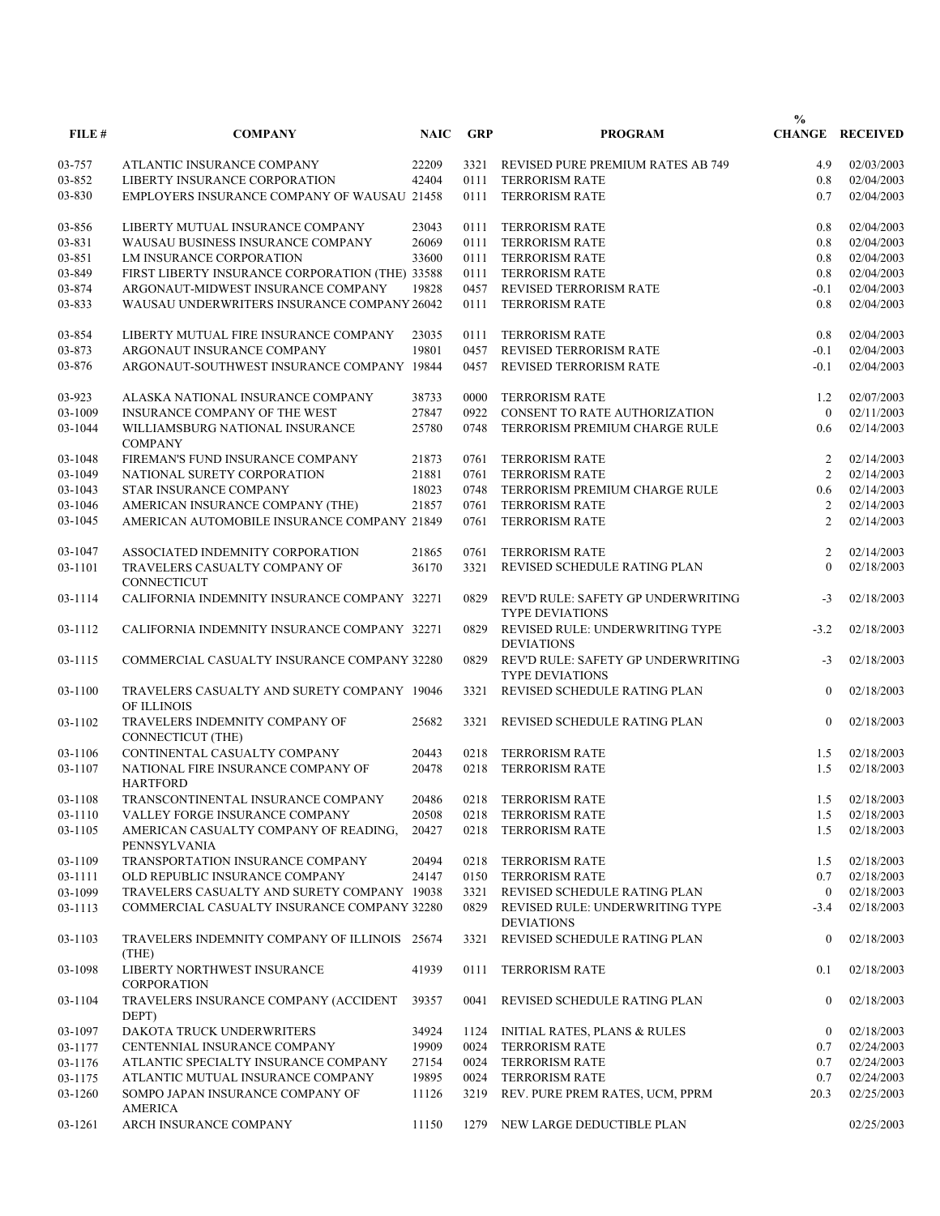|         |                                                            |             |            |                                                              | $\frac{0}{0}$  |                        |
|---------|------------------------------------------------------------|-------------|------------|--------------------------------------------------------------|----------------|------------------------|
| FILE#   | <b>COMPANY</b>                                             | <b>NAIC</b> | <b>GRP</b> | <b>PROGRAM</b>                                               |                | <b>CHANGE RECEIVED</b> |
| 03-757  | ATLANTIC INSURANCE COMPANY                                 | 22209       |            | 3321 REVISED PURE PREMIUM RATES AB 749                       | 4.9            | 02/03/2003             |
| 03-852  | LIBERTY INSURANCE CORPORATION                              | 42404       | 0111       | <b>TERRORISM RATE</b>                                        | 0.8            | 02/04/2003             |
| 03-830  | <b>EMPLOYERS INSURANCE COMPANY OF WAUSAU 21458</b>         |             | 0111       | <b>TERRORISM RATE</b>                                        | 0.7            | 02/04/2003             |
| 03-856  | LIBERTY MUTUAL INSURANCE COMPANY                           | 23043       | 0111       | <b>TERRORISM RATE</b>                                        | 0.8            | 02/04/2003             |
| 03-831  | WAUSAU BUSINESS INSURANCE COMPANY                          | 26069       | 0111       | <b>TERRORISM RATE</b>                                        | 0.8            | 02/04/2003             |
| 03-851  | LM INSURANCE CORPORATION                                   | 33600       | 0111       | <b>TERRORISM RATE</b>                                        | 0.8            | 02/04/2003             |
| 03-849  | FIRST LIBERTY INSURANCE CORPORATION (THE) 33588            |             | 0111       | <b>TERRORISM RATE</b>                                        | 0.8            | 02/04/2003             |
| 03-874  | ARGONAUT-MIDWEST INSURANCE COMPANY                         | 19828       | 0457       | REVISED TERRORISM RATE                                       | $-0.1$         | 02/04/2003             |
| 03-833  | WAUSAU UNDERWRITERS INSURANCE COMPANY 26042                |             | 0111       | <b>TERRORISM RATE</b>                                        | 0.8            | 02/04/2003             |
| 03-854  | LIBERTY MUTUAL FIRE INSURANCE COMPANY                      | 23035       | 0111       | <b>TERRORISM RATE</b>                                        | 0.8            | 02/04/2003             |
| 03-873  | ARGONAUT INSURANCE COMPANY                                 | 19801       | 0457       | REVISED TERRORISM RATE                                       | $-0.1$         | 02/04/2003             |
| 03-876  | ARGONAUT-SOUTHWEST INSURANCE COMPANY 19844                 |             | 0457       | REVISED TERRORISM RATE                                       | $-0.1$         | 02/04/2003             |
| 03-923  | ALASKA NATIONAL INSURANCE COMPANY                          | 38733       | 0000       | <b>TERRORISM RATE</b>                                        | 1.2            | 02/07/2003             |
| 03-1009 | <b>INSURANCE COMPANY OF THE WEST</b>                       | 27847       | 0922       | CONSENT TO RATE AUTHORIZATION                                | $\theta$       | 02/11/2003             |
| 03-1044 | WILLIAMSBURG NATIONAL INSURANCE<br><b>COMPANY</b>          | 25780       | 0748       | TERRORISM PREMIUM CHARGE RULE                                | 0.6            | 02/14/2003             |
| 03-1048 | FIREMAN'S FUND INSURANCE COMPANY                           | 21873       | 0761       | <b>TERRORISM RATE</b>                                        | 2              | 02/14/2003             |
| 03-1049 | NATIONAL SURETY CORPORATION                                | 21881       | 0761       | <b>TERRORISM RATE</b>                                        | $\overline{2}$ | 02/14/2003             |
| 03-1043 | STAR INSURANCE COMPANY                                     | 18023       | 0748       | TERRORISM PREMIUM CHARGE RULE                                | 0.6            | 02/14/2003             |
| 03-1046 | AMERICAN INSURANCE COMPANY (THE)                           | 21857       | 0761       | <b>TERRORISM RATE</b>                                        | $\overline{2}$ | 02/14/2003             |
| 03-1045 | AMERICAN AUTOMOBILE INSURANCE COMPANY 21849                |             | 0761       | <b>TERRORISM RATE</b>                                        | $\overline{2}$ | 02/14/2003             |
| 03-1047 | ASSOCIATED INDEMNITY CORPORATION                           | 21865       | 0761       | <b>TERRORISM RATE</b>                                        | 2              | 02/14/2003             |
| 03-1101 | TRAVELERS CASUALTY COMPANY OF<br>CONNECTICUT               | 36170       | 3321       | REVISED SCHEDULE RATING PLAN                                 | $\theta$       | 02/18/2003             |
| 03-1114 | CALIFORNIA INDEMNITY INSURANCE COMPANY 32271               |             | 0829       | REV'D RULE: SAFETY GP UNDERWRITING<br><b>TYPE DEVIATIONS</b> | $-3$           | 02/18/2003             |
| 03-1112 | CALIFORNIA INDEMNITY INSURANCE COMPANY 32271               |             | 0829       | REVISED RULE: UNDERWRITING TYPE<br><b>DEVIATIONS</b>         | $-3.2$         | 02/18/2003             |
| 03-1115 | COMMERCIAL CASUALTY INSURANCE COMPANY 32280                |             | 0829       | REV'D RULE: SAFETY GP UNDERWRITING<br><b>TYPE DEVIATIONS</b> | $-3$           | 02/18/2003             |
| 03-1100 | TRAVELERS CASUALTY AND SURETY COMPANY 19046<br>OF ILLINOIS |             | 3321       | REVISED SCHEDULE RATING PLAN                                 | $\Omega$       | 02/18/2003             |
| 03-1102 | TRAVELERS INDEMNITY COMPANY OF<br><b>CONNECTICUT (THE)</b> | 25682       | 3321       | REVISED SCHEDULE RATING PLAN                                 | $\theta$       | 02/18/2003             |
| 03-1106 | CONTINENTAL CASUALTY COMPANY                               | 20443       | 0218       | <b>TERRORISM RATE</b>                                        | 1.5            | 02/18/2003             |
| 03-1107 | NATIONAL FIRE INSURANCE COMPANY OF                         | 20478       | 0218       | <b>TERRORISM RATE</b>                                        | 1.5            | 02/18/2003             |
|         | <b>HARTFORD</b>                                            |             |            |                                                              |                |                        |
| 03-1108 | TRANSCONTINENTAL INSURANCE COMPANY                         | 20486       |            | 0218 TERRORISM RATE                                          |                | 1.5 02/18/2003         |
| 03-1110 | VALLEY FORGE INSURANCE COMPANY                             | 20508       | 0218       | TERRORISM RATE                                               | 1.5            | 02/18/2003             |
| 03-1105 | AMERICAN CASUALTY COMPANY OF READING,<br>PENNSYLVANIA      | 20427       | 0218       | <b>TERRORISM RATE</b>                                        | 1.5            | 02/18/2003             |
| 03-1109 | TRANSPORTATION INSURANCE COMPANY                           | 20494       | 0218       | TERRORISM RATE                                               | 1.5            | 02/18/2003             |
| 03-1111 | OLD REPUBLIC INSURANCE COMPANY                             | 24147       | 0150       | TERRORISM RATE                                               | 0.7            | 02/18/2003             |
| 03-1099 | TRAVELERS CASUALTY AND SURETY COMPANY 19038                |             |            | 3321 REVISED SCHEDULE RATING PLAN                            | $\overline{0}$ | 02/18/2003             |
| 03-1113 | COMMERCIAL CASUALTY INSURANCE COMPANY 32280                |             |            | 0829 REVISED RULE: UNDERWRITING TYPE<br><b>DEVIATIONS</b>    | $-3.4$         | 02/18/2003             |
| 03-1103 | TRAVELERS INDEMNITY COMPANY OF ILLINOIS 25674<br>(THE)     |             | 3321       | REVISED SCHEDULE RATING PLAN                                 | $\mathbf{0}$   | 02/18/2003             |
| 03-1098 | LIBERTY NORTHWEST INSURANCE<br><b>CORPORATION</b>          | 41939       | 0111       | <b>TERRORISM RATE</b>                                        | 0.1            | 02/18/2003             |
| 03-1104 | TRAVELERS INSURANCE COMPANY (ACCIDENT<br>DEPT)             | 39357       | 0041       | REVISED SCHEDULE RATING PLAN                                 | $\mathbf{0}$   | 02/18/2003             |
| 03-1097 | DAKOTA TRUCK UNDERWRITERS                                  | 34924       |            | 1124 INITIAL RATES, PLANS & RULES                            | $\mathbf{0}$   | 02/18/2003             |
| 03-1177 | CENTENNIAL INSURANCE COMPANY                               | 19909       |            | 0024 TERRORISM RATE                                          | 0.7            | 02/24/2003             |
| 03-1176 | ATLANTIC SPECIALTY INSURANCE COMPANY                       | 27154       | 0024       | <b>TERRORISM RATE</b>                                        | 0.7            | 02/24/2003             |
| 03-1175 | ATLANTIC MUTUAL INSURANCE COMPANY                          | 19895       |            | 0024 TERRORISM RATE                                          | 0.7            | 02/24/2003             |
| 03-1260 | SOMPO JAPAN INSURANCE COMPANY OF                           | 11126       |            | 3219 REV. PURE PREM RATES, UCM, PPRM                         | 20.3           | 02/25/2003             |
| 03-1261 | AMERICA<br>ARCH INSURANCE COMPANY                          | 11150       | 1279       | NEW LARGE DEDUCTIBLE PLAN                                    |                | 02/25/2003             |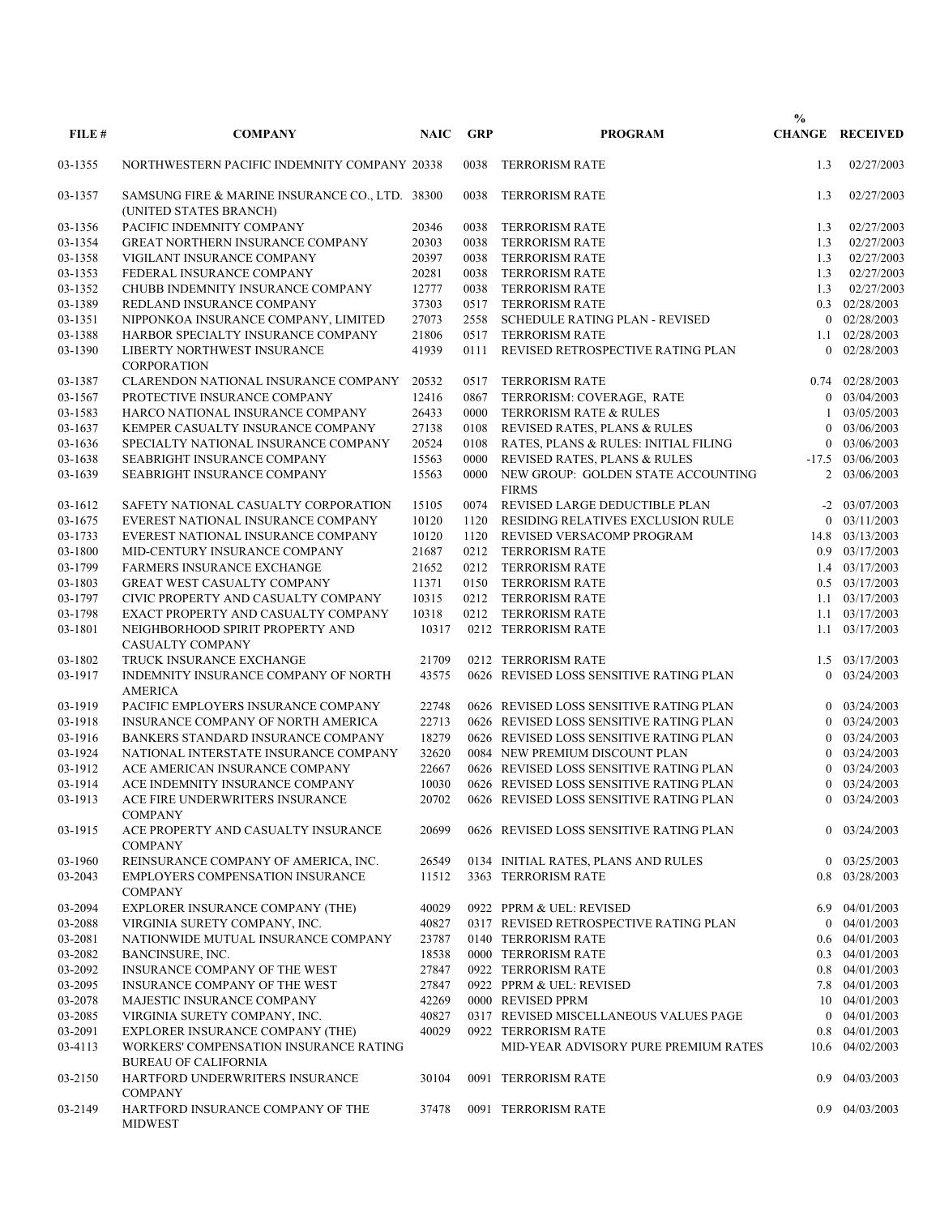| FILE #             | <b>COMPANY</b>                                                             | <b>NAIC</b>    | <b>GRP</b>   | <b>PROGRAM</b>                                             | $\frac{0}{0}$        | <b>CHANGE RECEIVED</b>             |
|--------------------|----------------------------------------------------------------------------|----------------|--------------|------------------------------------------------------------|----------------------|------------------------------------|
|                    |                                                                            |                |              |                                                            |                      |                                    |
| 03-1355            | NORTHWESTERN PACIFIC INDEMNITY COMPANY 20338                               |                | 0038         | <b>TERRORISM RATE</b>                                      | 1.3                  | 02/27/2003                         |
| 03-1357            | SAMSUNG FIRE & MARINE INSURANCE CO., LTD. 38300<br>(UNITED STATES BRANCH)  |                | 0038         | <b>TERRORISM RATE</b>                                      | 1.3                  | 02/27/2003                         |
| 03-1356            | PACIFIC INDEMNITY COMPANY                                                  | 20346          | 0038         | <b>TERRORISM RATE</b>                                      | 1.3                  | 02/27/2003                         |
| 03-1354            | <b>GREAT NORTHERN INSURANCE COMPANY</b>                                    | 20303          | 0038         | <b>TERRORISM RATE</b>                                      | 1.3                  | 02/27/2003                         |
| 03-1358            | VIGILANT INSURANCE COMPANY                                                 | 20397          | 0038         | <b>TERRORISM RATE</b>                                      | 1.3                  | 02/27/2003                         |
| 03-1353            | FEDERAL INSURANCE COMPANY                                                  | 20281          | 0038         | <b>TERRORISM RATE</b>                                      | 1.3                  | 02/27/2003                         |
| 03-1352            | CHUBB INDEMNITY INSURANCE COMPANY                                          | 12777          | 0038         | <b>TERRORISM RATE</b>                                      | 1.3                  | 02/27/2003                         |
| 03-1389            | REDLAND INSURANCE COMPANY                                                  | 37303          | 0517         | <b>TERRORISM RATE</b>                                      |                      | 0.3 02/28/2003                     |
| 03-1351            | NIPPONKOA INSURANCE COMPANY, LIMITED                                       | 27073          | 2558         | SCHEDULE RATING PLAN - REVISED                             | $\theta$             | 02/28/2003                         |
| 03-1388            | HARBOR SPECIALTY INSURANCE COMPANY                                         | 21806          | 0517         | <b>TERRORISM RATE</b>                                      |                      | 1.1 02/28/2003                     |
| 03-1390            | LIBERTY NORTHWEST INSURANCE<br><b>CORPORATION</b>                          | 41939          | 0111         | REVISED RETROSPECTIVE RATING PLAN                          | $\overline{0}$       | 02/28/2003                         |
| 03-1387            | CLARENDON NATIONAL INSURANCE COMPANY                                       | 20532          | 0517         | <b>TERRORISM RATE</b>                                      |                      | 0.74 02/28/2003                    |
| 03-1567            | PROTECTIVE INSURANCE COMPANY                                               | 12416          | 0867         | TERRORISM: COVERAGE, RATE                                  | $\overline{0}$       | 03/04/2003                         |
| 03-1583            | HARCO NATIONAL INSURANCE COMPANY                                           | 26433          | 0000         | TERRORISM RATE & RULES                                     |                      | 03/05/2003                         |
| 03-1637            | KEMPER CASUALTY INSURANCE COMPANY                                          | 27138          | 0108         | REVISED RATES, PLANS & RULES                               | $\theta$             | 03/06/2003                         |
| 03-1636            | SPECIALTY NATIONAL INSURANCE COMPANY                                       | 20524          | 0108         | RATES, PLANS & RULES: INITIAL FILING                       | 0                    | 03/06/2003                         |
| 03-1638            | SEABRIGHT INSURANCE COMPANY                                                | 15563          | 0000         | REVISED RATES, PLANS & RULES                               | $-17.5$              | 03/06/2003                         |
| 03-1639            | SEABRIGHT INSURANCE COMPANY                                                | 15563          | 0000         | NEW GROUP: GOLDEN STATE ACCOUNTING<br><b>FIRMS</b>         | $\overline{2}$       | 03/06/2003                         |
| 03-1612            | SAFETY NATIONAL CASUALTY CORPORATION                                       | 15105          | 0074         | REVISED LARGE DEDUCTIBLE PLAN                              |                      | $-2$ 03/07/2003                    |
| 03-1675            | EVEREST NATIONAL INSURANCE COMPANY                                         | 10120          | 1120         | RESIDING RELATIVES EXCLUSION RULE                          | $\mathbf{0}$         | 03/11/2003                         |
| 03-1733            | EVEREST NATIONAL INSURANCE COMPANY                                         | 10120          | 1120         | REVISED VERSACOMP PROGRAM                                  |                      | 14.8 03/13/2003                    |
| 03-1800            | MID-CENTURY INSURANCE COMPANY                                              | 21687          | 0212         | TERRORISM RATE                                             |                      | 0.9 03/17/2003                     |
| 03-1799            | <b>FARMERS INSURANCE EXCHANGE</b>                                          | 21652          | 0212         | <b>TERRORISM RATE</b>                                      |                      | 1.4 03/17/2003                     |
| 03-1803            | GREAT WEST CASUALTY COMPANY                                                | 11371          | 0150         | <b>TERRORISM RATE</b>                                      |                      | $0.5$ $03/17/2003$                 |
| 03-1797<br>03-1798 | CIVIC PROPERTY AND CASUALTY COMPANY<br>EXACT PROPERTY AND CASUALTY COMPANY | 10315<br>10318 | 0212<br>0212 | <b>TERRORISM RATE</b><br><b>TERRORISM RATE</b>             |                      | 1.1 03/17/2003<br>1.1 03/17/2003   |
| 03-1801            | NEIGHBORHOOD SPIRIT PROPERTY AND                                           | 10317          |              | 0212 TERRORISM RATE                                        |                      | 1.1 03/17/2003                     |
| 03-1802            | CASUALTY COMPANY<br>TRUCK INSURANCE EXCHANGE                               | 21709          |              | 0212 TERRORISM RATE                                        | 1.5                  | 03/17/2003                         |
| 03-1917            | INDEMNITY INSURANCE COMPANY OF NORTH                                       | 43575          |              | 0626 REVISED LOSS SENSITIVE RATING PLAN                    | $\theta$             | 03/24/2003                         |
|                    | <b>AMERICA</b>                                                             |                |              | 0626 REVISED LOSS SENSITIVE RATING PLAN                    |                      |                                    |
| 03-1919<br>03-1918 | PACIFIC EMPLOYERS INSURANCE COMPANY<br>INSURANCE COMPANY OF NORTH AMERICA  | 22748<br>22713 |              | 0626 REVISED LOSS SENSITIVE RATING PLAN                    | $\theta$<br>$\theta$ | 03/24/2003<br>03/24/2003           |
| 03-1916            | BANKERS STANDARD INSURANCE COMPANY                                         | 18279          |              | 0626 REVISED LOSS SENSITIVE RATING PLAN                    | $\theta$             | 03/24/2003                         |
| 03-1924            | NATIONAL INTERSTATE INSURANCE COMPANY                                      | 32620          |              | 0084 NEW PREMIUM DISCOUNT PLAN                             | $\theta$             | 03/24/2003                         |
| 03-1912            | ACE AMERICAN INSURANCE COMPANY                                             | 22667          |              | 0626 REVISED LOSS SENSITIVE RATING PLAN                    | $\theta$             | 03/24/2003                         |
| 03-1914            | ACE INDEMNITY INSURANCE COMPANY                                            | 10030          |              | 0626 REVISED LOSS SENSITIVE RATING PLAN                    | $\mathbf{0}$         | 03/24/2003                         |
| 03-1913            | ACE FIRE UNDERWRITERS INSURANCE                                            | 20702          |              | 0626 REVISED LOSS SENSITIVE RATING PLAN                    | $\mathbf{0}$         | 03/24/2003                         |
| 03-1915            | <b>COMPANY</b><br>ACE PROPERTY AND CASUALTY INSURANCE                      | 20699          |              | 0626 REVISED LOSS SENSITIVE RATING PLAN                    |                      | $0$ 03/24/2003                     |
| 03-1960            | <b>COMPANY</b><br>REINSURANCE COMPANY OF AMERICA, INC.                     | 26549          |              |                                                            |                      | $0$ 03/25/2003                     |
| 03-2043            | <b>EMPLOYERS COMPENSATION INSURANCE</b>                                    | 11512          |              | 0134 INITIAL RATES, PLANS AND RULES<br>3363 TERRORISM RATE |                      | 0.8 03/28/2003                     |
|                    | <b>COMPANY</b>                                                             |                |              |                                                            |                      |                                    |
| 03-2094            | EXPLORER INSURANCE COMPANY (THE)                                           | 40029          |              | 0922 PPRM & UEL: REVISED                                   | 6.9                  | 04/01/2003                         |
| 03-2088            | VIRGINIA SURETY COMPANY, INC.                                              | 40827          |              | 0317 REVISED RETROSPECTIVE RATING PLAN                     | $\mathbf{0}$         | 04/01/2003                         |
| 03-2081<br>03-2082 | NATIONWIDE MUTUAL INSURANCE COMPANY                                        | 23787<br>18538 |              | 0140 TERRORISM RATE<br>0000 TERRORISM RATE                 |                      | 0.6 04/01/2003<br>$0.3$ 04/01/2003 |
| 03-2092            | BANCINSURE, INC.<br>INSURANCE COMPANY OF THE WEST                          | 27847          |              | 0922 TERRORISM RATE                                        |                      | 0.8 04/01/2003                     |
| 03-2095            | INSURANCE COMPANY OF THE WEST                                              | 27847          |              | 0922 PPRM & UEL: REVISED                                   |                      | 7.8 04/01/2003                     |
| 03-2078            | MAJESTIC INSURANCE COMPANY                                                 | 42269          |              | 0000 REVISED PPRM                                          |                      | 10 04/01/2003                      |
| 03-2085            | VIRGINIA SURETY COMPANY, INC.                                              | 40827          |              | 0317 REVISED MISCELLANEOUS VALUES PAGE                     | $\overline{0}$       | 04/01/2003                         |
| 03-2091            | EXPLORER INSURANCE COMPANY (THE)                                           | 40029          |              | 0922 TERRORISM RATE                                        |                      | 0.8 04/01/2003                     |
| 03-4113            | WORKERS' COMPENSATION INSURANCE RATING                                     |                |              | MID-YEAR ADVISORY PURE PREMIUM RATES                       |                      | 10.6 04/02/2003                    |
| 03-2150            | <b>BUREAU OF CALIFORNIA</b><br>HARTFORD UNDERWRITERS INSURANCE             | 30104          |              | 0091 TERRORISM RATE                                        | 0.9                  | 04/03/2003                         |
|                    | <b>COMPANY</b>                                                             |                |              |                                                            | 0.9                  |                                    |
| 03-2149            | HARTFORD INSURANCE COMPANY OF THE<br><b>MIDWEST</b>                        | 37478          |              | 0091 TERRORISM RATE                                        |                      | 04/03/2003                         |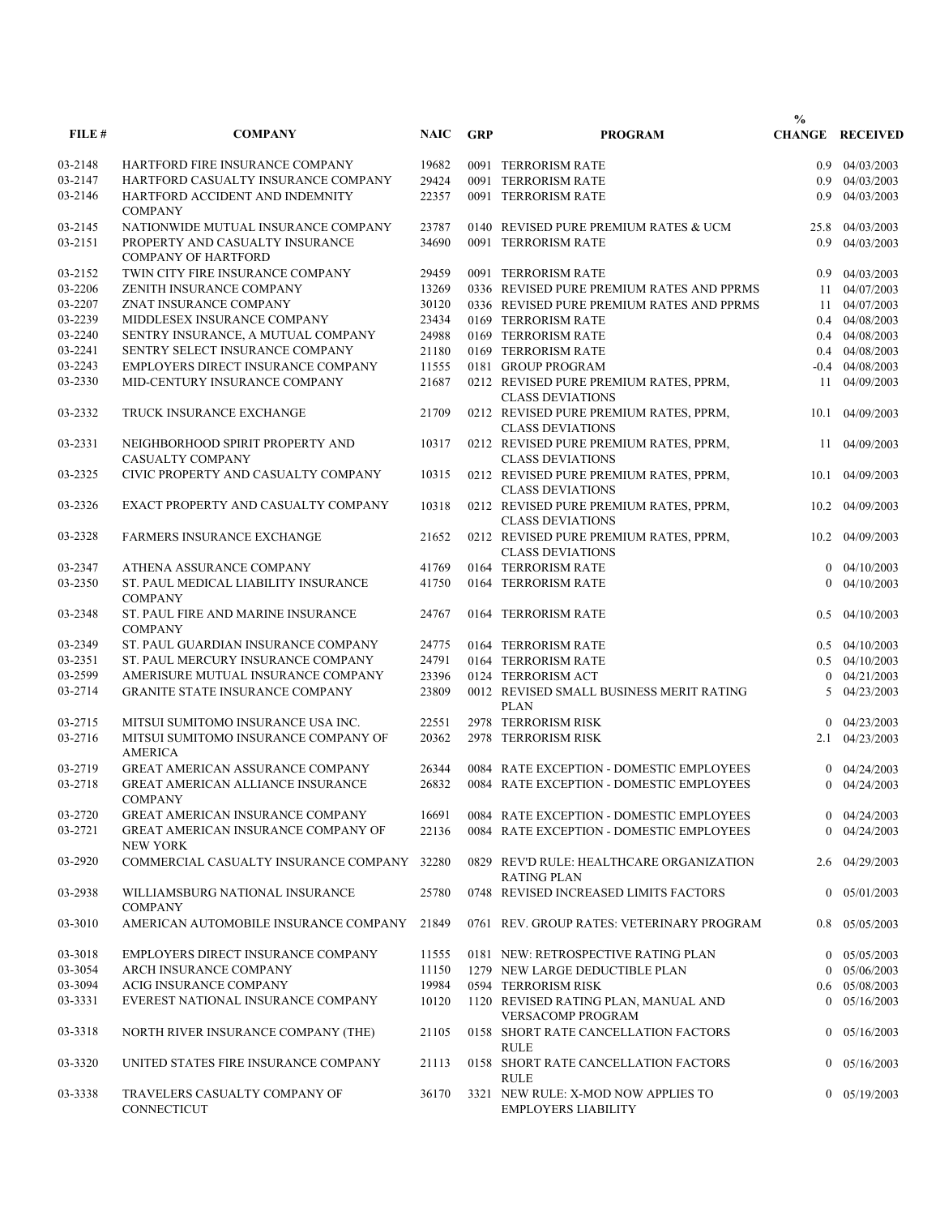|         |                                                               |             |            |                                                                   | $\frac{0}{0}$  |                        |
|---------|---------------------------------------------------------------|-------------|------------|-------------------------------------------------------------------|----------------|------------------------|
| FILE#   | <b>COMPANY</b>                                                | <b>NAIC</b> | <b>GRP</b> | <b>PROGRAM</b>                                                    |                | <b>CHANGE RECEIVED</b> |
| 03-2148 | HARTFORD FIRE INSURANCE COMPANY                               | 19682       |            | 0091 TERRORISM RATE                                               |                | $0.9$ $04/03/2003$     |
| 03-2147 | HARTFORD CASUALTY INSURANCE COMPANY                           | 29424       |            | 0091 TERRORISM RATE                                               |                | $0.9$ $04/03/2003$     |
| 03-2146 | HARTFORD ACCIDENT AND INDEMNITY<br><b>COMPANY</b>             | 22357       |            | 0091 TERRORISM RATE                                               |                | $0.9$ $04/03/2003$     |
| 03-2145 | NATIONWIDE MUTUAL INSURANCE COMPANY                           | 23787       |            | 0140 REVISED PURE PREMIUM RATES & UCM                             | 25.8           | 04/03/2003             |
| 03-2151 | PROPERTY AND CASUALTY INSURANCE<br><b>COMPANY OF HARTFORD</b> | 34690       |            | 0091 TERRORISM RATE                                               | 0.9            | 04/03/2003             |
| 03-2152 | TWIN CITY FIRE INSURANCE COMPANY                              | 29459       |            | 0091 TERRORISM RATE                                               | 0.9            | 04/03/2003             |
| 03-2206 | ZENITH INSURANCE COMPANY                                      | 13269       |            | 0336 REVISED PURE PREMIUM RATES AND PPRMS                         | 11             | 04/07/2003             |
| 03-2207 | ZNAT INSURANCE COMPANY                                        | 30120       |            | 0336 REVISED PURE PREMIUM RATES AND PPRMS                         |                | 11 04/07/2003          |
| 03-2239 | MIDDLESEX INSURANCE COMPANY                                   | 23434       |            | 0169 TERRORISM RATE                                               |                | 0.4 04/08/2003         |
| 03-2240 | SENTRY INSURANCE, A MUTUAL COMPANY                            | 24988       |            | 0169 TERRORISM RATE                                               |                | $0.4$ 04/08/2003       |
| 03-2241 | SENTRY SELECT INSURANCE COMPANY                               | 21180       |            | 0169 TERRORISM RATE                                               |                | $0.4$ 04/08/2003       |
| 03-2243 | EMPLOYERS DIRECT INSURANCE COMPANY                            | 11555       |            | 0181 GROUP PROGRAM                                                |                | $-0.4$ 04/08/2003      |
| 03-2330 | MID-CENTURY INSURANCE COMPANY                                 | 21687       |            | 0212 REVISED PURE PREMIUM RATES, PPRM,<br><b>CLASS DEVIATIONS</b> | 11             | 04/09/2003             |
| 03-2332 | TRUCK INSURANCE EXCHANGE                                      | 21709       |            | 0212 REVISED PURE PREMIUM RATES, PPRM,<br><b>CLASS DEVIATIONS</b> | 10.1           | 04/09/2003             |
| 03-2331 | NEIGHBORHOOD SPIRIT PROPERTY AND<br>CASUALTY COMPANY          | 10317       |            | 0212 REVISED PURE PREMIUM RATES, PPRM,                            | 11             | 04/09/2003             |
| 03-2325 | CIVIC PROPERTY AND CASUALTY COMPANY                           |             |            | <b>CLASS DEVIATIONS</b>                                           |                |                        |
|         |                                                               | 10315       |            | 0212 REVISED PURE PREMIUM RATES, PPRM,<br><b>CLASS DEVIATIONS</b> | 10.1           | 04/09/2003             |
| 03-2326 | EXACT PROPERTY AND CASUALTY COMPANY                           | 10318       |            | 0212 REVISED PURE PREMIUM RATES, PPRM,<br><b>CLASS DEVIATIONS</b> |                | 10.2 04/09/2003        |
| 03-2328 | <b>FARMERS INSURANCE EXCHANGE</b>                             | 21652       |            | 0212 REVISED PURE PREMIUM RATES, PPRM,<br><b>CLASS DEVIATIONS</b> | 10.2           | 04/09/2003             |
| 03-2347 | ATHENA ASSURANCE COMPANY                                      | 41769       |            | 0164 TERRORISM RATE                                               |                | $0$ 04/10/2003         |
| 03-2350 | ST. PAUL MEDICAL LIABILITY INSURANCE<br><b>COMPANY</b>        | 41750       |            | 0164 TERRORISM RATE                                               | $\Omega$       | 04/10/2003             |
| 03-2348 | ST. PAUL FIRE AND MARINE INSURANCE<br><b>COMPANY</b>          | 24767       |            | 0164 TERRORISM RATE                                               | $0.5^{\circ}$  | 04/10/2003             |
| 03-2349 | ST. PAUL GUARDIAN INSURANCE COMPANY                           | 24775       |            | 0164 TERRORISM RATE                                               |                | $0.5 \quad 04/10/2003$ |
| 03-2351 | ST. PAUL MERCURY INSURANCE COMPANY                            | 24791       |            | 0164 TERRORISM RATE                                               |                | $0.5$ 04/10/2003       |
| 03-2599 | AMERISURE MUTUAL INSURANCE COMPANY                            | 23396       |            | 0124 TERRORISM ACT                                                |                | $0$ 04/21/2003         |
| 03-2714 | GRANITE STATE INSURANCE COMPANY                               | 23809       |            | 0012 REVISED SMALL BUSINESS MERIT RATING<br><b>PLAN</b>           | 5              | 04/23/2003             |
| 03-2715 | MITSUI SUMITOMO INSURANCE USA INC.                            | 22551       |            | 2978 TERRORISM RISK                                               | $\overline{0}$ | 04/23/2003             |
| 03-2716 | MITSUI SUMITOMO INSURANCE COMPANY OF<br><b>AMERICA</b>        | 20362       |            | 2978 TERRORISM RISK                                               |                | 2.1 04/23/2003         |
| 03-2719 | <b>GREAT AMERICAN ASSURANCE COMPANY</b>                       | 26344       |            | 0084 RATE EXCEPTION - DOMESTIC EMPLOYEES                          |                | 04/24/2003             |
| 03-2718 | <b>GREAT AMERICAN ALLIANCE INSURANCE</b><br>COMPANY           | 26832       |            | 0084 RATE EXCEPTION - DOMESTIC EMPLOYEES                          | $\theta$       | 04/24/2003             |
| 03-2720 | <b>GREAT AMERICAN INSURANCE COMPANY</b>                       | 16691       |            | 0084 RATE EXCEPTION - DOMESTIC EMPLOYEES                          |                | $0$ 04/24/2003         |
| 03-2721 | <b>GREAT AMERICAN INSURANCE COMPANY OF</b><br><b>NEW YORK</b> | 22136       |            | 0084 RATE EXCEPTION - DOMESTIC EMPLOYEES                          |                | $0$ 04/24/2003         |
| 03-2920 | COMMERCIAL CASUALTY INSURANCE COMPANY                         | 32280       |            | 0829 REV'D RULE: HEALTHCARE ORGANIZATION<br><b>RATING PLAN</b>    |                | 2.6 04/29/2003         |
| 03-2938 | WILLIAMSBURG NATIONAL INSURANCE<br><b>COMPANY</b>             | 25780       |            | 0748 REVISED INCREASED LIMITS FACTORS                             |                | $0$ 05/01/2003         |
| 03-3010 | AMERICAN AUTOMOBILE INSURANCE COMPANY                         | 21849       |            | 0761 REV. GROUP RATES: VETERINARY PROGRAM                         |                | 0.8 05/05/2003         |
| 03-3018 | EMPLOYERS DIRECT INSURANCE COMPANY                            | 11555       |            | 0181 NEW: RETROSPECTIVE RATING PLAN                               |                | $0$ 05/05/2003         |
| 03-3054 | ARCH INSURANCE COMPANY                                        | 11150       |            | 1279 NEW LARGE DEDUCTIBLE PLAN                                    | $\theta$       | 05/06/2003             |
| 03-3094 | ACIG INSURANCE COMPANY                                        | 19984       |            | 0594 TERRORISM RISK                                               |                | 0.6 05/08/2003         |
| 03-3331 | EVEREST NATIONAL INSURANCE COMPANY                            | 10120       |            | 1120 REVISED RATING PLAN, MANUAL AND<br><b>VERSACOMP PROGRAM</b>  |                | $0$ 05/16/2003         |
| 03-3318 | NORTH RIVER INSURANCE COMPANY (THE)                           | 21105       |            | 0158 SHORT RATE CANCELLATION FACTORS<br><b>RULE</b>               |                | $0$ 05/16/2003         |
| 03-3320 | UNITED STATES FIRE INSURANCE COMPANY                          | 21113       |            | 0158 SHORT RATE CANCELLATION FACTORS<br><b>RULE</b>               |                | $0$ 05/16/2003         |
| 03-3338 | TRAVELERS CASUALTY COMPANY OF<br>CONNECTICUT                  | 36170       |            | 3321 NEW RULE: X-MOD NOW APPLIES TO<br><b>EMPLOYERS LIABILITY</b> |                | $0$ 05/19/2003         |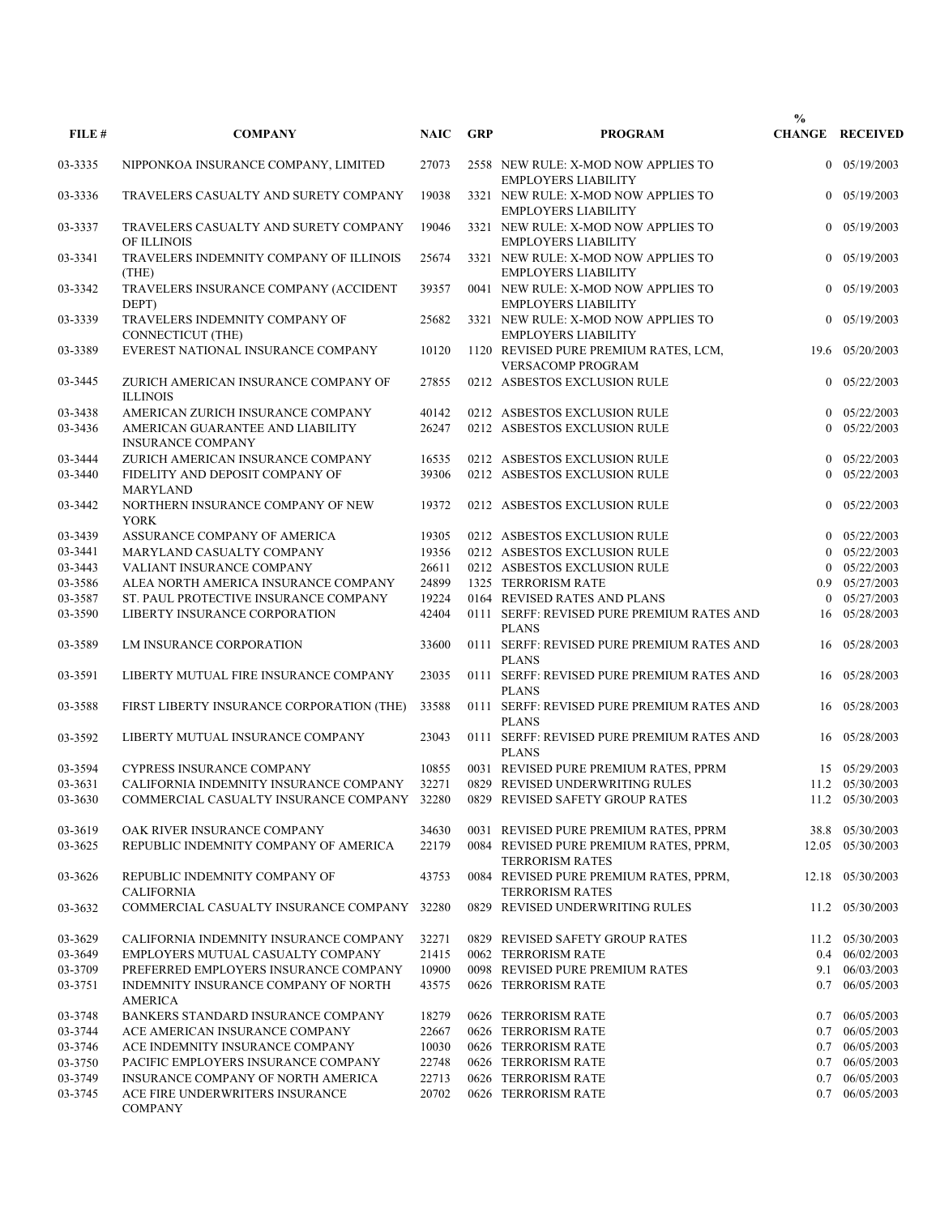| FILE#              | <b>COMPANY</b>                                                                                                        | <b>NAIC</b>    | <b>GRP</b> | <b>PROGRAM</b>                                                                                           | $\frac{0}{0}$  | <b>CHANGE RECEIVED</b>           |
|--------------------|-----------------------------------------------------------------------------------------------------------------------|----------------|------------|----------------------------------------------------------------------------------------------------------|----------------|----------------------------------|
| 03-3335            | NIPPONKOA INSURANCE COMPANY, LIMITED                                                                                  | 27073          |            | 2558 NEW RULE: X-MOD NOW APPLIES TO<br><b>EMPLOYERS LIABILITY</b>                                        |                | $0$ 05/19/2003                   |
| 03-3336            | TRAVELERS CASUALTY AND SURETY COMPANY                                                                                 | 19038          |            | 3321 NEW RULE: X-MOD NOW APPLIES TO<br><b>EMPLOYERS LIABILITY</b>                                        |                | $0$ 05/19/2003                   |
| 03-3337            | TRAVELERS CASUALTY AND SURETY COMPANY<br>OF ILLINOIS                                                                  | 19046          |            | 3321 NEW RULE: X-MOD NOW APPLIES TO<br><b>EMPLOYERS LIABILITY</b>                                        |                | $0$ 05/19/2003                   |
| 03-3341            | TRAVELERS INDEMNITY COMPANY OF ILLINOIS<br>(THE)                                                                      | 25674          |            | 3321 NEW RULE: X-MOD NOW APPLIES TO<br><b>EMPLOYERS LIABILITY</b>                                        | $\overline{0}$ | 05/19/2003                       |
| 03-3342            | TRAVELERS INSURANCE COMPANY (ACCIDENT<br>DEPT)                                                                        | 39357          |            | 0041 NEW RULE: X-MOD NOW APPLIES TO<br><b>EMPLOYERS LIABILITY</b>                                        |                | $0$ 05/19/2003                   |
| 03-3339            | TRAVELERS INDEMNITY COMPANY OF<br>CONNECTICUT (THE)                                                                   | 25682          |            | 3321 NEW RULE: X-MOD NOW APPLIES TO<br><b>EMPLOYERS LIABILITY</b>                                        |                | $0$ 05/19/2003                   |
| 03-3389            | EVEREST NATIONAL INSURANCE COMPANY                                                                                    | 10120          |            | 1120 REVISED PURE PREMIUM RATES, LCM,<br><b>VERSACOMP PROGRAM</b>                                        |                | 19.6 05/20/2003                  |
| 03-3445            | ZURICH AMERICAN INSURANCE COMPANY OF<br><b>ILLINOIS</b>                                                               | 27855          |            | 0212 ASBESTOS EXCLUSION RULE                                                                             | $\overline{0}$ | 05/22/2003                       |
| 03-3438            | AMERICAN ZURICH INSURANCE COMPANY                                                                                     | 40142          |            | 0212 ASBESTOS EXCLUSION RULE                                                                             |                | $0$ 05/22/2003                   |
| 03-3436            | AMERICAN GUARANTEE AND LIABILITY<br><b>INSURANCE COMPANY</b>                                                          | 26247          |            | 0212 ASBESTOS EXCLUSION RULE                                                                             | $\Omega$       | 05/22/2003                       |
| 03-3444            | ZURICH AMERICAN INSURANCE COMPANY                                                                                     | 16535          |            | 0212 ASBESTOS EXCLUSION RULE                                                                             |                | $0$ 05/22/2003                   |
| 03-3440            | FIDELITY AND DEPOSIT COMPANY OF<br><b>MARYLAND</b>                                                                    | 39306          |            | 0212 ASBESTOS EXCLUSION RULE                                                                             | $\theta$       | 05/22/2003                       |
| 03-3442            | NORTHERN INSURANCE COMPANY OF NEW<br><b>YORK</b>                                                                      | 19372          |            | 0212 ASBESTOS EXCLUSION RULE                                                                             |                | $0$ 05/22/2003                   |
| 03-3439            | ASSURANCE COMPANY OF AMERICA                                                                                          | 19305          |            | 0212 ASBESTOS EXCLUSION RULE                                                                             |                | 05/22/2003                       |
| 03-3441            | MARYLAND CASUALTY COMPANY                                                                                             | 19356          |            | 0212 ASBESTOS EXCLUSION RULE                                                                             | $\theta$       | 05/22/2003                       |
| 03-3443            | VALIANT INSURANCE COMPANY                                                                                             | 26611          |            | 0212 ASBESTOS EXCLUSION RULE                                                                             |                | $0$ 05/22/2003                   |
| 03-3586            | ALEA NORTH AMERICA INSURANCE COMPANY                                                                                  | 24899          |            | 1325 TERRORISM RATE                                                                                      | 0.9            | 05/27/2003                       |
| 03-3587            | ST. PAUL PROTECTIVE INSURANCE COMPANY                                                                                 | 19224          |            | 0164 REVISED RATES AND PLANS                                                                             | $\theta$       | 05/27/2003                       |
| 03-3590            | LIBERTY INSURANCE CORPORATION                                                                                         | 42404          |            | 0111 SERFF: REVISED PURE PREMIUM RATES AND<br><b>PLANS</b>                                               | 16             | 05/28/2003                       |
| 03-3589            | LM INSURANCE CORPORATION                                                                                              | 33600          |            | 0111 SERFF: REVISED PURE PREMIUM RATES AND<br><b>PLANS</b>                                               | 16             | 05/28/2003                       |
| 03-3591            | LIBERTY MUTUAL FIRE INSURANCE COMPANY                                                                                 | 23035          |            | 0111 SERFF: REVISED PURE PREMIUM RATES AND<br><b>PLANS</b>                                               | 16             | 05/28/2003                       |
| 03-3588            | FIRST LIBERTY INSURANCE CORPORATION (THE)<br>LIBERTY MUTUAL INSURANCE COMPANY                                         | 33588          |            | 0111 SERFF: REVISED PURE PREMIUM RATES AND<br><b>PLANS</b><br>0111 SERFF: REVISED PURE PREMIUM RATES AND | 16             | 16 05/28/2003<br>05/28/2003      |
| 03-3592            |                                                                                                                       | 23043          |            | <b>PLANS</b>                                                                                             |                |                                  |
| 03-3594            | <b>CYPRESS INSURANCE COMPANY</b>                                                                                      | 10855<br>32271 |            | 0031 REVISED PURE PREMIUM RATES, PPRM                                                                    |                | 15 05/29/2003<br>11.2 05/30/2003 |
| 03-3631<br>03-3630 | CALIFORNIA INDEMNITY INSURANCE COMPANY<br>COMMERCIAL CASUALTY INSURANCE COMPANY 32280 0829 REVISED SAFETY GROUP RATES |                |            | 0829 REVISED UNDERWRITING RULES                                                                          |                | 11.2 05/30/2003                  |
| 03-3619            | OAK RIVER INSURANCE COMPANY                                                                                           | 34630          |            | 0031 REVISED PURE PREMIUM RATES, PPRM                                                                    |                | 38.8 05/30/2003                  |
| 03-3625            | REPUBLIC INDEMNITY COMPANY OF AMERICA                                                                                 | 22179          |            | 0084 REVISED PURE PREMIUM RATES, PPRM,<br><b>TERRORISM RATES</b>                                         |                | 12.05 05/30/2003                 |
| 03-3626            | REPUBLIC INDEMNITY COMPANY OF<br><b>CALIFORNIA</b>                                                                    | 43753          |            | 0084 REVISED PURE PREMIUM RATES, PPRM,<br><b>TERRORISM RATES</b>                                         |                | 12.18 05/30/2003                 |
| 03-3632            | COMMERCIAL CASUALTY INSURANCE COMPANY                                                                                 | 32280          |            | 0829 REVISED UNDERWRITING RULES                                                                          |                | 11.2 05/30/2003                  |
| 03-3629            | CALIFORNIA INDEMNITY INSURANCE COMPANY                                                                                | 32271          |            | 0829 REVISED SAFETY GROUP RATES                                                                          |                | 11.2 05/30/2003                  |
| 03-3649            | EMPLOYERS MUTUAL CASUALTY COMPANY                                                                                     | 21415          |            | 0062 TERRORISM RATE                                                                                      |                | 0.4 06/02/2003                   |
| 03-3709            | PREFERRED EMPLOYERS INSURANCE COMPANY                                                                                 | 10900          |            | 0098 REVISED PURE PREMIUM RATES                                                                          |                | 9.1 06/03/2003                   |
| 03-3751            | INDEMNITY INSURANCE COMPANY OF NORTH<br><b>AMERICA</b>                                                                | 43575          |            | 0626 TERRORISM RATE                                                                                      |                | 0.7 06/05/2003                   |
| 03-3748            | BANKERS STANDARD INSURANCE COMPANY                                                                                    | 18279          |            | 0626 TERRORISM RATE                                                                                      |                | 0.7 06/05/2003                   |
| 03-3744            | ACE AMERICAN INSURANCE COMPANY                                                                                        | 22667          |            | 0626 TERRORISM RATE                                                                                      |                | 0.7 06/05/2003                   |
| 03-3746            | ACE INDEMNITY INSURANCE COMPANY                                                                                       | 10030          |            | 0626 TERRORISM RATE                                                                                      |                | 0.7 06/05/2003                   |
| 03-3750            | PACIFIC EMPLOYERS INSURANCE COMPANY                                                                                   | 22748          |            | 0626 TERRORISM RATE                                                                                      |                | 0.7 06/05/2003                   |
| 03-3749            | INSURANCE COMPANY OF NORTH AMERICA                                                                                    | 22713          |            | 0626 TERRORISM RATE                                                                                      |                | 0.7 06/05/2003                   |
| 03-3745            | ACE FIRE UNDERWRITERS INSURANCE<br><b>COMPANY</b>                                                                     | 20702          |            | 0626 TERRORISM RATE                                                                                      |                | 0.7 06/05/2003                   |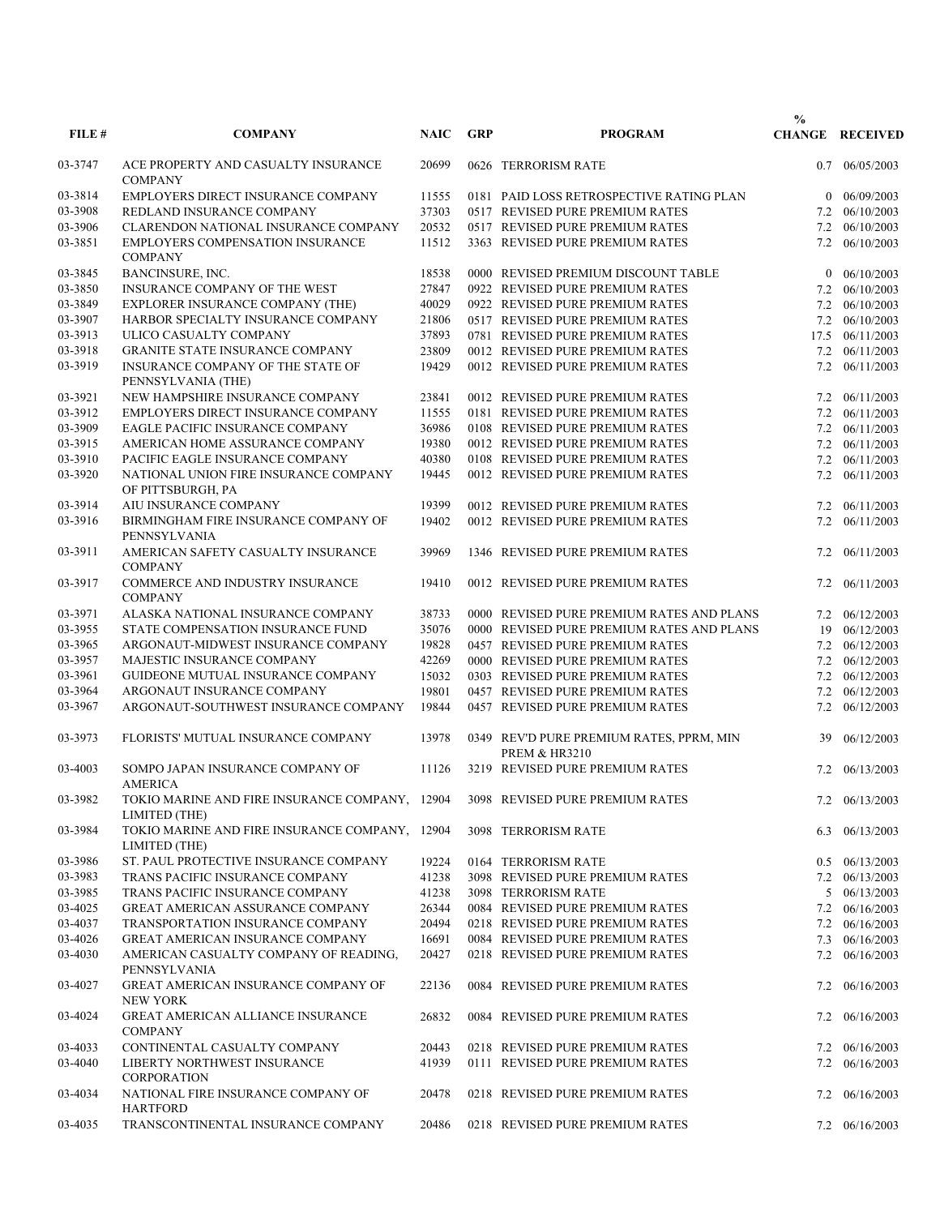|         |                                                                                                 |             |            |                                                                      | $\frac{0}{0}$  |                                  |
|---------|-------------------------------------------------------------------------------------------------|-------------|------------|----------------------------------------------------------------------|----------------|----------------------------------|
| FILE#   | <b>COMPANY</b>                                                                                  | <b>NAIC</b> | <b>GRP</b> | <b>PROGRAM</b>                                                       |                | <b>CHANGE RECEIVED</b>           |
| 03-3747 | ACE PROPERTY AND CASUALTY INSURANCE<br><b>COMPANY</b>                                           | 20699       |            | 0626 TERRORISM RATE                                                  | 0.7            | 06/05/2003                       |
| 03-3814 | EMPLOYERS DIRECT INSURANCE COMPANY                                                              | 11555       |            | 0181 PAID LOSS RETROSPECTIVE RATING PLAN                             | $\overline{0}$ | 06/09/2003                       |
| 03-3908 | REDLAND INSURANCE COMPANY                                                                       | 37303       |            | 0517 REVISED PURE PREMIUM RATES                                      | 7.2            | 06/10/2003                       |
| 03-3906 | CLARENDON NATIONAL INSURANCE COMPANY                                                            | 20532       |            | 0517 REVISED PURE PREMIUM RATES                                      |                | 7.2 06/10/2003                   |
| 03-3851 | <b>EMPLOYERS COMPENSATION INSURANCE</b><br><b>COMPANY</b>                                       | 11512       |            | 3363 REVISED PURE PREMIUM RATES                                      | 7.2            | 06/10/2003                       |
| 03-3845 | BANCINSURE, INC.                                                                                | 18538       |            | 0000 REVISED PREMIUM DISCOUNT TABLE                                  | $\overline{0}$ | 06/10/2003                       |
| 03-3850 | INSURANCE COMPANY OF THE WEST                                                                   | 27847       |            | 0922 REVISED PURE PREMIUM RATES                                      | 7.2            | 06/10/2003                       |
| 03-3849 | EXPLORER INSURANCE COMPANY (THE)                                                                | 40029       |            | 0922 REVISED PURE PREMIUM RATES                                      |                | 7.2 06/10/2003                   |
| 03-3907 | HARBOR SPECIALTY INSURANCE COMPANY                                                              | 21806       |            | 0517 REVISED PURE PREMIUM RATES                                      |                | 7.2 06/10/2003                   |
| 03-3913 | ULICO CASUALTY COMPANY                                                                          | 37893       |            | 0781 REVISED PURE PREMIUM RATES                                      | 17.5           | 06/11/2003                       |
| 03-3918 | GRANITE STATE INSURANCE COMPANY                                                                 | 23809       |            | 0012 REVISED PURE PREMIUM RATES                                      |                | 7.2 06/11/2003                   |
| 03-3919 | INSURANCE COMPANY OF THE STATE OF                                                               | 19429       |            | 0012 REVISED PURE PREMIUM RATES                                      | 7.2            | 06/11/2003                       |
|         | PENNSYLVANIA (THE)                                                                              |             |            |                                                                      |                |                                  |
| 03-3921 | NEW HAMPSHIRE INSURANCE COMPANY                                                                 | 23841       |            | 0012 REVISED PURE PREMIUM RATES                                      |                | 7.2 06/11/2003                   |
| 03-3912 | EMPLOYERS DIRECT INSURANCE COMPANY                                                              | 11555       |            | 0181 REVISED PURE PREMIUM RATES                                      |                | 7.2 06/11/2003                   |
| 03-3909 | EAGLE PACIFIC INSURANCE COMPANY                                                                 | 36986       |            | 0108 REVISED PURE PREMIUM RATES                                      |                | 7.2 06/11/2003                   |
| 03-3915 | AMERICAN HOME ASSURANCE COMPANY                                                                 | 19380       |            | 0012 REVISED PURE PREMIUM RATES                                      |                | 7.2 06/11/2003                   |
| 03-3910 | PACIFIC EAGLE INSURANCE COMPANY                                                                 | 40380       |            | 0108 REVISED PURE PREMIUM RATES                                      |                | 7.2 06/11/2003                   |
| 03-3920 | NATIONAL UNION FIRE INSURANCE COMPANY<br>OF PITTSBURGH, PA                                      | 19445       |            | 0012 REVISED PURE PREMIUM RATES                                      | 7.2            | 06/11/2003                       |
| 03-3914 | AIU INSURANCE COMPANY                                                                           | 19399       |            | 0012 REVISED PURE PREMIUM RATES                                      | 7.2            | 06/11/2003                       |
| 03-3916 | BIRMINGHAM FIRE INSURANCE COMPANY OF<br>PENNSYLVANIA                                            | 19402       |            | 0012 REVISED PURE PREMIUM RATES                                      |                | 7.2 06/11/2003                   |
| 03-3911 | AMERICAN SAFETY CASUALTY INSURANCE<br><b>COMPANY</b>                                            | 39969       |            | 1346 REVISED PURE PREMIUM RATES                                      | 7.2            | 06/11/2003                       |
| 03-3917 | COMMERCE AND INDUSTRY INSURANCE<br><b>COMPANY</b>                                               | 19410       |            | 0012 REVISED PURE PREMIUM RATES                                      | 7.2            | 06/11/2003                       |
| 03-3971 | ALASKA NATIONAL INSURANCE COMPANY                                                               | 38733       |            | 0000 REVISED PURE PREMIUM RATES AND PLANS                            |                | 7.2 06/12/2003                   |
| 03-3955 | STATE COMPENSATION INSURANCE FUND                                                               | 35076       |            | 0000 REVISED PURE PREMIUM RATES AND PLANS                            | 19             | 06/12/2003                       |
| 03-3965 | ARGONAUT-MIDWEST INSURANCE COMPANY                                                              | 19828       |            | 0457 REVISED PURE PREMIUM RATES                                      |                | 7.2 06/12/2003                   |
| 03-3957 | MAJESTIC INSURANCE COMPANY                                                                      | 42269       |            | 0000 REVISED PURE PREMIUM RATES                                      |                | 7.2 06/12/2003                   |
| 03-3961 | GUIDEONE MUTUAL INSURANCE COMPANY                                                               | 15032       |            | 0303 REVISED PURE PREMIUM RATES                                      |                | 7.2 06/12/2003                   |
| 03-3964 | ARGONAUT INSURANCE COMPANY                                                                      | 19801       |            | 0457 REVISED PURE PREMIUM RATES                                      |                | 7.2 06/12/2003                   |
| 03-3967 | ARGONAUT-SOUTHWEST INSURANCE COMPANY                                                            | 19844       |            | 0457 REVISED PURE PREMIUM RATES                                      |                | 06/12/2003                       |
|         |                                                                                                 |             |            |                                                                      | 7.2            |                                  |
| 03-3973 | FLORISTS' MUTUAL INSURANCE COMPANY                                                              | 13978       |            | 0349 REV'D PURE PREMIUM RATES, PPRM, MIN<br><b>PREM &amp; HR3210</b> | 39             | 06/12/2003                       |
| 03-4003 | SOMPO JAPAN INSURANCE COMPANY OF<br><b>AMERICA</b>                                              | 11126       |            | 3219 REVISED PURE PREMIUM RATES                                      | 7.2            | 06/13/2003                       |
| 03-3982 | TOKIO MARINE AND FIRE INSURANCE COMPANY, 12904 3098 REVISED PURE PREMIUM RATES<br>LIMITED (THE) |             |            |                                                                      |                | 7.2 06/13/2003                   |
| 03-3984 | TOKIO MARINE AND FIRE INSURANCE COMPANY, 12904<br>LIMITED (THE)                                 |             |            | 3098 TERRORISM RATE                                                  |                | 6.3 06/13/2003                   |
| 03-3986 | ST. PAUL PROTECTIVE INSURANCE COMPANY                                                           | 19224       |            | 0164 TERRORISM RATE                                                  |                | $0.5 \quad 06/13/2003$           |
| 03-3983 | TRANS PACIFIC INSURANCE COMPANY                                                                 | 41238       |            | 3098 REVISED PURE PREMIUM RATES                                      |                | 7.2 06/13/2003                   |
| 03-3985 | TRANS PACIFIC INSURANCE COMPANY                                                                 | 41238       |            | 3098 TERRORISM RATE                                                  |                | 5 06/13/2003                     |
| 03-4025 | <b>GREAT AMERICAN ASSURANCE COMPANY</b>                                                         | 26344       |            | 0084 REVISED PURE PREMIUM RATES                                      |                | 7.2 06/16/2003                   |
| 03-4037 | TRANSPORTATION INSURANCE COMPANY                                                                | 20494       |            | 0218 REVISED PURE PREMIUM RATES                                      |                | 7.2 06/16/2003                   |
| 03-4026 | <b>GREAT AMERICAN INSURANCE COMPANY</b>                                                         | 16691       |            | 0084 REVISED PURE PREMIUM RATES                                      |                | 7.3 06/16/2003                   |
| 03-4030 | AMERICAN CASUALTY COMPANY OF READING,                                                           | 20427       |            | 0218 REVISED PURE PREMIUM RATES                                      |                | 7.2 06/16/2003                   |
| 03-4027 | PENNSYLVANIA<br>GREAT AMERICAN INSURANCE COMPANY OF<br><b>NEW YORK</b>                          | 22136       |            | 0084 REVISED PURE PREMIUM RATES                                      | 7.2            | 06/16/2003                       |
| 03-4024 | <b>GREAT AMERICAN ALLIANCE INSURANCE</b><br><b>COMPANY</b>                                      | 26832       |            | 0084 REVISED PURE PREMIUM RATES                                      |                | 7.2 06/16/2003                   |
| 03-4033 | CONTINENTAL CASUALTY COMPANY                                                                    | 20443       |            | 0218 REVISED PURE PREMIUM RATES                                      |                |                                  |
| 03-4040 | LIBERTY NORTHWEST INSURANCE                                                                     | 41939       |            | 0111 REVISED PURE PREMIUM RATES                                      |                | 7.2 06/16/2003<br>7.2 06/16/2003 |
| 03-4034 | <b>CORPORATION</b><br>NATIONAL FIRE INSURANCE COMPANY OF                                        | 20478       |            | 0218 REVISED PURE PREMIUM RATES                                      | 7.2            | 06/16/2003                       |
| 03-4035 | <b>HARTFORD</b><br>TRANSCONTINENTAL INSURANCE COMPANY                                           | 20486       |            | 0218 REVISED PURE PREMIUM RATES                                      |                | 7.2 06/16/2003                   |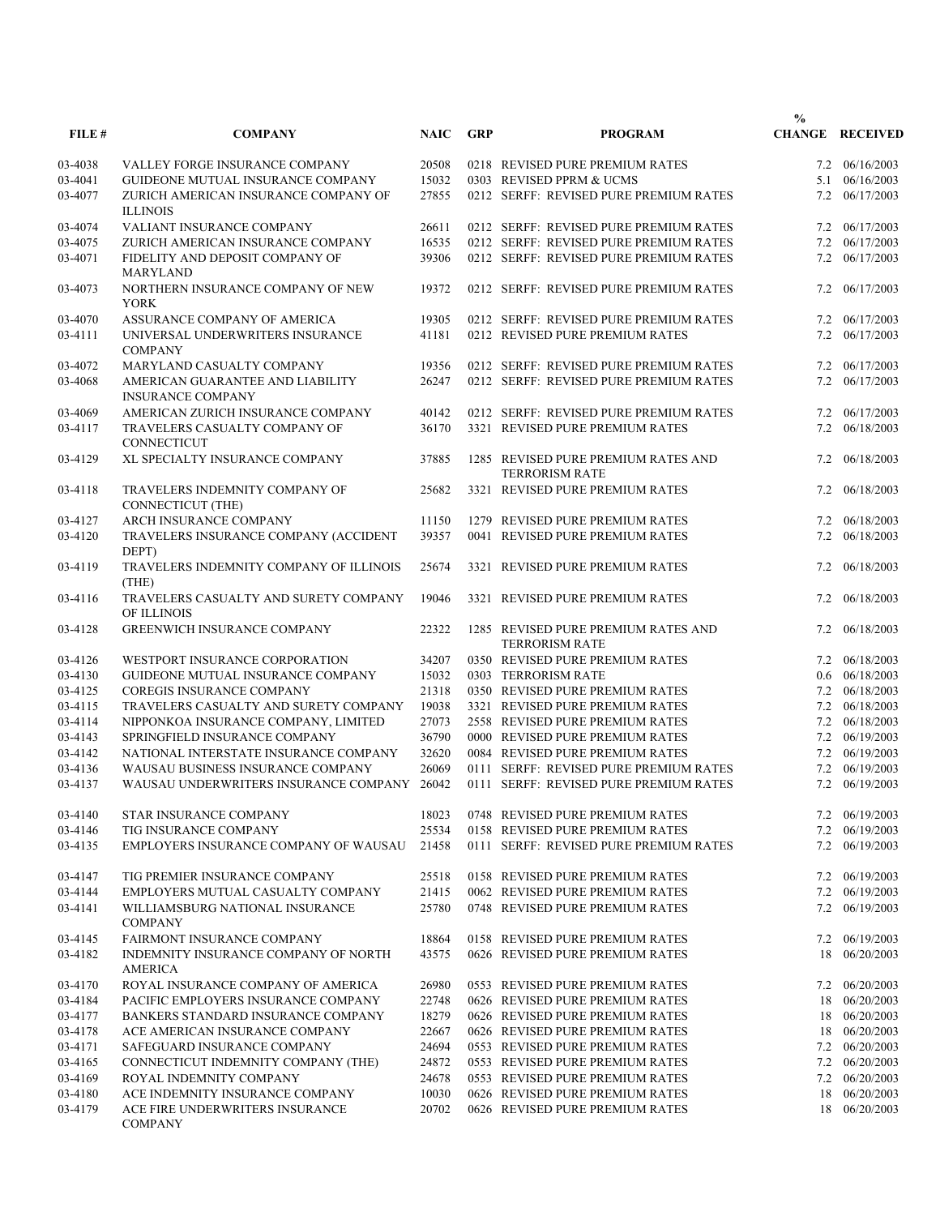|         |                                                              |             |            |                                                              | $\frac{0}{0}$ |                        |
|---------|--------------------------------------------------------------|-------------|------------|--------------------------------------------------------------|---------------|------------------------|
| FILE#   | <b>COMPANY</b>                                               | <b>NAIC</b> | <b>GRP</b> | <b>PROGRAM</b>                                               |               | <b>CHANGE RECEIVED</b> |
| 03-4038 | VALLEY FORGE INSURANCE COMPANY                               | 20508       |            | 0218 REVISED PURE PREMIUM RATES                              |               | 7.2 06/16/2003         |
| 03-4041 | GUIDEONE MUTUAL INSURANCE COMPANY                            | 15032       |            | 0303 REVISED PPRM & UCMS                                     | 5.1           | 06/16/2003             |
| 03-4077 | ZURICH AMERICAN INSURANCE COMPANY OF<br><b>ILLINOIS</b>      | 27855       |            | 0212 SERFF: REVISED PURE PREMIUM RATES                       |               | 7.2 06/17/2003         |
| 03-4074 | VALIANT INSURANCE COMPANY                                    | 26611       |            | 0212 SERFF: REVISED PURE PREMIUM RATES                       | 7.2           | 06/17/2003             |
| 03-4075 | ZURICH AMERICAN INSURANCE COMPANY                            | 16535       |            | 0212 SERFF: REVISED PURE PREMIUM RATES                       | 7.2           | 06/17/2003             |
| 03-4071 | FIDELITY AND DEPOSIT COMPANY OF<br><b>MARYLAND</b>           | 39306       |            | 0212 SERFF: REVISED PURE PREMIUM RATES                       | 7.2           | 06/17/2003             |
| 03-4073 | NORTHERN INSURANCE COMPANY OF NEW<br><b>YORK</b>             | 19372       |            | 0212 SERFF: REVISED PURE PREMIUM RATES                       | 7.2           | 06/17/2003             |
| 03-4070 | ASSURANCE COMPANY OF AMERICA                                 | 19305       |            | 0212 SERFF: REVISED PURE PREMIUM RATES                       | 7.2           | 06/17/2003             |
| 03-4111 | UNIVERSAL UNDERWRITERS INSURANCE<br><b>COMPANY</b>           | 41181       |            | 0212 REVISED PURE PREMIUM RATES                              | 7.2           | 06/17/2003             |
| 03-4072 | MARYLAND CASUALTY COMPANY                                    | 19356       |            | 0212 SERFF: REVISED PURE PREMIUM RATES                       | 7.2           | 06/17/2003             |
| 03-4068 | AMERICAN GUARANTEE AND LIABILITY<br><b>INSURANCE COMPANY</b> | 26247       |            | 0212 SERFF: REVISED PURE PREMIUM RATES                       | 7.2           | 06/17/2003             |
| 03-4069 | AMERICAN ZURICH INSURANCE COMPANY                            | 40142       |            | 0212 SERFF: REVISED PURE PREMIUM RATES                       | 7.2           | 06/17/2003             |
| 03-4117 | TRAVELERS CASUALTY COMPANY OF<br><b>CONNECTICUT</b>          | 36170       |            | 3321 REVISED PURE PREMIUM RATES                              | 7.2           | 06/18/2003             |
| 03-4129 | XL SPECIALTY INSURANCE COMPANY                               | 37885       |            | 1285 REVISED PURE PREMIUM RATES AND                          | 7.2           | 06/18/2003             |
|         |                                                              |             |            | <b>TERRORISM RATE</b>                                        |               |                        |
| 03-4118 | TRAVELERS INDEMNITY COMPANY OF<br><b>CONNECTICUT (THE)</b>   | 25682       |            | 3321 REVISED PURE PREMIUM RATES                              | 7.2           | 06/18/2003             |
| 03-4127 | ARCH INSURANCE COMPANY                                       | 11150       |            | 1279 REVISED PURE PREMIUM RATES                              | 7.2           | 06/18/2003             |
| 03-4120 | TRAVELERS INSURANCE COMPANY (ACCIDENT<br>DEPT)               | 39357       |            | 0041 REVISED PURE PREMIUM RATES                              | 7.2           | 06/18/2003             |
| 03-4119 | TRAVELERS INDEMNITY COMPANY OF ILLINOIS<br>(THE)             | 25674       |            | 3321 REVISED PURE PREMIUM RATES                              | 7.2           | 06/18/2003             |
| 03-4116 | TRAVELERS CASUALTY AND SURETY COMPANY<br>OF ILLINOIS         | 19046       |            | 3321 REVISED PURE PREMIUM RATES                              | 7.2           | 06/18/2003             |
| 03-4128 | <b>GREENWICH INSURANCE COMPANY</b>                           | 22322       |            | 1285 REVISED PURE PREMIUM RATES AND<br><b>TERRORISM RATE</b> | 7.2           | 06/18/2003             |
| 03-4126 | WESTPORT INSURANCE CORPORATION                               | 34207       |            | 0350 REVISED PURE PREMIUM RATES                              | 7.2           | 06/18/2003             |
| 03-4130 | GUIDEONE MUTUAL INSURANCE COMPANY                            | 15032       |            | 0303 TERRORISM RATE                                          | 0.6           | 06/18/2003             |
| 03-4125 | <b>COREGIS INSURANCE COMPANY</b>                             | 21318       |            | 0350 REVISED PURE PREMIUM RATES                              |               | 7.2 06/18/2003         |
| 03-4115 | TRAVELERS CASUALTY AND SURETY COMPANY                        | 19038       |            | 3321 REVISED PURE PREMIUM RATES                              |               | 7.2 06/18/2003         |
| 03-4114 | NIPPONKOA INSURANCE COMPANY, LIMITED                         | 27073       |            | 2558 REVISED PURE PREMIUM RATES                              |               | 7.2 06/18/2003         |
| 03-4143 | SPRINGFIELD INSURANCE COMPANY                                | 36790       |            | 0000 REVISED PURE PREMIUM RATES                              | 7.2           | 06/19/2003             |
| 03-4142 | NATIONAL INTERSTATE INSURANCE COMPANY                        | 32620       |            | 0084 REVISED PURE PREMIUM RATES                              |               | 7.2 06/19/2003         |
| 03-4136 | WAUSAU BUSINESS INSURANCE COMPANY                            | 26069       |            | 0111 SERFF: REVISED PURE PREMIUM RATES                       | 7.2           | 06/19/2003             |
| 03-4137 | WAUSAU UNDERWRITERS INSURANCE COMPANY                        | 26042       |            | 0111 SERFF: REVISED PURE PREMIUM RATES                       |               | 7.2 06/19/2003         |
| 03-4140 | STAR INSURANCE COMPANY                                       | 18023       |            | 0748 REVISED PURE PREMIUM RATES                              |               | 7.2 06/19/2003         |
| 03-4146 | <b>TIG INSURANCE COMPANY</b>                                 | 25534       |            | 0158 REVISED PURE PREMIUM RATES                              |               | 7.2 06/19/2003         |
| 03-4135 | EMPLOYERS INSURANCE COMPANY OF WAUSAU                        | 21458       |            | 0111 SERFF: REVISED PURE PREMIUM RATES                       |               | 7.2 06/19/2003         |
| 03-4147 | TIG PREMIER INSURANCE COMPANY                                | 25518       |            | 0158 REVISED PURE PREMIUM RATES                              |               | 7.2 06/19/2003         |
| 03-4144 | EMPLOYERS MUTUAL CASUALTY COMPANY                            | 21415       |            | 0062 REVISED PURE PREMIUM RATES                              |               | 7.2 06/19/2003         |
| 03-4141 | WILLIAMSBURG NATIONAL INSURANCE<br><b>COMPANY</b>            | 25780       |            | 0748 REVISED PURE PREMIUM RATES                              | 7.2           | 06/19/2003             |
| 03-4145 | <b>FAIRMONT INSURANCE COMPANY</b>                            | 18864       |            | 0158 REVISED PURE PREMIUM RATES                              | 7.2           | 06/19/2003             |
| 03-4182 | INDEMNITY INSURANCE COMPANY OF NORTH<br>AMERICA              | 43575       |            | 0626 REVISED PURE PREMIUM RATES                              | 18            | 06/20/2003             |
| 03-4170 | ROYAL INSURANCE COMPANY OF AMERICA                           | 26980       |            | 0553 REVISED PURE PREMIUM RATES                              |               | 7.2 06/20/2003         |
| 03-4184 | PACIFIC EMPLOYERS INSURANCE COMPANY                          | 22748       |            | 0626 REVISED PURE PREMIUM RATES                              | 18            | 06/20/2003             |
| 03-4177 | BANKERS STANDARD INSURANCE COMPANY                           | 18279       |            | 0626 REVISED PURE PREMIUM RATES                              | 18            | 06/20/2003             |
| 03-4178 | ACE AMERICAN INSURANCE COMPANY                               | 22667       |            | 0626 REVISED PURE PREMIUM RATES                              | 18            | 06/20/2003             |
| 03-4171 | SAFEGUARD INSURANCE COMPANY                                  | 24694       |            | 0553 REVISED PURE PREMIUM RATES                              |               | 7.2 06/20/2003         |
| 03-4165 | CONNECTICUT INDEMNITY COMPANY (THE)                          | 24872       |            | 0553 REVISED PURE PREMIUM RATES                              |               | 7.2 06/20/2003         |
| 03-4169 | ROYAL INDEMNITY COMPANY                                      | 24678       |            | 0553 REVISED PURE PREMIUM RATES                              |               | 7.2 06/20/2003         |
| 03-4180 | ACE INDEMNITY INSURANCE COMPANY                              | 10030       |            | 0626 REVISED PURE PREMIUM RATES                              | 18            | 06/20/2003             |
| 03-4179 | ACE FIRE UNDERWRITERS INSURANCE<br><b>COMPANY</b>            | 20702       |            | 0626 REVISED PURE PREMIUM RATES                              |               | 18 06/20/2003          |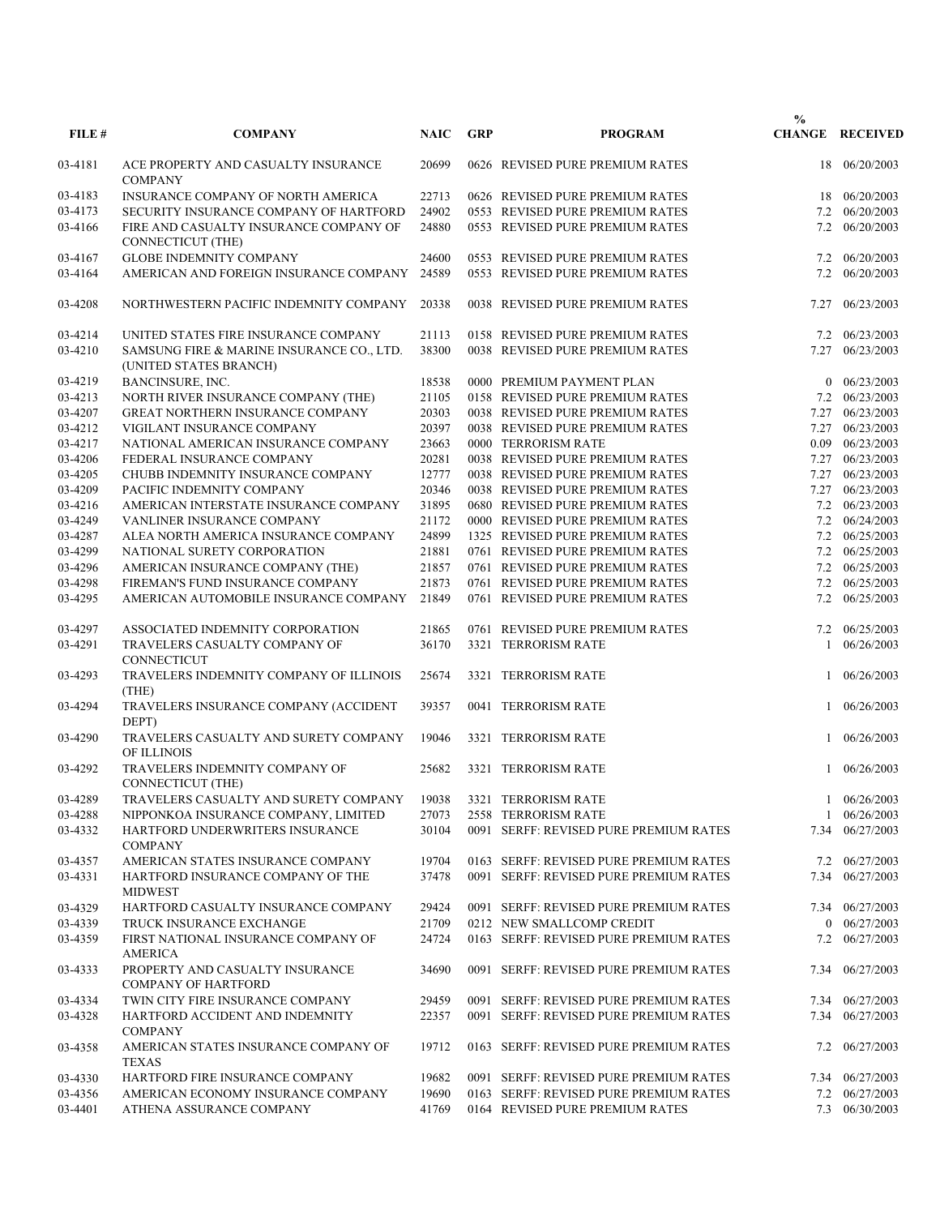| FILE#   | <b>COMPANY</b>                                                      | <b>NAIC</b> | <b>GRP</b> | <b>PROGRAM</b>                         | $\frac{0}{0}$ | <b>CHANGE RECEIVED</b> |
|---------|---------------------------------------------------------------------|-------------|------------|----------------------------------------|---------------|------------------------|
|         |                                                                     |             |            |                                        |               |                        |
| 03-4181 | ACE PROPERTY AND CASUALTY INSURANCE<br><b>COMPANY</b>               | 20699       |            | 0626 REVISED PURE PREMIUM RATES        | 18            | 06/20/2003             |
| 03-4183 | INSURANCE COMPANY OF NORTH AMERICA                                  | 22713       |            | 0626 REVISED PURE PREMIUM RATES        | 18            | 06/20/2003             |
| 03-4173 | SECURITY INSURANCE COMPANY OF HARTFORD                              | 24902       |            | 0553 REVISED PURE PREMIUM RATES        | 7.2           | 06/20/2003             |
| 03-4166 | FIRE AND CASUALTY INSURANCE COMPANY OF<br>CONNECTICUT (THE)         | 24880       |            | 0553 REVISED PURE PREMIUM RATES        |               | 7.2 06/20/2003         |
| 03-4167 | <b>GLOBE INDEMNITY COMPANY</b>                                      | 24600       |            | 0553 REVISED PURE PREMIUM RATES        | 7.2           | 06/20/2003             |
| 03-4164 | AMERICAN AND FOREIGN INSURANCE COMPANY                              | 24589       |            | 0553 REVISED PURE PREMIUM RATES        |               | 7.2 06/20/2003         |
| 03-4208 | NORTHWESTERN PACIFIC INDEMNITY COMPANY                              | 20338       |            | 0038 REVISED PURE PREMIUM RATES        |               | 7.27 06/23/2003        |
| 03-4214 | UNITED STATES FIRE INSURANCE COMPANY                                | 21113       |            | 0158 REVISED PURE PREMIUM RATES        |               | 7.2 06/23/2003         |
| 03-4210 | SAMSUNG FIRE & MARINE INSURANCE CO., LTD.<br>(UNITED STATES BRANCH) | 38300       |            | 0038 REVISED PURE PREMIUM RATES        | 7.27          | 06/23/2003             |
| 03-4219 | BANCINSURE, INC.                                                    | 18538       |            | 0000 PREMIUM PAYMENT PLAN              |               | $0$ 06/23/2003         |
| 03-4213 | NORTH RIVER INSURANCE COMPANY (THE)                                 | 21105       |            | 0158 REVISED PURE PREMIUM RATES        |               | 7.2 06/23/2003         |
| 03-4207 | GREAT NORTHERN INSURANCE COMPANY                                    | 20303       |            | 0038 REVISED PURE PREMIUM RATES        |               | 7.27 06/23/2003        |
| 03-4212 | VIGILANT INSURANCE COMPANY                                          | 20397       |            | 0038 REVISED PURE PREMIUM RATES        |               | 7.27 06/23/2003        |
| 03-4217 | NATIONAL AMERICAN INSURANCE COMPANY                                 | 23663       |            | 0000 TERRORISM RATE                    |               | 0.09 06/23/2003        |
| 03-4206 | FEDERAL INSURANCE COMPANY                                           | 20281       |            | 0038 REVISED PURE PREMIUM RATES        |               | 7.27 06/23/2003        |
| 03-4205 | CHUBB INDEMNITY INSURANCE COMPANY                                   | 12777       |            | 0038 REVISED PURE PREMIUM RATES        |               | 7.27 06/23/2003        |
| 03-4209 | PACIFIC INDEMNITY COMPANY                                           | 20346       |            | 0038 REVISED PURE PREMIUM RATES        |               | 7.27 06/23/2003        |
| 03-4216 | AMERICAN INTERSTATE INSURANCE COMPANY                               | 31895       |            | 0680 REVISED PURE PREMIUM RATES        |               | 7.2 06/23/2003         |
| 03-4249 | VANLINER INSURANCE COMPANY                                          | 21172       |            | 0000 REVISED PURE PREMIUM RATES        |               | 7.2 06/24/2003         |
| 03-4287 | ALEA NORTH AMERICA INSURANCE COMPANY                                | 24899       |            | 1325 REVISED PURE PREMIUM RATES        |               | 7.2 06/25/2003         |
| 03-4299 | NATIONAL SURETY CORPORATION                                         | 21881       |            | 0761 REVISED PURE PREMIUM RATES        |               | 7.2 06/25/2003         |
|         |                                                                     |             |            |                                        |               |                        |
| 03-4296 | AMERICAN INSURANCE COMPANY (THE)                                    | 21857       |            | 0761 REVISED PURE PREMIUM RATES        |               | 7.2 06/25/2003         |
| 03-4298 | FIREMAN'S FUND INSURANCE COMPANY                                    | 21873       |            | 0761 REVISED PURE PREMIUM RATES        |               | 7.2 06/25/2003         |
| 03-4295 | AMERICAN AUTOMOBILE INSURANCE COMPANY                               | 21849       |            | 0761 REVISED PURE PREMIUM RATES        |               | 7.2 06/25/2003         |
| 03-4297 | ASSOCIATED INDEMNITY CORPORATION                                    | 21865       |            | 0761 REVISED PURE PREMIUM RATES        | 7.2           | 06/25/2003             |
| 03-4291 | TRAVELERS CASUALTY COMPANY OF<br>CONNECTICUT                        | 36170       |            | 3321 TERRORISM RATE                    | 1             | 06/26/2003             |
| 03-4293 | TRAVELERS INDEMNITY COMPANY OF ILLINOIS<br>(THE)                    | 25674       |            | 3321 TERRORISM RATE                    |               | 1 06/26/2003           |
| 03-4294 | TRAVELERS INSURANCE COMPANY (ACCIDENT<br>DEPT)                      | 39357       |            | 0041 TERRORISM RATE                    |               | 1 06/26/2003           |
| 03-4290 | TRAVELERS CASUALTY AND SURETY COMPANY<br>OF ILLINOIS                | 19046       |            | 3321 TERRORISM RATE                    |               | 1 06/26/2003           |
| 03-4292 | TRAVELERS INDEMNITY COMPANY OF<br>CONNECTICUT (THE)                 | 25682       |            | 3321 TERRORISM RATE                    |               | 1 06/26/2003           |
| 03-4289 | TRAVELERS CASUALTY AND SURETY COMPANY 19038 3321 TERRORISM RATE     |             |            |                                        |               | 1 06/26/2003           |
| 03-4288 | NIPPONKOA INSURANCE COMPANY, LIMITED                                | 27073       |            | 2558 TERRORISM RATE                    |               | 1 06/26/2003           |
| 03-4332 | HARTFORD UNDERWRITERS INSURANCE<br><b>COMPANY</b>                   | 30104       |            | 0091 SERFF: REVISED PURE PREMIUM RATES |               | 7.34 06/27/2003        |
| 03-4357 | AMERICAN STATES INSURANCE COMPANY                                   | 19704       |            | 0163 SERFF: REVISED PURE PREMIUM RATES |               | 7.2 06/27/2003         |
| 03-4331 | HARTFORD INSURANCE COMPANY OF THE<br><b>MIDWEST</b>                 | 37478       |            | 0091 SERFF: REVISED PURE PREMIUM RATES |               | 7.34 06/27/2003        |
| 03-4329 | HARTFORD CASUALTY INSURANCE COMPANY                                 | 29424       |            | 0091 SERFF: REVISED PURE PREMIUM RATES |               | 7.34 06/27/2003        |
| 03-4339 | TRUCK INSURANCE EXCHANGE                                            | 21709       |            | 0212 NEW SMALLCOMP CREDIT              |               | $0$ 06/27/2003         |
| 03-4359 | FIRST NATIONAL INSURANCE COMPANY OF<br><b>AMERICA</b>               | 24724       |            | 0163 SERFF: REVISED PURE PREMIUM RATES |               | 7.2 06/27/2003         |
| 03-4333 | PROPERTY AND CASUALTY INSURANCE<br><b>COMPANY OF HARTFORD</b>       | 34690       |            | 0091 SERFF: REVISED PURE PREMIUM RATES |               | 7.34 06/27/2003        |
| 03-4334 | TWIN CITY FIRE INSURANCE COMPANY                                    | 29459       |            | 0091 SERFF: REVISED PURE PREMIUM RATES |               | 7.34 06/27/2003        |
| 03-4328 | HARTFORD ACCIDENT AND INDEMNITY<br><b>COMPANY</b>                   | 22357       |            | 0091 SERFF: REVISED PURE PREMIUM RATES |               | 7.34 06/27/2003        |
| 03-4358 | AMERICAN STATES INSURANCE COMPANY OF<br><b>TEXAS</b>                | 19712       |            | 0163 SERFF: REVISED PURE PREMIUM RATES |               | 7.2 06/27/2003         |
| 03-4330 | HARTFORD FIRE INSURANCE COMPANY                                     | 19682       |            | 0091 SERFF: REVISED PURE PREMIUM RATES |               | 7.34 06/27/2003        |
| 03-4356 | AMERICAN ECONOMY INSURANCE COMPANY                                  | 19690       |            | 0163 SERFF: REVISED PURE PREMIUM RATES |               | 7.2 06/27/2003         |
| 03-4401 | ATHENA ASSURANCE COMPANY                                            | 41769       |            | 0164 REVISED PURE PREMIUM RATES        |               | 7.3 06/30/2003         |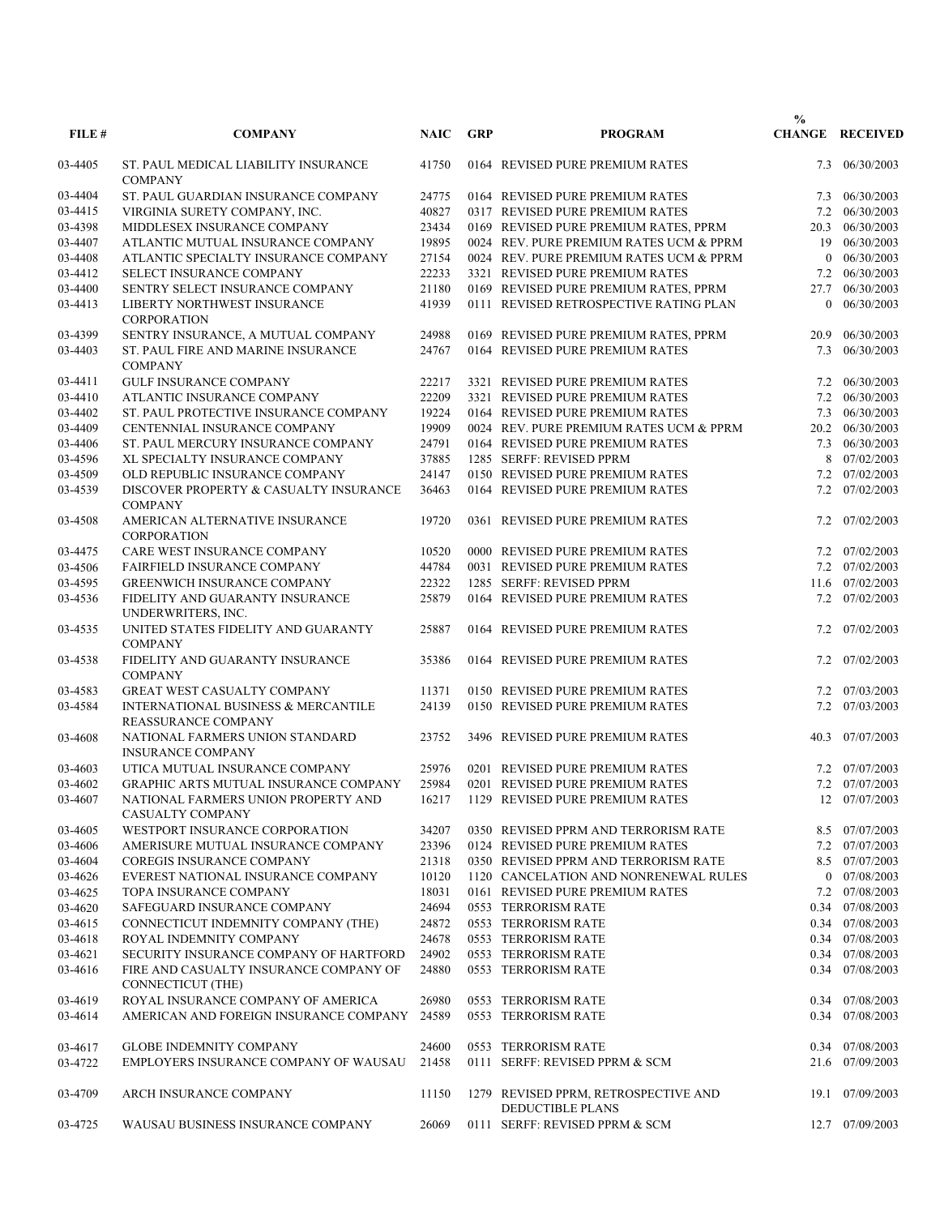| <b>CHANGE RECEIVED</b><br>41750<br>0164 REVISED PURE PREMIUM RATES<br>06/30/2003<br>03-4405<br>ST. PAUL MEDICAL LIABILITY INSURANCE<br>7.3<br><b>COMPANY</b><br>ST. PAUL GUARDIAN INSURANCE COMPANY<br>24775<br>06/30/2003<br>03-4404<br>0164 REVISED PURE PREMIUM RATES<br>7.3<br>03-4415<br>40827<br>VIRGINIA SURETY COMPANY, INC.<br>0317 REVISED PURE PREMIUM RATES<br>06/30/2003<br>7.2<br>03-4398<br>MIDDLESEX INSURANCE COMPANY<br>23434<br>0169 REVISED PURE PREMIUM RATES, PPRM<br>20.3 06/30/2003<br>19895<br>03-4407<br>ATLANTIC MUTUAL INSURANCE COMPANY<br>0024 REV. PURE PREMIUM RATES UCM & PPRM<br>06/30/2003<br>19<br>27154<br>03-4408<br>ATLANTIC SPECIALTY INSURANCE COMPANY<br>0024 REV. PURE PREMIUM RATES UCM & PPRM<br>$0$ 06/30/2003<br>03-4412<br>SELECT INSURANCE COMPANY<br>22233<br>3321 REVISED PURE PREMIUM RATES<br>7.2 06/30/2003<br>21180<br>03-4400<br>06/30/2003<br>SENTRY SELECT INSURANCE COMPANY<br>0169 REVISED PURE PREMIUM RATES, PPRM<br>27.7<br>41939<br>0111 REVISED RETROSPECTIVE RATING PLAN<br>06/30/2003<br>03-4413<br>LIBERTY NORTHWEST INSURANCE<br>$\overline{0}$<br><b>CORPORATION</b><br>03-4399<br>SENTRY INSURANCE, A MUTUAL COMPANY<br>24988<br>0169 REVISED PURE PREMIUM RATES, PPRM<br>06/30/2003<br>20.9<br>03-4403<br>ST. PAUL FIRE AND MARINE INSURANCE<br>24767<br>0164 REVISED PURE PREMIUM RATES<br>7.3<br>06/30/2003<br><b>COMPANY</b><br><b>GULF INSURANCE COMPANY</b><br>22217<br>3321 REVISED PURE PREMIUM RATES<br>7.2 06/30/2003<br>03-4411<br>03-4410<br>22209<br>ATLANTIC INSURANCE COMPANY<br>3321 REVISED PURE PREMIUM RATES<br>7.2 06/30/2003<br>19224<br>03-4402<br>ST. PAUL PROTECTIVE INSURANCE COMPANY<br>0164 REVISED PURE PREMIUM RATES<br>06/30/2003<br>7.3<br>19909<br>03-4409<br>CENTENNIAL INSURANCE COMPANY<br>0024 REV. PURE PREMIUM RATES UCM & PPRM<br>20.2 06/30/2003<br>03-4406<br>ST. PAUL MERCURY INSURANCE COMPANY<br>24791<br>0164 REVISED PURE PREMIUM RATES<br>7.3 06/30/2003<br>37885<br>03-4596<br>XL SPECIALTY INSURANCE COMPANY<br>1285 SERFF: REVISED PPRM<br>07/02/2003<br>8<br>03-4509<br>24147<br>7.2 07/02/2003<br>OLD REPUBLIC INSURANCE COMPANY<br>0150 REVISED PURE PREMIUM RATES<br>03-4539<br>DISCOVER PROPERTY & CASUALTY INSURANCE<br>36463<br>0164 REVISED PURE PREMIUM RATES<br>7.2 07/02/2003<br><b>COMPANY</b><br>19720<br>07/02/2003<br>03-4508<br>AMERICAN ALTERNATIVE INSURANCE<br>0361 REVISED PURE PREMIUM RATES<br>7.2<br><b>CORPORATION</b><br>CARE WEST INSURANCE COMPANY<br>10520<br>7.2 07/02/2003<br>03-4475<br>0000 REVISED PURE PREMIUM RATES<br>03-4506<br><b>FAIRFIELD INSURANCE COMPANY</b><br>44784<br>7.2 07/02/2003<br>0031 REVISED PURE PREMIUM RATES<br>03-4595<br><b>GREENWICH INSURANCE COMPANY</b><br>22322<br>1285 SERFF: REVISED PPRM<br>11.6 07/02/2003<br>25879<br>0164 REVISED PURE PREMIUM RATES<br>7.2 07/02/2003<br>03-4536<br>FIDELITY AND GUARANTY INSURANCE<br>UNDERWRITERS, INC.<br>UNITED STATES FIDELITY AND GUARANTY<br>25887<br>0164 REVISED PURE PREMIUM RATES<br>7.2 07/02/2003<br>03-4535<br><b>COMPANY</b><br>FIDELITY AND GUARANTY INSURANCE<br>35386<br>0164 REVISED PURE PREMIUM RATES<br>7.2 07/02/2003<br>03-4538<br><b>COMPANY</b><br>07/03/2003<br>03-4583<br><b>GREAT WEST CASUALTY COMPANY</b><br>11371<br>0150 REVISED PURE PREMIUM RATES<br>7.2<br>03-4584<br>INTERNATIONAL BUSINESS & MERCANTILE<br>24139<br>0150 REVISED PURE PREMIUM RATES<br>7.2 07/03/2003<br><b>REASSURANCE COMPANY</b><br>NATIONAL FARMERS UNION STANDARD<br>07/07/2003<br>03-4608<br>23752<br>3496 REVISED PURE PREMIUM RATES<br>40.3<br><b>INSURANCE COMPANY</b><br>UTICA MUTUAL INSURANCE COMPANY<br>25976<br>0201 REVISED PURE PREMIUM RATES<br>7.2 07/07/2003<br>03-4603<br>25984<br>03-4602<br><b>GRAPHIC ARTS MUTUAL INSURANCE COMPANY</b><br>0201 REVISED PURE PREMIUM RATES<br>7.2 07/07/2003<br>03-4607<br>NATIONAL FARMERS UNION PROPERTY AND<br>16217<br>1129 REVISED PURE PREMIUM RATES<br>12 07/07/2003<br>CASUALTY COMPANY<br>8.5 07/07/2003<br>03-4605<br>WESTPORT INSURANCE CORPORATION<br>34207<br>0350 REVISED PPRM AND TERRORISM RATE<br>23396<br>7.2 07/07/2003<br>AMERISURE MUTUAL INSURANCE COMPANY<br>0124 REVISED PURE PREMIUM RATES<br>03-4606<br>21318<br>8.5 07/07/2003<br>03-4604<br>COREGIS INSURANCE COMPANY<br>0350 REVISED PPRM AND TERRORISM RATE<br>03-4626<br>0 07/08/2003<br>EVEREST NATIONAL INSURANCE COMPANY<br>10120<br>1120 CANCELATION AND NONRENEWAL RULES<br>03-4625<br>18031<br>7.2 07/08/2003<br>TOPA INSURANCE COMPANY<br>0161 REVISED PURE PREMIUM RATES<br>03-4620<br>24694<br>SAFEGUARD INSURANCE COMPANY<br>0553 TERRORISM RATE<br>0.34 07/08/2003<br>03-4615<br>CONNECTICUT INDEMNITY COMPANY (THE)<br>24872<br>0553 TERRORISM RATE<br>0.34 07/08/2003<br>03-4618<br>ROYAL INDEMNITY COMPANY<br>24678<br>0.34 07/08/2003<br>0553 TERRORISM RATE<br>03-4621<br>24902<br>SECURITY INSURANCE COMPANY OF HARTFORD<br>0553 TERRORISM RATE<br>0.34 07/08/2003<br>FIRE AND CASUALTY INSURANCE COMPANY OF<br>24880<br>03-4616<br>0553 TERRORISM RATE<br>0.34 07/08/2003<br><b>CONNECTICUT (THE)</b><br>ROYAL INSURANCE COMPANY OF AMERICA<br>26980<br>0553 TERRORISM RATE<br>0.34 07/08/2003<br>03-4619<br>24589<br>0.34 07/08/2003<br>03-4614<br>AMERICAN AND FOREIGN INSURANCE COMPANY<br>0553 TERRORISM RATE<br>0.34 07/08/2003<br>03-4617<br><b>GLOBE INDEMNITY COMPANY</b><br>24600<br>0553 TERRORISM RATE<br>03-4722<br>EMPLOYERS INSURANCE COMPANY OF WAUSAU<br>21458<br>0111 SERFF: REVISED PPRM & SCM<br>21.6 07/09/2003<br>03-4709<br>ARCH INSURANCE COMPANY<br>11150<br>1279 REVISED PPRM, RETROSPECTIVE AND<br>07/09/2003<br>19.1<br>DEDUCTIBLE PLANS<br>WAUSAU BUSINESS INSURANCE COMPANY<br>26069<br>0111 SERFF: REVISED PPRM & SCM<br>12.7 07/09/2003<br>03-4725 | FILE # | <b>COMPANY</b> | <b>NAIC</b> | <b>GRP</b> | <b>PROGRAM</b> | $\frac{0}{0}$ |  |
|---------------------------------------------------------------------------------------------------------------------------------------------------------------------------------------------------------------------------------------------------------------------------------------------------------------------------------------------------------------------------------------------------------------------------------------------------------------------------------------------------------------------------------------------------------------------------------------------------------------------------------------------------------------------------------------------------------------------------------------------------------------------------------------------------------------------------------------------------------------------------------------------------------------------------------------------------------------------------------------------------------------------------------------------------------------------------------------------------------------------------------------------------------------------------------------------------------------------------------------------------------------------------------------------------------------------------------------------------------------------------------------------------------------------------------------------------------------------------------------------------------------------------------------------------------------------------------------------------------------------------------------------------------------------------------------------------------------------------------------------------------------------------------------------------------------------------------------------------------------------------------------------------------------------------------------------------------------------------------------------------------------------------------------------------------------------------------------------------------------------------------------------------------------------------------------------------------------------------------------------------------------------------------------------------------------------------------------------------------------------------------------------------------------------------------------------------------------------------------------------------------------------------------------------------------------------------------------------------------------------------------------------------------------------------------------------------------------------------------------------------------------------------------------------------------------------------------------------------------------------------------------------------------------------------------------------------------------------------------------------------------------------------------------------------------------------------------------------------------------------------------------------------------------------------------------------------------------------------------------------------------------------------------------------------------------------------------------------------------------------------------------------------------------------------------------------------------------------------------------------------------------------------------------------------------------------------------------------------------------------------------------------------------------------------------------------------------------------------------------------------------------------------------------------------------------------------------------------------------------------------------------------------------------------------------------------------------------------------------------------------------------------------------------------------------------------------------------------------------------------------------------------------------------------------------------------------------------------------------------------------------------------------------------------------------------------------------------------------------------------------------------------------------------------------------------------------------------------------------------------------------------------------------------------------------------------------------------------------------------------------------------------------------------------------------------------------------------------------------------------------------------------------------------------------------------------------------------------------------------------------------------------------------------------------------------------------------------------------------------------------------------------------------------------------------------------------------------------------------------------------------------------------------------------------------------------------------------------------------------------------------------------------------------------------------------------------------------------------------------------------------------------------------------------------------------------------------------------------------------------------------------------------------------------------------------------------------------------------------------------------------------------------------------------------------------------------------------------------------------------------------------------------------|--------|----------------|-------------|------------|----------------|---------------|--|
|                                                                                                                                                                                                                                                                                                                                                                                                                                                                                                                                                                                                                                                                                                                                                                                                                                                                                                                                                                                                                                                                                                                                                                                                                                                                                                                                                                                                                                                                                                                                                                                                                                                                                                                                                                                                                                                                                                                                                                                                                                                                                                                                                                                                                                                                                                                                                                                                                                                                                                                                                                                                                                                                                                                                                                                                                                                                                                                                                                                                                                                                                                                                                                                                                                                                                                                                                                                                                                                                                                                                                                                                                                                                                                                                                                                                                                                                                                                                                                                                                                                                                                                                                                                                                                                                                                                                                                                                                                                                                                                                                                                                                                                                                                                                                                                                                                                                                                                                                                                                                                                                                                                                                                                                                                                                                                                                                                                                                                                                                                                                                                                                                                                                                                                                                                                 |        |                |             |            |                |               |  |
|                                                                                                                                                                                                                                                                                                                                                                                                                                                                                                                                                                                                                                                                                                                                                                                                                                                                                                                                                                                                                                                                                                                                                                                                                                                                                                                                                                                                                                                                                                                                                                                                                                                                                                                                                                                                                                                                                                                                                                                                                                                                                                                                                                                                                                                                                                                                                                                                                                                                                                                                                                                                                                                                                                                                                                                                                                                                                                                                                                                                                                                                                                                                                                                                                                                                                                                                                                                                                                                                                                                                                                                                                                                                                                                                                                                                                                                                                                                                                                                                                                                                                                                                                                                                                                                                                                                                                                                                                                                                                                                                                                                                                                                                                                                                                                                                                                                                                                                                                                                                                                                                                                                                                                                                                                                                                                                                                                                                                                                                                                                                                                                                                                                                                                                                                                                 |        |                |             |            |                |               |  |
|                                                                                                                                                                                                                                                                                                                                                                                                                                                                                                                                                                                                                                                                                                                                                                                                                                                                                                                                                                                                                                                                                                                                                                                                                                                                                                                                                                                                                                                                                                                                                                                                                                                                                                                                                                                                                                                                                                                                                                                                                                                                                                                                                                                                                                                                                                                                                                                                                                                                                                                                                                                                                                                                                                                                                                                                                                                                                                                                                                                                                                                                                                                                                                                                                                                                                                                                                                                                                                                                                                                                                                                                                                                                                                                                                                                                                                                                                                                                                                                                                                                                                                                                                                                                                                                                                                                                                                                                                                                                                                                                                                                                                                                                                                                                                                                                                                                                                                                                                                                                                                                                                                                                                                                                                                                                                                                                                                                                                                                                                                                                                                                                                                                                                                                                                                                 |        |                |             |            |                |               |  |
|                                                                                                                                                                                                                                                                                                                                                                                                                                                                                                                                                                                                                                                                                                                                                                                                                                                                                                                                                                                                                                                                                                                                                                                                                                                                                                                                                                                                                                                                                                                                                                                                                                                                                                                                                                                                                                                                                                                                                                                                                                                                                                                                                                                                                                                                                                                                                                                                                                                                                                                                                                                                                                                                                                                                                                                                                                                                                                                                                                                                                                                                                                                                                                                                                                                                                                                                                                                                                                                                                                                                                                                                                                                                                                                                                                                                                                                                                                                                                                                                                                                                                                                                                                                                                                                                                                                                                                                                                                                                                                                                                                                                                                                                                                                                                                                                                                                                                                                                                                                                                                                                                                                                                                                                                                                                                                                                                                                                                                                                                                                                                                                                                                                                                                                                                                                 |        |                |             |            |                |               |  |
|                                                                                                                                                                                                                                                                                                                                                                                                                                                                                                                                                                                                                                                                                                                                                                                                                                                                                                                                                                                                                                                                                                                                                                                                                                                                                                                                                                                                                                                                                                                                                                                                                                                                                                                                                                                                                                                                                                                                                                                                                                                                                                                                                                                                                                                                                                                                                                                                                                                                                                                                                                                                                                                                                                                                                                                                                                                                                                                                                                                                                                                                                                                                                                                                                                                                                                                                                                                                                                                                                                                                                                                                                                                                                                                                                                                                                                                                                                                                                                                                                                                                                                                                                                                                                                                                                                                                                                                                                                                                                                                                                                                                                                                                                                                                                                                                                                                                                                                                                                                                                                                                                                                                                                                                                                                                                                                                                                                                                                                                                                                                                                                                                                                                                                                                                                                 |        |                |             |            |                |               |  |
|                                                                                                                                                                                                                                                                                                                                                                                                                                                                                                                                                                                                                                                                                                                                                                                                                                                                                                                                                                                                                                                                                                                                                                                                                                                                                                                                                                                                                                                                                                                                                                                                                                                                                                                                                                                                                                                                                                                                                                                                                                                                                                                                                                                                                                                                                                                                                                                                                                                                                                                                                                                                                                                                                                                                                                                                                                                                                                                                                                                                                                                                                                                                                                                                                                                                                                                                                                                                                                                                                                                                                                                                                                                                                                                                                                                                                                                                                                                                                                                                                                                                                                                                                                                                                                                                                                                                                                                                                                                                                                                                                                                                                                                                                                                                                                                                                                                                                                                                                                                                                                                                                                                                                                                                                                                                                                                                                                                                                                                                                                                                                                                                                                                                                                                                                                                 |        |                |             |            |                |               |  |
|                                                                                                                                                                                                                                                                                                                                                                                                                                                                                                                                                                                                                                                                                                                                                                                                                                                                                                                                                                                                                                                                                                                                                                                                                                                                                                                                                                                                                                                                                                                                                                                                                                                                                                                                                                                                                                                                                                                                                                                                                                                                                                                                                                                                                                                                                                                                                                                                                                                                                                                                                                                                                                                                                                                                                                                                                                                                                                                                                                                                                                                                                                                                                                                                                                                                                                                                                                                                                                                                                                                                                                                                                                                                                                                                                                                                                                                                                                                                                                                                                                                                                                                                                                                                                                                                                                                                                                                                                                                                                                                                                                                                                                                                                                                                                                                                                                                                                                                                                                                                                                                                                                                                                                                                                                                                                                                                                                                                                                                                                                                                                                                                                                                                                                                                                                                 |        |                |             |            |                |               |  |
|                                                                                                                                                                                                                                                                                                                                                                                                                                                                                                                                                                                                                                                                                                                                                                                                                                                                                                                                                                                                                                                                                                                                                                                                                                                                                                                                                                                                                                                                                                                                                                                                                                                                                                                                                                                                                                                                                                                                                                                                                                                                                                                                                                                                                                                                                                                                                                                                                                                                                                                                                                                                                                                                                                                                                                                                                                                                                                                                                                                                                                                                                                                                                                                                                                                                                                                                                                                                                                                                                                                                                                                                                                                                                                                                                                                                                                                                                                                                                                                                                                                                                                                                                                                                                                                                                                                                                                                                                                                                                                                                                                                                                                                                                                                                                                                                                                                                                                                                                                                                                                                                                                                                                                                                                                                                                                                                                                                                                                                                                                                                                                                                                                                                                                                                                                                 |        |                |             |            |                |               |  |
|                                                                                                                                                                                                                                                                                                                                                                                                                                                                                                                                                                                                                                                                                                                                                                                                                                                                                                                                                                                                                                                                                                                                                                                                                                                                                                                                                                                                                                                                                                                                                                                                                                                                                                                                                                                                                                                                                                                                                                                                                                                                                                                                                                                                                                                                                                                                                                                                                                                                                                                                                                                                                                                                                                                                                                                                                                                                                                                                                                                                                                                                                                                                                                                                                                                                                                                                                                                                                                                                                                                                                                                                                                                                                                                                                                                                                                                                                                                                                                                                                                                                                                                                                                                                                                                                                                                                                                                                                                                                                                                                                                                                                                                                                                                                                                                                                                                                                                                                                                                                                                                                                                                                                                                                                                                                                                                                                                                                                                                                                                                                                                                                                                                                                                                                                                                 |        |                |             |            |                |               |  |
|                                                                                                                                                                                                                                                                                                                                                                                                                                                                                                                                                                                                                                                                                                                                                                                                                                                                                                                                                                                                                                                                                                                                                                                                                                                                                                                                                                                                                                                                                                                                                                                                                                                                                                                                                                                                                                                                                                                                                                                                                                                                                                                                                                                                                                                                                                                                                                                                                                                                                                                                                                                                                                                                                                                                                                                                                                                                                                                                                                                                                                                                                                                                                                                                                                                                                                                                                                                                                                                                                                                                                                                                                                                                                                                                                                                                                                                                                                                                                                                                                                                                                                                                                                                                                                                                                                                                                                                                                                                                                                                                                                                                                                                                                                                                                                                                                                                                                                                                                                                                                                                                                                                                                                                                                                                                                                                                                                                                                                                                                                                                                                                                                                                                                                                                                                                 |        |                |             |            |                |               |  |
|                                                                                                                                                                                                                                                                                                                                                                                                                                                                                                                                                                                                                                                                                                                                                                                                                                                                                                                                                                                                                                                                                                                                                                                                                                                                                                                                                                                                                                                                                                                                                                                                                                                                                                                                                                                                                                                                                                                                                                                                                                                                                                                                                                                                                                                                                                                                                                                                                                                                                                                                                                                                                                                                                                                                                                                                                                                                                                                                                                                                                                                                                                                                                                                                                                                                                                                                                                                                                                                                                                                                                                                                                                                                                                                                                                                                                                                                                                                                                                                                                                                                                                                                                                                                                                                                                                                                                                                                                                                                                                                                                                                                                                                                                                                                                                                                                                                                                                                                                                                                                                                                                                                                                                                                                                                                                                                                                                                                                                                                                                                                                                                                                                                                                                                                                                                 |        |                |             |            |                |               |  |
|                                                                                                                                                                                                                                                                                                                                                                                                                                                                                                                                                                                                                                                                                                                                                                                                                                                                                                                                                                                                                                                                                                                                                                                                                                                                                                                                                                                                                                                                                                                                                                                                                                                                                                                                                                                                                                                                                                                                                                                                                                                                                                                                                                                                                                                                                                                                                                                                                                                                                                                                                                                                                                                                                                                                                                                                                                                                                                                                                                                                                                                                                                                                                                                                                                                                                                                                                                                                                                                                                                                                                                                                                                                                                                                                                                                                                                                                                                                                                                                                                                                                                                                                                                                                                                                                                                                                                                                                                                                                                                                                                                                                                                                                                                                                                                                                                                                                                                                                                                                                                                                                                                                                                                                                                                                                                                                                                                                                                                                                                                                                                                                                                                                                                                                                                                                 |        |                |             |            |                |               |  |
|                                                                                                                                                                                                                                                                                                                                                                                                                                                                                                                                                                                                                                                                                                                                                                                                                                                                                                                                                                                                                                                                                                                                                                                                                                                                                                                                                                                                                                                                                                                                                                                                                                                                                                                                                                                                                                                                                                                                                                                                                                                                                                                                                                                                                                                                                                                                                                                                                                                                                                                                                                                                                                                                                                                                                                                                                                                                                                                                                                                                                                                                                                                                                                                                                                                                                                                                                                                                                                                                                                                                                                                                                                                                                                                                                                                                                                                                                                                                                                                                                                                                                                                                                                                                                                                                                                                                                                                                                                                                                                                                                                                                                                                                                                                                                                                                                                                                                                                                                                                                                                                                                                                                                                                                                                                                                                                                                                                                                                                                                                                                                                                                                                                                                                                                                                                 |        |                |             |            |                |               |  |
|                                                                                                                                                                                                                                                                                                                                                                                                                                                                                                                                                                                                                                                                                                                                                                                                                                                                                                                                                                                                                                                                                                                                                                                                                                                                                                                                                                                                                                                                                                                                                                                                                                                                                                                                                                                                                                                                                                                                                                                                                                                                                                                                                                                                                                                                                                                                                                                                                                                                                                                                                                                                                                                                                                                                                                                                                                                                                                                                                                                                                                                                                                                                                                                                                                                                                                                                                                                                                                                                                                                                                                                                                                                                                                                                                                                                                                                                                                                                                                                                                                                                                                                                                                                                                                                                                                                                                                                                                                                                                                                                                                                                                                                                                                                                                                                                                                                                                                                                                                                                                                                                                                                                                                                                                                                                                                                                                                                                                                                                                                                                                                                                                                                                                                                                                                                 |        |                |             |            |                |               |  |
|                                                                                                                                                                                                                                                                                                                                                                                                                                                                                                                                                                                                                                                                                                                                                                                                                                                                                                                                                                                                                                                                                                                                                                                                                                                                                                                                                                                                                                                                                                                                                                                                                                                                                                                                                                                                                                                                                                                                                                                                                                                                                                                                                                                                                                                                                                                                                                                                                                                                                                                                                                                                                                                                                                                                                                                                                                                                                                                                                                                                                                                                                                                                                                                                                                                                                                                                                                                                                                                                                                                                                                                                                                                                                                                                                                                                                                                                                                                                                                                                                                                                                                                                                                                                                                                                                                                                                                                                                                                                                                                                                                                                                                                                                                                                                                                                                                                                                                                                                                                                                                                                                                                                                                                                                                                                                                                                                                                                                                                                                                                                                                                                                                                                                                                                                                                 |        |                |             |            |                |               |  |
|                                                                                                                                                                                                                                                                                                                                                                                                                                                                                                                                                                                                                                                                                                                                                                                                                                                                                                                                                                                                                                                                                                                                                                                                                                                                                                                                                                                                                                                                                                                                                                                                                                                                                                                                                                                                                                                                                                                                                                                                                                                                                                                                                                                                                                                                                                                                                                                                                                                                                                                                                                                                                                                                                                                                                                                                                                                                                                                                                                                                                                                                                                                                                                                                                                                                                                                                                                                                                                                                                                                                                                                                                                                                                                                                                                                                                                                                                                                                                                                                                                                                                                                                                                                                                                                                                                                                                                                                                                                                                                                                                                                                                                                                                                                                                                                                                                                                                                                                                                                                                                                                                                                                                                                                                                                                                                                                                                                                                                                                                                                                                                                                                                                                                                                                                                                 |        |                |             |            |                |               |  |
|                                                                                                                                                                                                                                                                                                                                                                                                                                                                                                                                                                                                                                                                                                                                                                                                                                                                                                                                                                                                                                                                                                                                                                                                                                                                                                                                                                                                                                                                                                                                                                                                                                                                                                                                                                                                                                                                                                                                                                                                                                                                                                                                                                                                                                                                                                                                                                                                                                                                                                                                                                                                                                                                                                                                                                                                                                                                                                                                                                                                                                                                                                                                                                                                                                                                                                                                                                                                                                                                                                                                                                                                                                                                                                                                                                                                                                                                                                                                                                                                                                                                                                                                                                                                                                                                                                                                                                                                                                                                                                                                                                                                                                                                                                                                                                                                                                                                                                                                                                                                                                                                                                                                                                                                                                                                                                                                                                                                                                                                                                                                                                                                                                                                                                                                                                                 |        |                |             |            |                |               |  |
|                                                                                                                                                                                                                                                                                                                                                                                                                                                                                                                                                                                                                                                                                                                                                                                                                                                                                                                                                                                                                                                                                                                                                                                                                                                                                                                                                                                                                                                                                                                                                                                                                                                                                                                                                                                                                                                                                                                                                                                                                                                                                                                                                                                                                                                                                                                                                                                                                                                                                                                                                                                                                                                                                                                                                                                                                                                                                                                                                                                                                                                                                                                                                                                                                                                                                                                                                                                                                                                                                                                                                                                                                                                                                                                                                                                                                                                                                                                                                                                                                                                                                                                                                                                                                                                                                                                                                                                                                                                                                                                                                                                                                                                                                                                                                                                                                                                                                                                                                                                                                                                                                                                                                                                                                                                                                                                                                                                                                                                                                                                                                                                                                                                                                                                                                                                 |        |                |             |            |                |               |  |
|                                                                                                                                                                                                                                                                                                                                                                                                                                                                                                                                                                                                                                                                                                                                                                                                                                                                                                                                                                                                                                                                                                                                                                                                                                                                                                                                                                                                                                                                                                                                                                                                                                                                                                                                                                                                                                                                                                                                                                                                                                                                                                                                                                                                                                                                                                                                                                                                                                                                                                                                                                                                                                                                                                                                                                                                                                                                                                                                                                                                                                                                                                                                                                                                                                                                                                                                                                                                                                                                                                                                                                                                                                                                                                                                                                                                                                                                                                                                                                                                                                                                                                                                                                                                                                                                                                                                                                                                                                                                                                                                                                                                                                                                                                                                                                                                                                                                                                                                                                                                                                                                                                                                                                                                                                                                                                                                                                                                                                                                                                                                                                                                                                                                                                                                                                                 |        |                |             |            |                |               |  |
|                                                                                                                                                                                                                                                                                                                                                                                                                                                                                                                                                                                                                                                                                                                                                                                                                                                                                                                                                                                                                                                                                                                                                                                                                                                                                                                                                                                                                                                                                                                                                                                                                                                                                                                                                                                                                                                                                                                                                                                                                                                                                                                                                                                                                                                                                                                                                                                                                                                                                                                                                                                                                                                                                                                                                                                                                                                                                                                                                                                                                                                                                                                                                                                                                                                                                                                                                                                                                                                                                                                                                                                                                                                                                                                                                                                                                                                                                                                                                                                                                                                                                                                                                                                                                                                                                                                                                                                                                                                                                                                                                                                                                                                                                                                                                                                                                                                                                                                                                                                                                                                                                                                                                                                                                                                                                                                                                                                                                                                                                                                                                                                                                                                                                                                                                                                 |        |                |             |            |                |               |  |
|                                                                                                                                                                                                                                                                                                                                                                                                                                                                                                                                                                                                                                                                                                                                                                                                                                                                                                                                                                                                                                                                                                                                                                                                                                                                                                                                                                                                                                                                                                                                                                                                                                                                                                                                                                                                                                                                                                                                                                                                                                                                                                                                                                                                                                                                                                                                                                                                                                                                                                                                                                                                                                                                                                                                                                                                                                                                                                                                                                                                                                                                                                                                                                                                                                                                                                                                                                                                                                                                                                                                                                                                                                                                                                                                                                                                                                                                                                                                                                                                                                                                                                                                                                                                                                                                                                                                                                                                                                                                                                                                                                                                                                                                                                                                                                                                                                                                                                                                                                                                                                                                                                                                                                                                                                                                                                                                                                                                                                                                                                                                                                                                                                                                                                                                                                                 |        |                |             |            |                |               |  |
|                                                                                                                                                                                                                                                                                                                                                                                                                                                                                                                                                                                                                                                                                                                                                                                                                                                                                                                                                                                                                                                                                                                                                                                                                                                                                                                                                                                                                                                                                                                                                                                                                                                                                                                                                                                                                                                                                                                                                                                                                                                                                                                                                                                                                                                                                                                                                                                                                                                                                                                                                                                                                                                                                                                                                                                                                                                                                                                                                                                                                                                                                                                                                                                                                                                                                                                                                                                                                                                                                                                                                                                                                                                                                                                                                                                                                                                                                                                                                                                                                                                                                                                                                                                                                                                                                                                                                                                                                                                                                                                                                                                                                                                                                                                                                                                                                                                                                                                                                                                                                                                                                                                                                                                                                                                                                                                                                                                                                                                                                                                                                                                                                                                                                                                                                                                 |        |                |             |            |                |               |  |
|                                                                                                                                                                                                                                                                                                                                                                                                                                                                                                                                                                                                                                                                                                                                                                                                                                                                                                                                                                                                                                                                                                                                                                                                                                                                                                                                                                                                                                                                                                                                                                                                                                                                                                                                                                                                                                                                                                                                                                                                                                                                                                                                                                                                                                                                                                                                                                                                                                                                                                                                                                                                                                                                                                                                                                                                                                                                                                                                                                                                                                                                                                                                                                                                                                                                                                                                                                                                                                                                                                                                                                                                                                                                                                                                                                                                                                                                                                                                                                                                                                                                                                                                                                                                                                                                                                                                                                                                                                                                                                                                                                                                                                                                                                                                                                                                                                                                                                                                                                                                                                                                                                                                                                                                                                                                                                                                                                                                                                                                                                                                                                                                                                                                                                                                                                                 |        |                |             |            |                |               |  |
|                                                                                                                                                                                                                                                                                                                                                                                                                                                                                                                                                                                                                                                                                                                                                                                                                                                                                                                                                                                                                                                                                                                                                                                                                                                                                                                                                                                                                                                                                                                                                                                                                                                                                                                                                                                                                                                                                                                                                                                                                                                                                                                                                                                                                                                                                                                                                                                                                                                                                                                                                                                                                                                                                                                                                                                                                                                                                                                                                                                                                                                                                                                                                                                                                                                                                                                                                                                                                                                                                                                                                                                                                                                                                                                                                                                                                                                                                                                                                                                                                                                                                                                                                                                                                                                                                                                                                                                                                                                                                                                                                                                                                                                                                                                                                                                                                                                                                                                                                                                                                                                                                                                                                                                                                                                                                                                                                                                                                                                                                                                                                                                                                                                                                                                                                                                 |        |                |             |            |                |               |  |
|                                                                                                                                                                                                                                                                                                                                                                                                                                                                                                                                                                                                                                                                                                                                                                                                                                                                                                                                                                                                                                                                                                                                                                                                                                                                                                                                                                                                                                                                                                                                                                                                                                                                                                                                                                                                                                                                                                                                                                                                                                                                                                                                                                                                                                                                                                                                                                                                                                                                                                                                                                                                                                                                                                                                                                                                                                                                                                                                                                                                                                                                                                                                                                                                                                                                                                                                                                                                                                                                                                                                                                                                                                                                                                                                                                                                                                                                                                                                                                                                                                                                                                                                                                                                                                                                                                                                                                                                                                                                                                                                                                                                                                                                                                                                                                                                                                                                                                                                                                                                                                                                                                                                                                                                                                                                                                                                                                                                                                                                                                                                                                                                                                                                                                                                                                                 |        |                |             |            |                |               |  |
|                                                                                                                                                                                                                                                                                                                                                                                                                                                                                                                                                                                                                                                                                                                                                                                                                                                                                                                                                                                                                                                                                                                                                                                                                                                                                                                                                                                                                                                                                                                                                                                                                                                                                                                                                                                                                                                                                                                                                                                                                                                                                                                                                                                                                                                                                                                                                                                                                                                                                                                                                                                                                                                                                                                                                                                                                                                                                                                                                                                                                                                                                                                                                                                                                                                                                                                                                                                                                                                                                                                                                                                                                                                                                                                                                                                                                                                                                                                                                                                                                                                                                                                                                                                                                                                                                                                                                                                                                                                                                                                                                                                                                                                                                                                                                                                                                                                                                                                                                                                                                                                                                                                                                                                                                                                                                                                                                                                                                                                                                                                                                                                                                                                                                                                                                                                 |        |                |             |            |                |               |  |
|                                                                                                                                                                                                                                                                                                                                                                                                                                                                                                                                                                                                                                                                                                                                                                                                                                                                                                                                                                                                                                                                                                                                                                                                                                                                                                                                                                                                                                                                                                                                                                                                                                                                                                                                                                                                                                                                                                                                                                                                                                                                                                                                                                                                                                                                                                                                                                                                                                                                                                                                                                                                                                                                                                                                                                                                                                                                                                                                                                                                                                                                                                                                                                                                                                                                                                                                                                                                                                                                                                                                                                                                                                                                                                                                                                                                                                                                                                                                                                                                                                                                                                                                                                                                                                                                                                                                                                                                                                                                                                                                                                                                                                                                                                                                                                                                                                                                                                                                                                                                                                                                                                                                                                                                                                                                                                                                                                                                                                                                                                                                                                                                                                                                                                                                                                                 |        |                |             |            |                |               |  |
|                                                                                                                                                                                                                                                                                                                                                                                                                                                                                                                                                                                                                                                                                                                                                                                                                                                                                                                                                                                                                                                                                                                                                                                                                                                                                                                                                                                                                                                                                                                                                                                                                                                                                                                                                                                                                                                                                                                                                                                                                                                                                                                                                                                                                                                                                                                                                                                                                                                                                                                                                                                                                                                                                                                                                                                                                                                                                                                                                                                                                                                                                                                                                                                                                                                                                                                                                                                                                                                                                                                                                                                                                                                                                                                                                                                                                                                                                                                                                                                                                                                                                                                                                                                                                                                                                                                                                                                                                                                                                                                                                                                                                                                                                                                                                                                                                                                                                                                                                                                                                                                                                                                                                                                                                                                                                                                                                                                                                                                                                                                                                                                                                                                                                                                                                                                 |        |                |             |            |                |               |  |
|                                                                                                                                                                                                                                                                                                                                                                                                                                                                                                                                                                                                                                                                                                                                                                                                                                                                                                                                                                                                                                                                                                                                                                                                                                                                                                                                                                                                                                                                                                                                                                                                                                                                                                                                                                                                                                                                                                                                                                                                                                                                                                                                                                                                                                                                                                                                                                                                                                                                                                                                                                                                                                                                                                                                                                                                                                                                                                                                                                                                                                                                                                                                                                                                                                                                                                                                                                                                                                                                                                                                                                                                                                                                                                                                                                                                                                                                                                                                                                                                                                                                                                                                                                                                                                                                                                                                                                                                                                                                                                                                                                                                                                                                                                                                                                                                                                                                                                                                                                                                                                                                                                                                                                                                                                                                                                                                                                                                                                                                                                                                                                                                                                                                                                                                                                                 |        |                |             |            |                |               |  |
|                                                                                                                                                                                                                                                                                                                                                                                                                                                                                                                                                                                                                                                                                                                                                                                                                                                                                                                                                                                                                                                                                                                                                                                                                                                                                                                                                                                                                                                                                                                                                                                                                                                                                                                                                                                                                                                                                                                                                                                                                                                                                                                                                                                                                                                                                                                                                                                                                                                                                                                                                                                                                                                                                                                                                                                                                                                                                                                                                                                                                                                                                                                                                                                                                                                                                                                                                                                                                                                                                                                                                                                                                                                                                                                                                                                                                                                                                                                                                                                                                                                                                                                                                                                                                                                                                                                                                                                                                                                                                                                                                                                                                                                                                                                                                                                                                                                                                                                                                                                                                                                                                                                                                                                                                                                                                                                                                                                                                                                                                                                                                                                                                                                                                                                                                                                 |        |                |             |            |                |               |  |
|                                                                                                                                                                                                                                                                                                                                                                                                                                                                                                                                                                                                                                                                                                                                                                                                                                                                                                                                                                                                                                                                                                                                                                                                                                                                                                                                                                                                                                                                                                                                                                                                                                                                                                                                                                                                                                                                                                                                                                                                                                                                                                                                                                                                                                                                                                                                                                                                                                                                                                                                                                                                                                                                                                                                                                                                                                                                                                                                                                                                                                                                                                                                                                                                                                                                                                                                                                                                                                                                                                                                                                                                                                                                                                                                                                                                                                                                                                                                                                                                                                                                                                                                                                                                                                                                                                                                                                                                                                                                                                                                                                                                                                                                                                                                                                                                                                                                                                                                                                                                                                                                                                                                                                                                                                                                                                                                                                                                                                                                                                                                                                                                                                                                                                                                                                                 |        |                |             |            |                |               |  |
|                                                                                                                                                                                                                                                                                                                                                                                                                                                                                                                                                                                                                                                                                                                                                                                                                                                                                                                                                                                                                                                                                                                                                                                                                                                                                                                                                                                                                                                                                                                                                                                                                                                                                                                                                                                                                                                                                                                                                                                                                                                                                                                                                                                                                                                                                                                                                                                                                                                                                                                                                                                                                                                                                                                                                                                                                                                                                                                                                                                                                                                                                                                                                                                                                                                                                                                                                                                                                                                                                                                                                                                                                                                                                                                                                                                                                                                                                                                                                                                                                                                                                                                                                                                                                                                                                                                                                                                                                                                                                                                                                                                                                                                                                                                                                                                                                                                                                                                                                                                                                                                                                                                                                                                                                                                                                                                                                                                                                                                                                                                                                                                                                                                                                                                                                                                 |        |                |             |            |                |               |  |
|                                                                                                                                                                                                                                                                                                                                                                                                                                                                                                                                                                                                                                                                                                                                                                                                                                                                                                                                                                                                                                                                                                                                                                                                                                                                                                                                                                                                                                                                                                                                                                                                                                                                                                                                                                                                                                                                                                                                                                                                                                                                                                                                                                                                                                                                                                                                                                                                                                                                                                                                                                                                                                                                                                                                                                                                                                                                                                                                                                                                                                                                                                                                                                                                                                                                                                                                                                                                                                                                                                                                                                                                                                                                                                                                                                                                                                                                                                                                                                                                                                                                                                                                                                                                                                                                                                                                                                                                                                                                                                                                                                                                                                                                                                                                                                                                                                                                                                                                                                                                                                                                                                                                                                                                                                                                                                                                                                                                                                                                                                                                                                                                                                                                                                                                                                                 |        |                |             |            |                |               |  |
|                                                                                                                                                                                                                                                                                                                                                                                                                                                                                                                                                                                                                                                                                                                                                                                                                                                                                                                                                                                                                                                                                                                                                                                                                                                                                                                                                                                                                                                                                                                                                                                                                                                                                                                                                                                                                                                                                                                                                                                                                                                                                                                                                                                                                                                                                                                                                                                                                                                                                                                                                                                                                                                                                                                                                                                                                                                                                                                                                                                                                                                                                                                                                                                                                                                                                                                                                                                                                                                                                                                                                                                                                                                                                                                                                                                                                                                                                                                                                                                                                                                                                                                                                                                                                                                                                                                                                                                                                                                                                                                                                                                                                                                                                                                                                                                                                                                                                                                                                                                                                                                                                                                                                                                                                                                                                                                                                                                                                                                                                                                                                                                                                                                                                                                                                                                 |        |                |             |            |                |               |  |
|                                                                                                                                                                                                                                                                                                                                                                                                                                                                                                                                                                                                                                                                                                                                                                                                                                                                                                                                                                                                                                                                                                                                                                                                                                                                                                                                                                                                                                                                                                                                                                                                                                                                                                                                                                                                                                                                                                                                                                                                                                                                                                                                                                                                                                                                                                                                                                                                                                                                                                                                                                                                                                                                                                                                                                                                                                                                                                                                                                                                                                                                                                                                                                                                                                                                                                                                                                                                                                                                                                                                                                                                                                                                                                                                                                                                                                                                                                                                                                                                                                                                                                                                                                                                                                                                                                                                                                                                                                                                                                                                                                                                                                                                                                                                                                                                                                                                                                                                                                                                                                                                                                                                                                                                                                                                                                                                                                                                                                                                                                                                                                                                                                                                                                                                                                                 |        |                |             |            |                |               |  |
|                                                                                                                                                                                                                                                                                                                                                                                                                                                                                                                                                                                                                                                                                                                                                                                                                                                                                                                                                                                                                                                                                                                                                                                                                                                                                                                                                                                                                                                                                                                                                                                                                                                                                                                                                                                                                                                                                                                                                                                                                                                                                                                                                                                                                                                                                                                                                                                                                                                                                                                                                                                                                                                                                                                                                                                                                                                                                                                                                                                                                                                                                                                                                                                                                                                                                                                                                                                                                                                                                                                                                                                                                                                                                                                                                                                                                                                                                                                                                                                                                                                                                                                                                                                                                                                                                                                                                                                                                                                                                                                                                                                                                                                                                                                                                                                                                                                                                                                                                                                                                                                                                                                                                                                                                                                                                                                                                                                                                                                                                                                                                                                                                                                                                                                                                                                 |        |                |             |            |                |               |  |
|                                                                                                                                                                                                                                                                                                                                                                                                                                                                                                                                                                                                                                                                                                                                                                                                                                                                                                                                                                                                                                                                                                                                                                                                                                                                                                                                                                                                                                                                                                                                                                                                                                                                                                                                                                                                                                                                                                                                                                                                                                                                                                                                                                                                                                                                                                                                                                                                                                                                                                                                                                                                                                                                                                                                                                                                                                                                                                                                                                                                                                                                                                                                                                                                                                                                                                                                                                                                                                                                                                                                                                                                                                                                                                                                                                                                                                                                                                                                                                                                                                                                                                                                                                                                                                                                                                                                                                                                                                                                                                                                                                                                                                                                                                                                                                                                                                                                                                                                                                                                                                                                                                                                                                                                                                                                                                                                                                                                                                                                                                                                                                                                                                                                                                                                                                                 |        |                |             |            |                |               |  |
|                                                                                                                                                                                                                                                                                                                                                                                                                                                                                                                                                                                                                                                                                                                                                                                                                                                                                                                                                                                                                                                                                                                                                                                                                                                                                                                                                                                                                                                                                                                                                                                                                                                                                                                                                                                                                                                                                                                                                                                                                                                                                                                                                                                                                                                                                                                                                                                                                                                                                                                                                                                                                                                                                                                                                                                                                                                                                                                                                                                                                                                                                                                                                                                                                                                                                                                                                                                                                                                                                                                                                                                                                                                                                                                                                                                                                                                                                                                                                                                                                                                                                                                                                                                                                                                                                                                                                                                                                                                                                                                                                                                                                                                                                                                                                                                                                                                                                                                                                                                                                                                                                                                                                                                                                                                                                                                                                                                                                                                                                                                                                                                                                                                                                                                                                                                 |        |                |             |            |                |               |  |
|                                                                                                                                                                                                                                                                                                                                                                                                                                                                                                                                                                                                                                                                                                                                                                                                                                                                                                                                                                                                                                                                                                                                                                                                                                                                                                                                                                                                                                                                                                                                                                                                                                                                                                                                                                                                                                                                                                                                                                                                                                                                                                                                                                                                                                                                                                                                                                                                                                                                                                                                                                                                                                                                                                                                                                                                                                                                                                                                                                                                                                                                                                                                                                                                                                                                                                                                                                                                                                                                                                                                                                                                                                                                                                                                                                                                                                                                                                                                                                                                                                                                                                                                                                                                                                                                                                                                                                                                                                                                                                                                                                                                                                                                                                                                                                                                                                                                                                                                                                                                                                                                                                                                                                                                                                                                                                                                                                                                                                                                                                                                                                                                                                                                                                                                                                                 |        |                |             |            |                |               |  |
|                                                                                                                                                                                                                                                                                                                                                                                                                                                                                                                                                                                                                                                                                                                                                                                                                                                                                                                                                                                                                                                                                                                                                                                                                                                                                                                                                                                                                                                                                                                                                                                                                                                                                                                                                                                                                                                                                                                                                                                                                                                                                                                                                                                                                                                                                                                                                                                                                                                                                                                                                                                                                                                                                                                                                                                                                                                                                                                                                                                                                                                                                                                                                                                                                                                                                                                                                                                                                                                                                                                                                                                                                                                                                                                                                                                                                                                                                                                                                                                                                                                                                                                                                                                                                                                                                                                                                                                                                                                                                                                                                                                                                                                                                                                                                                                                                                                                                                                                                                                                                                                                                                                                                                                                                                                                                                                                                                                                                                                                                                                                                                                                                                                                                                                                                                                 |        |                |             |            |                |               |  |
|                                                                                                                                                                                                                                                                                                                                                                                                                                                                                                                                                                                                                                                                                                                                                                                                                                                                                                                                                                                                                                                                                                                                                                                                                                                                                                                                                                                                                                                                                                                                                                                                                                                                                                                                                                                                                                                                                                                                                                                                                                                                                                                                                                                                                                                                                                                                                                                                                                                                                                                                                                                                                                                                                                                                                                                                                                                                                                                                                                                                                                                                                                                                                                                                                                                                                                                                                                                                                                                                                                                                                                                                                                                                                                                                                                                                                                                                                                                                                                                                                                                                                                                                                                                                                                                                                                                                                                                                                                                                                                                                                                                                                                                                                                                                                                                                                                                                                                                                                                                                                                                                                                                                                                                                                                                                                                                                                                                                                                                                                                                                                                                                                                                                                                                                                                                 |        |                |             |            |                |               |  |
|                                                                                                                                                                                                                                                                                                                                                                                                                                                                                                                                                                                                                                                                                                                                                                                                                                                                                                                                                                                                                                                                                                                                                                                                                                                                                                                                                                                                                                                                                                                                                                                                                                                                                                                                                                                                                                                                                                                                                                                                                                                                                                                                                                                                                                                                                                                                                                                                                                                                                                                                                                                                                                                                                                                                                                                                                                                                                                                                                                                                                                                                                                                                                                                                                                                                                                                                                                                                                                                                                                                                                                                                                                                                                                                                                                                                                                                                                                                                                                                                                                                                                                                                                                                                                                                                                                                                                                                                                                                                                                                                                                                                                                                                                                                                                                                                                                                                                                                                                                                                                                                                                                                                                                                                                                                                                                                                                                                                                                                                                                                                                                                                                                                                                                                                                                                 |        |                |             |            |                |               |  |
|                                                                                                                                                                                                                                                                                                                                                                                                                                                                                                                                                                                                                                                                                                                                                                                                                                                                                                                                                                                                                                                                                                                                                                                                                                                                                                                                                                                                                                                                                                                                                                                                                                                                                                                                                                                                                                                                                                                                                                                                                                                                                                                                                                                                                                                                                                                                                                                                                                                                                                                                                                                                                                                                                                                                                                                                                                                                                                                                                                                                                                                                                                                                                                                                                                                                                                                                                                                                                                                                                                                                                                                                                                                                                                                                                                                                                                                                                                                                                                                                                                                                                                                                                                                                                                                                                                                                                                                                                                                                                                                                                                                                                                                                                                                                                                                                                                                                                                                                                                                                                                                                                                                                                                                                                                                                                                                                                                                                                                                                                                                                                                                                                                                                                                                                                                                 |        |                |             |            |                |               |  |
|                                                                                                                                                                                                                                                                                                                                                                                                                                                                                                                                                                                                                                                                                                                                                                                                                                                                                                                                                                                                                                                                                                                                                                                                                                                                                                                                                                                                                                                                                                                                                                                                                                                                                                                                                                                                                                                                                                                                                                                                                                                                                                                                                                                                                                                                                                                                                                                                                                                                                                                                                                                                                                                                                                                                                                                                                                                                                                                                                                                                                                                                                                                                                                                                                                                                                                                                                                                                                                                                                                                                                                                                                                                                                                                                                                                                                                                                                                                                                                                                                                                                                                                                                                                                                                                                                                                                                                                                                                                                                                                                                                                                                                                                                                                                                                                                                                                                                                                                                                                                                                                                                                                                                                                                                                                                                                                                                                                                                                                                                                                                                                                                                                                                                                                                                                                 |        |                |             |            |                |               |  |
|                                                                                                                                                                                                                                                                                                                                                                                                                                                                                                                                                                                                                                                                                                                                                                                                                                                                                                                                                                                                                                                                                                                                                                                                                                                                                                                                                                                                                                                                                                                                                                                                                                                                                                                                                                                                                                                                                                                                                                                                                                                                                                                                                                                                                                                                                                                                                                                                                                                                                                                                                                                                                                                                                                                                                                                                                                                                                                                                                                                                                                                                                                                                                                                                                                                                                                                                                                                                                                                                                                                                                                                                                                                                                                                                                                                                                                                                                                                                                                                                                                                                                                                                                                                                                                                                                                                                                                                                                                                                                                                                                                                                                                                                                                                                                                                                                                                                                                                                                                                                                                                                                                                                                                                                                                                                                                                                                                                                                                                                                                                                                                                                                                                                                                                                                                                 |        |                |             |            |                |               |  |
|                                                                                                                                                                                                                                                                                                                                                                                                                                                                                                                                                                                                                                                                                                                                                                                                                                                                                                                                                                                                                                                                                                                                                                                                                                                                                                                                                                                                                                                                                                                                                                                                                                                                                                                                                                                                                                                                                                                                                                                                                                                                                                                                                                                                                                                                                                                                                                                                                                                                                                                                                                                                                                                                                                                                                                                                                                                                                                                                                                                                                                                                                                                                                                                                                                                                                                                                                                                                                                                                                                                                                                                                                                                                                                                                                                                                                                                                                                                                                                                                                                                                                                                                                                                                                                                                                                                                                                                                                                                                                                                                                                                                                                                                                                                                                                                                                                                                                                                                                                                                                                                                                                                                                                                                                                                                                                                                                                                                                                                                                                                                                                                                                                                                                                                                                                                 |        |                |             |            |                |               |  |
|                                                                                                                                                                                                                                                                                                                                                                                                                                                                                                                                                                                                                                                                                                                                                                                                                                                                                                                                                                                                                                                                                                                                                                                                                                                                                                                                                                                                                                                                                                                                                                                                                                                                                                                                                                                                                                                                                                                                                                                                                                                                                                                                                                                                                                                                                                                                                                                                                                                                                                                                                                                                                                                                                                                                                                                                                                                                                                                                                                                                                                                                                                                                                                                                                                                                                                                                                                                                                                                                                                                                                                                                                                                                                                                                                                                                                                                                                                                                                                                                                                                                                                                                                                                                                                                                                                                                                                                                                                                                                                                                                                                                                                                                                                                                                                                                                                                                                                                                                                                                                                                                                                                                                                                                                                                                                                                                                                                                                                                                                                                                                                                                                                                                                                                                                                                 |        |                |             |            |                |               |  |
|                                                                                                                                                                                                                                                                                                                                                                                                                                                                                                                                                                                                                                                                                                                                                                                                                                                                                                                                                                                                                                                                                                                                                                                                                                                                                                                                                                                                                                                                                                                                                                                                                                                                                                                                                                                                                                                                                                                                                                                                                                                                                                                                                                                                                                                                                                                                                                                                                                                                                                                                                                                                                                                                                                                                                                                                                                                                                                                                                                                                                                                                                                                                                                                                                                                                                                                                                                                                                                                                                                                                                                                                                                                                                                                                                                                                                                                                                                                                                                                                                                                                                                                                                                                                                                                                                                                                                                                                                                                                                                                                                                                                                                                                                                                                                                                                                                                                                                                                                                                                                                                                                                                                                                                                                                                                                                                                                                                                                                                                                                                                                                                                                                                                                                                                                                                 |        |                |             |            |                |               |  |
|                                                                                                                                                                                                                                                                                                                                                                                                                                                                                                                                                                                                                                                                                                                                                                                                                                                                                                                                                                                                                                                                                                                                                                                                                                                                                                                                                                                                                                                                                                                                                                                                                                                                                                                                                                                                                                                                                                                                                                                                                                                                                                                                                                                                                                                                                                                                                                                                                                                                                                                                                                                                                                                                                                                                                                                                                                                                                                                                                                                                                                                                                                                                                                                                                                                                                                                                                                                                                                                                                                                                                                                                                                                                                                                                                                                                                                                                                                                                                                                                                                                                                                                                                                                                                                                                                                                                                                                                                                                                                                                                                                                                                                                                                                                                                                                                                                                                                                                                                                                                                                                                                                                                                                                                                                                                                                                                                                                                                                                                                                                                                                                                                                                                                                                                                                                 |        |                |             |            |                |               |  |
|                                                                                                                                                                                                                                                                                                                                                                                                                                                                                                                                                                                                                                                                                                                                                                                                                                                                                                                                                                                                                                                                                                                                                                                                                                                                                                                                                                                                                                                                                                                                                                                                                                                                                                                                                                                                                                                                                                                                                                                                                                                                                                                                                                                                                                                                                                                                                                                                                                                                                                                                                                                                                                                                                                                                                                                                                                                                                                                                                                                                                                                                                                                                                                                                                                                                                                                                                                                                                                                                                                                                                                                                                                                                                                                                                                                                                                                                                                                                                                                                                                                                                                                                                                                                                                                                                                                                                                                                                                                                                                                                                                                                                                                                                                                                                                                                                                                                                                                                                                                                                                                                                                                                                                                                                                                                                                                                                                                                                                                                                                                                                                                                                                                                                                                                                                                 |        |                |             |            |                |               |  |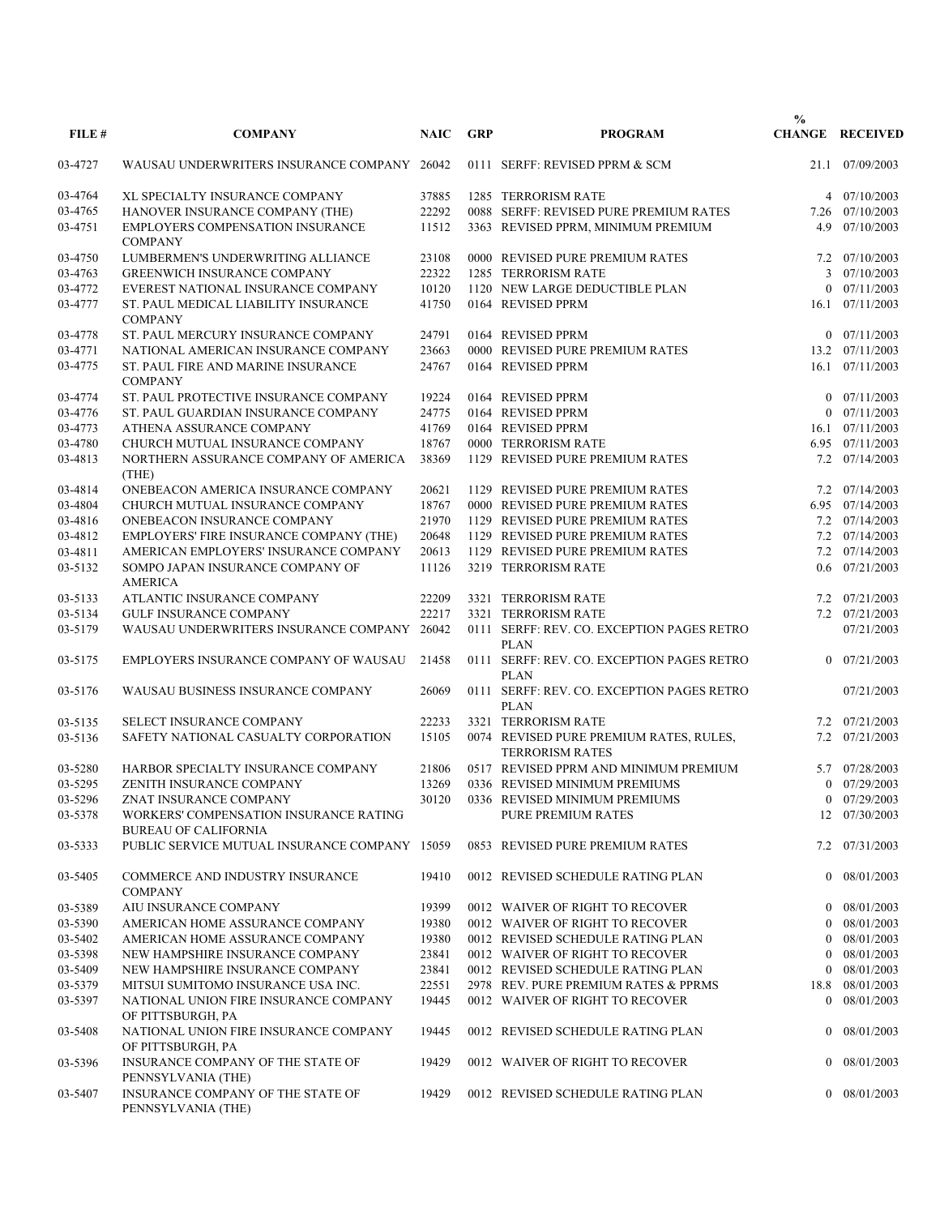| FILE#   | <b>COMPANY</b>                                                        | <b>NAIC</b> | <b>GRP</b> | <b>PROGRAM</b>                                                    | $\frac{0}{0}$ | <b>CHANGE RECEIVED</b> |
|---------|-----------------------------------------------------------------------|-------------|------------|-------------------------------------------------------------------|---------------|------------------------|
| 03-4727 | WAUSAU UNDERWRITERS INSURANCE COMPANY 26042                           |             |            | 0111 SERFF: REVISED PPRM & SCM                                    |               | 21.1 07/09/2003        |
| 03-4764 | XL SPECIALTY INSURANCE COMPANY                                        | 37885       |            | 1285 TERRORISM RATE                                               |               | 4 07/10/2003           |
| 03-4765 | HANOVER INSURANCE COMPANY (THE)                                       | 22292       |            | 0088 SERFF: REVISED PURE PREMIUM RATES                            |               | 7.26 07/10/2003        |
| 03-4751 | <b>EMPLOYERS COMPENSATION INSURANCE</b><br><b>COMPANY</b>             | 11512       |            | 3363 REVISED PPRM, MINIMUM PREMIUM                                |               | 4.9 07/10/2003         |
| 03-4750 | LUMBERMEN'S UNDERWRITING ALLIANCE                                     | 23108       |            | 0000 REVISED PURE PREMIUM RATES                                   |               | 7.2 07/10/2003         |
| 03-4763 | <b>GREENWICH INSURANCE COMPANY</b>                                    | 22322       |            | 1285 TERRORISM RATE                                               |               | 3 07/10/2003           |
| 03-4772 | EVEREST NATIONAL INSURANCE COMPANY                                    | 10120       |            | 1120 NEW LARGE DEDUCTIBLE PLAN                                    | $\theta$      | 07/11/2003             |
| 03-4777 | ST. PAUL MEDICAL LIABILITY INSURANCE<br><b>COMPANY</b>                | 41750       |            | 0164 REVISED PPRM                                                 |               | 16.1 07/11/2003        |
| 03-4778 | ST. PAUL MERCURY INSURANCE COMPANY                                    | 24791       |            | 0164 REVISED PPRM                                                 |               | $0$ $07/11/2003$       |
| 03-4771 | NATIONAL AMERICAN INSURANCE COMPANY                                   | 23663       |            | 0000 REVISED PURE PREMIUM RATES                                   |               | 13.2 07/11/2003        |
| 03-4775 | ST. PAUL FIRE AND MARINE INSURANCE<br><b>COMPANY</b>                  | 24767       |            | 0164 REVISED PPRM                                                 |               | 16.1 07/11/2003        |
| 03-4774 | ST. PAUL PROTECTIVE INSURANCE COMPANY                                 | 19224       |            | 0164 REVISED PPRM                                                 |               | $0$ $07/11/2003$       |
| 03-4776 | ST. PAUL GUARDIAN INSURANCE COMPANY                                   | 24775       |            | 0164 REVISED PPRM                                                 |               | $0$ 07/11/2003         |
| 03-4773 | ATHENA ASSURANCE COMPANY                                              | 41769       |            | 0164 REVISED PPRM                                                 |               | 16.1 07/11/2003        |
| 03-4780 | CHURCH MUTUAL INSURANCE COMPANY                                       | 18767       |            | 0000 TERRORISM RATE                                               |               | 6.95 07/11/2003        |
| 03-4813 | NORTHERN ASSURANCE COMPANY OF AMERICA<br>(THE)                        | 38369       |            | 1129 REVISED PURE PREMIUM RATES                                   |               | 7.2 07/14/2003         |
| 03-4814 | ONEBEACON AMERICA INSURANCE COMPANY                                   | 20621       |            | 1129 REVISED PURE PREMIUM RATES                                   |               | 7.2 07/14/2003         |
| 03-4804 | CHURCH MUTUAL INSURANCE COMPANY                                       | 18767       |            | 0000 REVISED PURE PREMIUM RATES                                   |               | 6.95 07/14/2003        |
| 03-4816 | ONEBEACON INSURANCE COMPANY                                           | 21970       |            | 1129 REVISED PURE PREMIUM RATES                                   |               | 7.2 07/14/2003         |
| 03-4812 | EMPLOYERS' FIRE INSURANCE COMPANY (THE)                               | 20648       |            | 1129 REVISED PURE PREMIUM RATES                                   |               | 7.2 07/14/2003         |
| 03-4811 | AMERICAN EMPLOYERS' INSURANCE COMPANY                                 | 20613       |            | 1129 REVISED PURE PREMIUM RATES                                   |               | 7.2 07/14/2003         |
| 03-5132 | SOMPO JAPAN INSURANCE COMPANY OF<br><b>AMERICA</b>                    | 11126       |            | 3219 TERRORISM RATE                                               |               | $0.6$ $07/21/2003$     |
| 03-5133 | ATLANTIC INSURANCE COMPANY                                            | 22209       |            | 3321 TERRORISM RATE                                               |               | 7.2 07/21/2003         |
| 03-5134 | <b>GULF INSURANCE COMPANY</b>                                         | 22217       |            | 3321 TERRORISM RATE                                               |               | 7.2 07/21/2003         |
| 03-5179 | WAUSAU UNDERWRITERS INSURANCE COMPANY 26042                           |             |            | 0111 SERFF: REV. CO. EXCEPTION PAGES RETRO<br><b>PLAN</b>         |               | 07/21/2003             |
| 03-5175 | EMPLOYERS INSURANCE COMPANY OF WAUSAU                                 | 21458       |            | 0111 SERFF: REV. CO. EXCEPTION PAGES RETRO<br><b>PLAN</b>         |               | $0$ $07/21/2003$       |
| 03-5176 | WAUSAU BUSINESS INSURANCE COMPANY                                     | 26069       |            | 0111 SERFF: REV. CO. EXCEPTION PAGES RETRO<br><b>PLAN</b>         |               | 07/21/2003             |
| 03-5135 | <b>SELECT INSURANCE COMPANY</b>                                       | 22233       |            | 3321 TERRORISM RATE                                               |               | 7.2 07/21/2003         |
| 03-5136 | SAFETY NATIONAL CASUALTY CORPORATION                                  | 15105       |            | 0074 REVISED PURE PREMIUM RATES, RULES,<br><b>TERRORISM RATES</b> |               | 7.2 07/21/2003         |
| 03-5280 | HARBOR SPECIALTY INSURANCE COMPANY                                    | 21806       |            | 0517 REVISED PPRM AND MINIMUM PREMIUM                             |               | 5.7 07/28/2003         |
| 03-5295 | ZENITH INSURANCE COMPANY                                              | 13269       |            | 0336 REVISED MINIMUM PREMIUMS                                     |               | $0$ $07/29/2003$       |
| 03-5296 | ZNAT INSURANCE COMPANY                                                | 30120       |            | 0336 REVISED MINIMUM PREMIUMS                                     |               | $0$ 07/29/2003         |
| 03-5378 | WORKERS' COMPENSATION INSURANCE RATING<br><b>BUREAU OF CALIFORNIA</b> |             |            | <b>PURE PREMIUM RATES</b>                                         |               | 12 07/30/2003          |
| 03-5333 | PUBLIC SERVICE MUTUAL INSURANCE COMPANY 15059                         |             |            | 0853 REVISED PURE PREMIUM RATES                                   |               | 7.2 07/31/2003         |
| 03-5405 | <b>COMMERCE AND INDUSTRY INSURANCE</b><br><b>COMPANY</b>              | 19410       |            | 0012 REVISED SCHEDULE RATING PLAN                                 |               | $0$ 08/01/2003         |
| 03-5389 | AIU INSURANCE COMPANY                                                 | 19399       |            | 0012 WAIVER OF RIGHT TO RECOVER                                   |               | $0$ 08/01/2003         |
| 03-5390 | AMERICAN HOME ASSURANCE COMPANY                                       | 19380       |            | 0012 WAIVER OF RIGHT TO RECOVER                                   |               | 08/01/2003             |
| 03-5402 | AMERICAN HOME ASSURANCE COMPANY                                       | 19380       |            | 0012 REVISED SCHEDULE RATING PLAN                                 |               | $0$ 08/01/2003         |
| 03-5398 | NEW HAMPSHIRE INSURANCE COMPANY                                       | 23841       |            | 0012 WAIVER OF RIGHT TO RECOVER                                   |               | $0$ 08/01/2003         |
| 03-5409 | NEW HAMPSHIRE INSURANCE COMPANY                                       | 23841       |            | 0012 REVISED SCHEDULE RATING PLAN                                 |               | 08/01/2003             |
| 03-5379 | MITSUI SUMITOMO INSURANCE USA INC.                                    | 22551       |            | 2978 REV. PURE PREMIUM RATES & PPRMS                              |               | 18.8 08/01/2003        |
| 03-5397 | NATIONAL UNION FIRE INSURANCE COMPANY<br>OF PITTSBURGH, PA            | 19445       |            | 0012 WAIVER OF RIGHT TO RECOVER                                   |               | $0$ 08/01/2003         |
| 03-5408 | NATIONAL UNION FIRE INSURANCE COMPANY<br>OF PITTSBURGH, PA            | 19445       |            | 0012 REVISED SCHEDULE RATING PLAN                                 |               | $0$ 08/01/2003         |
| 03-5396 | INSURANCE COMPANY OF THE STATE OF<br>PENNSYLVANIA (THE)               | 19429       |            | 0012 WAIVER OF RIGHT TO RECOVER                                   |               | $0$ 08/01/2003         |
| 03-5407 | INSURANCE COMPANY OF THE STATE OF<br>PENNSYLVANIA (THE)               | 19429       |            | 0012 REVISED SCHEDULE RATING PLAN                                 |               | $0$ 08/01/2003         |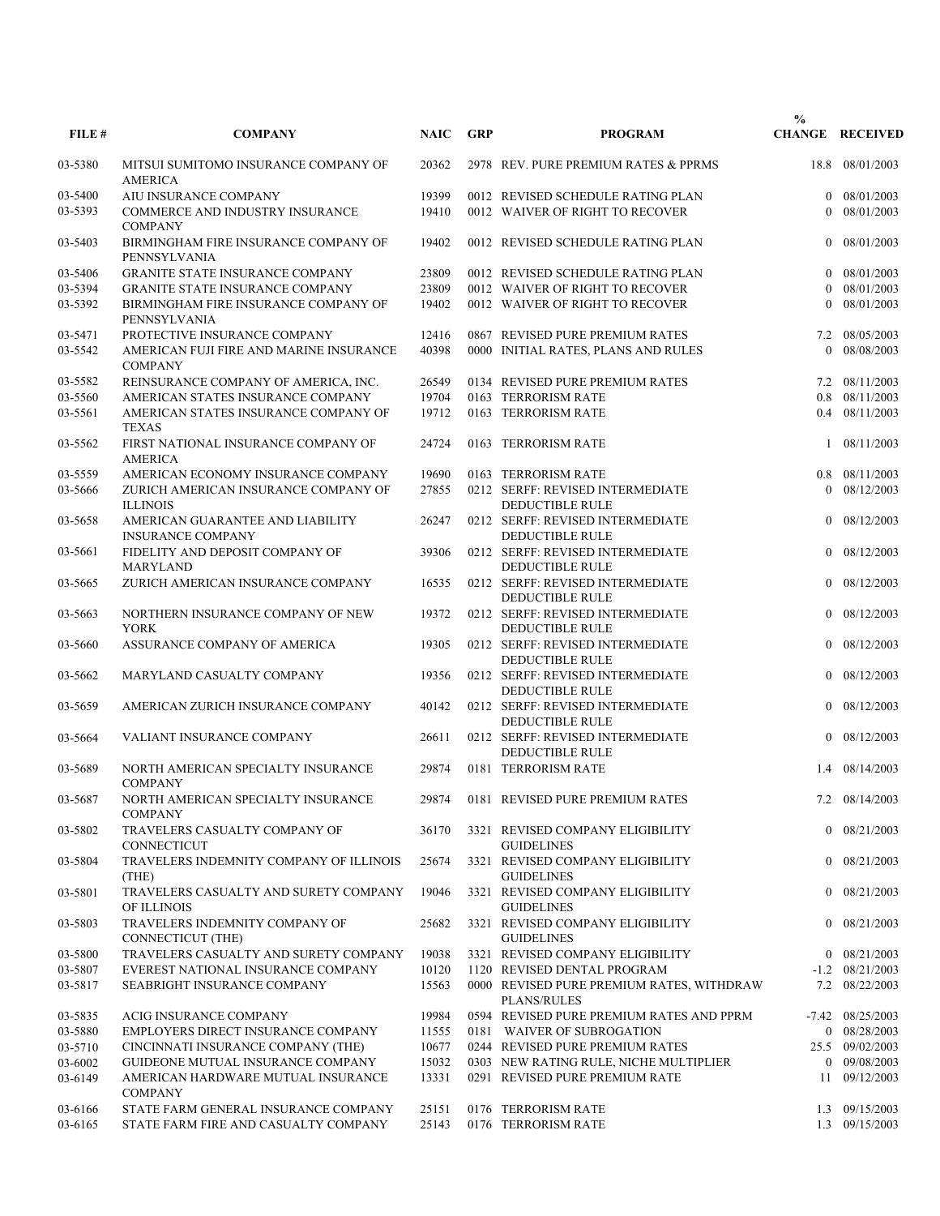| FILE#              | <b>COMPANY</b>                                               | <b>NAIC</b>    | <b>GRP</b> | <b>PROGRAM</b>                                                                                 | $\frac{0}{0}$  | <b>CHANGE RECEIVED</b>       |
|--------------------|--------------------------------------------------------------|----------------|------------|------------------------------------------------------------------------------------------------|----------------|------------------------------|
| 03-5380            | MITSUI SUMITOMO INSURANCE COMPANY OF<br><b>AMERICA</b>       | 20362          |            | 2978 REV. PURE PREMIUM RATES & PPRMS                                                           |                | 18.8 08/01/2003              |
| 03-5400            | AIU INSURANCE COMPANY                                        | 19399          |            | 0012 REVISED SCHEDULE RATING PLAN                                                              | $\theta$       | 08/01/2003                   |
| 03-5393            | <b>COMMERCE AND INDUSTRY INSURANCE</b><br><b>COMPANY</b>     | 19410          |            | 0012 WAIVER OF RIGHT TO RECOVER                                                                | $\Omega$       | 08/01/2003                   |
| 03-5403            | BIRMINGHAM FIRE INSURANCE COMPANY OF<br>PENNSYLVANIA         | 19402          |            | 0012 REVISED SCHEDULE RATING PLAN                                                              |                | $0$ 08/01/2003               |
| 03-5406            | <b>GRANITE STATE INSURANCE COMPANY</b>                       | 23809          |            | 0012 REVISED SCHEDULE RATING PLAN                                                              |                | $0$ 08/01/2003               |
| 03-5394            | <b>GRANITE STATE INSURANCE COMPANY</b>                       | 23809          |            | 0012 WAIVER OF RIGHT TO RECOVER                                                                |                | 08/01/2003                   |
| 03-5392            | BIRMINGHAM FIRE INSURANCE COMPANY OF<br>PENNSYLVANIA         | 19402          |            | 0012 WAIVER OF RIGHT TO RECOVER                                                                | 0              | 08/01/2003                   |
| 03-5471            | PROTECTIVE INSURANCE COMPANY                                 | 12416          |            | 0867 REVISED PURE PREMIUM RATES                                                                |                | 7.2 08/05/2003               |
| 03-5542            | AMERICAN FUJI FIRE AND MARINE INSURANCE<br><b>COMPANY</b>    | 40398          |            | 0000 INITIAL RATES, PLANS AND RULES                                                            | $\theta$       | 08/08/2003                   |
| 03-5582            | REINSURANCE COMPANY OF AMERICA, INC.                         | 26549          |            | 0134 REVISED PURE PREMIUM RATES                                                                |                | 7.2 08/11/2003               |
| 03-5560            | AMERICAN STATES INSURANCE COMPANY                            | 19704          |            | 0163 TERRORISM RATE                                                                            | 0.8            | 08/11/2003                   |
| 03-5561            | AMERICAN STATES INSURANCE COMPANY OF<br><b>TEXAS</b>         | 19712          |            | 0163 TERRORISM RATE                                                                            |                | 0.4 08/11/2003               |
| 03-5562            | FIRST NATIONAL INSURANCE COMPANY OF<br><b>AMERICA</b>        | 24724          |            | 0163 TERRORISM RATE                                                                            |                | 1 08/11/2003                 |
| 03-5559            | AMERICAN ECONOMY INSURANCE COMPANY                           | 19690          |            | 0163 TERRORISM RATE                                                                            |                | $0.8$ $08/11/2003$           |
| 03-5666            | ZURICH AMERICAN INSURANCE COMPANY OF                         | 27855          |            | 0212 SERFF: REVISED INTERMEDIATE                                                               | $\Omega$       | 08/12/2003                   |
|                    | <b>ILLINOIS</b>                                              |                |            | <b>DEDUCTIBLE RULE</b>                                                                         |                |                              |
| 03-5658            | AMERICAN GUARANTEE AND LIABILITY<br><b>INSURANCE COMPANY</b> | 26247          |            | 0212 SERFF: REVISED INTERMEDIATE<br><b>DEDUCTIBLE RULE</b>                                     |                | $0$ 08/12/2003               |
| 03-5661            | FIDELITY AND DEPOSIT COMPANY OF<br><b>MARYLAND</b>           | 39306          |            | 0212 SERFF: REVISED INTERMEDIATE<br><b>DEDUCTIBLE RULE</b>                                     | $\overline{0}$ | 08/12/2003                   |
| 03-5665            | ZURICH AMERICAN INSURANCE COMPANY                            | 16535          |            | 0212 SERFF: REVISED INTERMEDIATE<br><b>DEDUCTIBLE RULE</b>                                     |                | $0$ 08/12/2003               |
| 03-5663            | NORTHERN INSURANCE COMPANY OF NEW<br><b>YORK</b>             | 19372<br>19305 |            | 0212 SERFF: REVISED INTERMEDIATE<br><b>DEDUCTIBLE RULE</b>                                     | $\theta$       | $0$ 08/12/2003               |
| 03-5660<br>03-5662 | ASSURANCE COMPANY OF AMERICA<br>MARYLAND CASUALTY COMPANY    | 19356          |            | 0212 SERFF: REVISED INTERMEDIATE<br><b>DEDUCTIBLE RULE</b><br>0212 SERFF: REVISED INTERMEDIATE |                | 08/12/2003<br>$0$ 08/12/2003 |
|                    | AMERICAN ZURICH INSURANCE COMPANY                            | 40142          |            | <b>DEDUCTIBLE RULE</b><br>0212 SERFF: REVISED INTERMEDIATE                                     |                | $0$ 08/12/2003               |
| 03-5659<br>03-5664 | VALIANT INSURANCE COMPANY                                    | 26611          |            | <b>DEDUCTIBLE RULE</b><br>0212 SERFF: REVISED INTERMEDIATE                                     | $\theta$       | 08/12/2003                   |
| 03-5689            | NORTH AMERICAN SPECIALTY INSURANCE                           | 29874          |            | <b>DEDUCTIBLE RULE</b><br>0181 TERRORISM RATE                                                  |                | 1.4 08/14/2003               |
| 03-5687            | <b>COMPANY</b><br>NORTH AMERICAN SPECIALTY INSURANCE         |                |            | 29874 0181 REVISED PURE PREMIUM RATES                                                          |                | 7.2 08/14/2003               |
| 03-5802            | <b>COMPANY</b><br>TRAVELERS CASUALTY COMPANY OF              | 36170          |            | 3321 REVISED COMPANY ELIGIBILITY                                                               |                | $0$ 08/21/2003               |
| 03-5804            | CONNECTICUT<br>TRAVELERS INDEMNITY COMPANY OF ILLINOIS       | 25674          |            | <b>GUIDELINES</b><br>3321 REVISED COMPANY ELIGIBILITY                                          |                | $0$ 08/21/2003               |
| 03-5801            | (THE)<br>TRAVELERS CASUALTY AND SURETY COMPANY               | 19046          |            | <b>GUIDELINES</b><br>3321 REVISED COMPANY ELIGIBILITY                                          |                | $0$ 08/21/2003               |
| 03-5803            | OF ILLINOIS<br>TRAVELERS INDEMNITY COMPANY OF                | 25682          |            | <b>GUIDELINES</b><br>3321 REVISED COMPANY ELIGIBILITY                                          |                | $0$ 08/21/2003               |
| 03-5800            | CONNECTICUT (THE)<br>TRAVELERS CASUALTY AND SURETY COMPANY   | 19038          |            | <b>GUIDELINES</b><br>3321 REVISED COMPANY ELIGIBILITY                                          |                | $0$ 08/21/2003               |
| 03-5807            | EVEREST NATIONAL INSURANCE COMPANY                           | 10120          |            | 1120 REVISED DENTAL PROGRAM                                                                    |                | $-1.2$ 08/21/2003            |
| 03-5817            | SEABRIGHT INSURANCE COMPANY                                  | 15563          |            | 0000 REVISED PURE PREMIUM RATES, WITHDRAW<br><b>PLANS/RULES</b>                                |                | 7.2 08/22/2003               |
| 03-5835            | ACIG INSURANCE COMPANY                                       | 19984          |            | 0594 REVISED PURE PREMIUM RATES AND PPRM                                                       |                | $-7.42$ 08/25/2003           |
| 03-5880            | EMPLOYERS DIRECT INSURANCE COMPANY                           | 11555          |            | 0181 WAIVER OF SUBROGATION                                                                     |                | $0$ 08/28/2003               |
| 03-5710            | CINCINNATI INSURANCE COMPANY (THE)                           | 10677          |            | 0244 REVISED PURE PREMIUM RATES                                                                |                | 25.5 09/02/2003              |
| 03-6002            | GUIDEONE MUTUAL INSURANCE COMPANY                            | 15032          |            | 0303 NEW RATING RULE, NICHE MULTIPLIER                                                         |                | 0 09/08/2003                 |
| 03-6149            | AMERICAN HARDWARE MUTUAL INSURANCE<br><b>COMPANY</b>         | 13331          |            | 0291 REVISED PURE PREMIUM RATE                                                                 |                | 11 09/12/2003                |
| 03-6166            | STATE FARM GENERAL INSURANCE COMPANY                         | 25151          |            | 0176 TERRORISM RATE                                                                            |                | 1.3 09/15/2003               |
| 03-6165            | STATE FARM FIRE AND CASUALTY COMPANY                         | 25143          |            | 0176 TERRORISM RATE                                                                            |                | 1.3 09/15/2003               |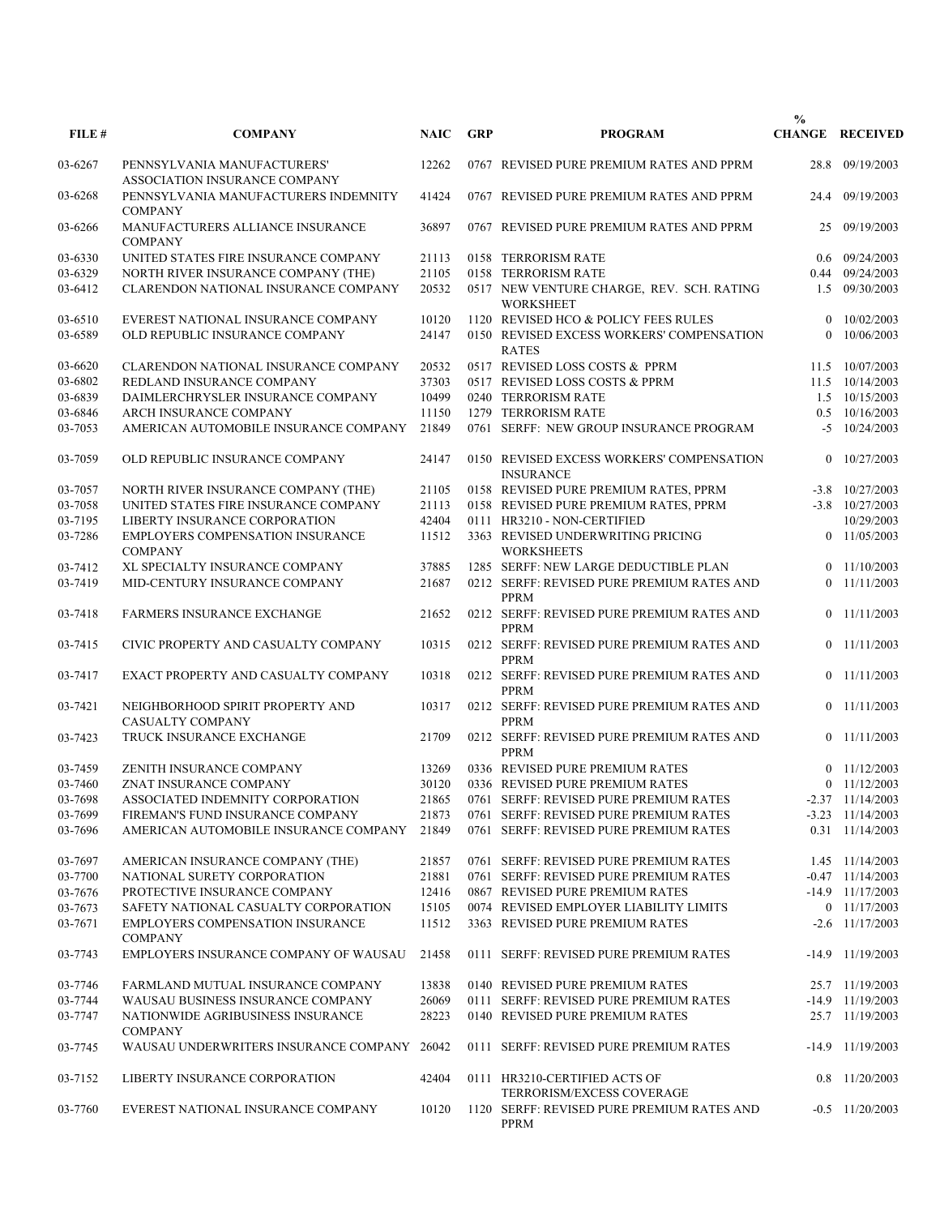|         |                                                              |             |            |                                                               | $\frac{0}{0}$ |                         |
|---------|--------------------------------------------------------------|-------------|------------|---------------------------------------------------------------|---------------|-------------------------|
| FILE #  | <b>COMPANY</b>                                               | <b>NAIC</b> | <b>GRP</b> | <b>PROGRAM</b>                                                |               | <b>CHANGE RECEIVED</b>  |
| 03-6267 | PENNSYLVANIA MANUFACTURERS'<br>ASSOCIATION INSURANCE COMPANY | 12262       |            | 0767 REVISED PURE PREMIUM RATES AND PPRM                      |               | 28.8 09/19/2003         |
| 03-6268 | PENNSYLVANIA MANUFACTURERS INDEMNITY<br><b>COMPANY</b>       | 41424       |            | 0767 REVISED PURE PREMIUM RATES AND PPRM                      |               | 24.4 09/19/2003         |
| 03-6266 | MANUFACTURERS ALLIANCE INSURANCE<br><b>COMPANY</b>           | 36897       |            | 0767 REVISED PURE PREMIUM RATES AND PPRM                      | 25            | 09/19/2003              |
| 03-6330 | UNITED STATES FIRE INSURANCE COMPANY                         | 21113       |            | 0158 TERRORISM RATE                                           |               | 0.6 09/24/2003          |
| 03-6329 | NORTH RIVER INSURANCE COMPANY (THE)                          | 21105       |            | 0158 TERRORISM RATE                                           |               | 0.44 09/24/2003         |
| 03-6412 | CLARENDON NATIONAL INSURANCE COMPANY                         | 20532       |            | 0517 NEW VENTURE CHARGE, REV. SCH. RATING<br><b>WORKSHEET</b> | 1.5           | 09/30/2003              |
| 03-6510 | EVEREST NATIONAL INSURANCE COMPANY                           | 10120       |            | 1120 REVISED HCO & POLICY FEES RULES                          | $\theta$      | 10/02/2003              |
| 03-6589 | OLD REPUBLIC INSURANCE COMPANY                               | 24147       |            | 0150 REVISED EXCESS WORKERS' COMPENSATION<br><b>RATES</b>     | $\Omega$      | 10/06/2003              |
| 03-6620 | CLARENDON NATIONAL INSURANCE COMPANY                         | 20532       |            | 0517 REVISED LOSS COSTS & PPRM                                | 11.5          | 10/07/2003              |
| 03-6802 | REDLAND INSURANCE COMPANY                                    | 37303       |            | 0517 REVISED LOSS COSTS & PPRM                                |               | 11.5 10/14/2003         |
| 03-6839 | DAIMLERCHRYSLER INSURANCE COMPANY                            | 10499       |            | 0240 TERRORISM RATE                                           |               | 1.5 10/15/2003          |
|         |                                                              |             |            |                                                               |               |                         |
| 03-6846 | ARCH INSURANCE COMPANY                                       | 11150       |            | 1279 TERRORISM RATE                                           | 0.5           | 10/16/2003              |
| 03-7053 | AMERICAN AUTOMOBILE INSURANCE COMPANY                        | 21849       |            | 0761 SERFF: NEW GROUP INSURANCE PROGRAM                       |               | $-5$ 10/24/2003         |
| 03-7059 | OLD REPUBLIC INSURANCE COMPANY                               | 24147       |            | 0150 REVISED EXCESS WORKERS' COMPENSATION<br><b>INSURANCE</b> | 0             | 10/27/2003              |
| 03-7057 | NORTH RIVER INSURANCE COMPANY (THE)                          | 21105       |            | 0158 REVISED PURE PREMIUM RATES, PPRM                         |               | $-3.8$ $10/27/2003$     |
| 03-7058 | UNITED STATES FIRE INSURANCE COMPANY                         | 21113       |            | 0158 REVISED PURE PREMIUM RATES, PPRM                         |               | $-3.8$ $10/27/2003$     |
| 03-7195 | LIBERTY INSURANCE CORPORATION                                | 42404       |            | 0111 HR3210 - NON-CERTIFIED                                   |               | 10/29/2003              |
| 03-7286 | <b>EMPLOYERS COMPENSATION INSURANCE</b><br><b>COMPANY</b>    | 11512       |            | 3363 REVISED UNDERWRITING PRICING<br><b>WORKSHEETS</b>        |               | $0$ 11/05/2003          |
| 03-7412 | XL SPECIALTY INSURANCE COMPANY                               | 37885       |            | 1285 SERFF: NEW LARGE DEDUCTIBLE PLAN                         |               | $0$ 11/10/2003          |
| 03-7419 | MID-CENTURY INSURANCE COMPANY                                | 21687       |            | 0212 SERFF: REVISED PURE PREMIUM RATES AND<br><b>PPRM</b>     |               | $0$ 11/11/2003          |
| 03-7418 | <b>FARMERS INSURANCE EXCHANGE</b>                            | 21652       |            | 0212 SERFF: REVISED PURE PREMIUM RATES AND<br><b>PPRM</b>     |               | $0$ 11/11/2003          |
| 03-7415 | CIVIC PROPERTY AND CASUALTY COMPANY                          | 10315       |            | 0212 SERFF: REVISED PURE PREMIUM RATES AND<br><b>PPRM</b>     |               | $0$ 11/11/2003          |
| 03-7417 | EXACT PROPERTY AND CASUALTY COMPANY                          | 10318       |            | 0212 SERFF: REVISED PURE PREMIUM RATES AND<br><b>PPRM</b>     |               | $0$ 11/11/2003          |
| 03-7421 | NEIGHBORHOOD SPIRIT PROPERTY AND<br><b>CASUALTY COMPANY</b>  | 10317       |            | 0212 SERFF: REVISED PURE PREMIUM RATES AND<br><b>PPRM</b>     |               | $0$ 11/11/2003          |
| 03-7423 | TRUCK INSURANCE EXCHANGE                                     | 21709       |            | 0212 SERFF: REVISED PURE PREMIUM RATES AND<br><b>PPRM</b>     |               | $0$ 11/11/2003          |
| 03-7459 | ZENITH INSURANCE COMPANY                                     | 13269       |            | 0336 REVISED PURE PREMIUM RATES                               |               | $0$ 11/12/2003          |
| 03-7460 | ZNAT INSURANCE COMPANY                                       | 30120       |            | 0336 REVISED PURE PREMIUM RATES                               |               | $0$ 11/12/2003          |
| 03-7698 | ASSOCIATED INDEMNITY CORPORATION                             | 21865       |            | 0761 SERFF: REVISED PURE PREMIUM RATES                        |               | $-2.37$ $11/14/2003$    |
| 03-7699 | FIREMAN'S FUND INSURANCE COMPANY                             | 21873       |            | 0761 SERFF: REVISED PURE PREMIUM RATES                        |               | $-3.23$ $11/14/2003$    |
| 03-7696 | AMERICAN AUTOMOBILE INSURANCE COMPANY                        | 21849       |            | 0761 SERFF: REVISED PURE PREMIUM RATES                        |               | $0.31 \quad 11/14/2003$ |
| 03-7697 | AMERICAN INSURANCE COMPANY (THE)                             | 21857       |            | 0761 SERFF: REVISED PURE PREMIUM RATES                        |               | 1.45 11/14/2003         |
| 03-7700 | NATIONAL SURETY CORPORATION                                  | 21881       |            | 0761 SERFF: REVISED PURE PREMIUM RATES                        |               | $-0.47$ 11/14/2003      |
| 03-7676 | PROTECTIVE INSURANCE COMPANY                                 | 12416       |            | 0867 REVISED PURE PREMIUM RATES                               |               | $-14.9$ $11/17/2003$    |
| 03-7673 | SAFETY NATIONAL CASUALTY CORPORATION                         | 15105       |            | 0074 REVISED EMPLOYER LIABILITY LIMITS                        |               | $0$ 11/17/2003          |
| 03-7671 | EMPLOYERS COMPENSATION INSURANCE<br><b>COMPANY</b>           | 11512       |            | 3363 REVISED PURE PREMIUM RATES                               |               | $-2.6$ 11/17/2003       |
| 03-7743 | EMPLOYERS INSURANCE COMPANY OF WAUSAU                        | 21458       |            | 0111 SERFF: REVISED PURE PREMIUM RATES                        |               | $-14.9$ $11/19/2003$    |
| 03-7746 | FARMLAND MUTUAL INSURANCE COMPANY                            | 13838       |            | 0140 REVISED PURE PREMIUM RATES                               |               | 25.7 11/19/2003         |
| 03-7744 | WAUSAU BUSINESS INSURANCE COMPANY                            | 26069       |            | 0111 SERFF: REVISED PURE PREMIUM RATES                        |               | $-14.9$ $11/19/2003$    |
| 03-7747 | NATIONWIDE AGRIBUSINESS INSURANCE<br><b>COMPANY</b>          | 28223       |            | 0140 REVISED PURE PREMIUM RATES                               |               | 25.7 11/19/2003         |
| 03-7745 | WAUSAU UNDERWRITERS INSURANCE COMPANY 26042                  |             |            | 0111 SERFF: REVISED PURE PREMIUM RATES                        |               | $-14.9$ $11/19/2003$    |
| 03-7152 | LIBERTY INSURANCE CORPORATION                                | 42404       |            | 0111 HR3210-CERTIFIED ACTS OF<br>TERRORISM/EXCESS COVERAGE    |               | 0.8 11/20/2003          |
| 03-7760 | EVEREST NATIONAL INSURANCE COMPANY                           | 10120       |            | 1120 SERFF: REVISED PURE PREMIUM RATES AND<br>PPRM            |               | $-0.5$ 11/20/2003       |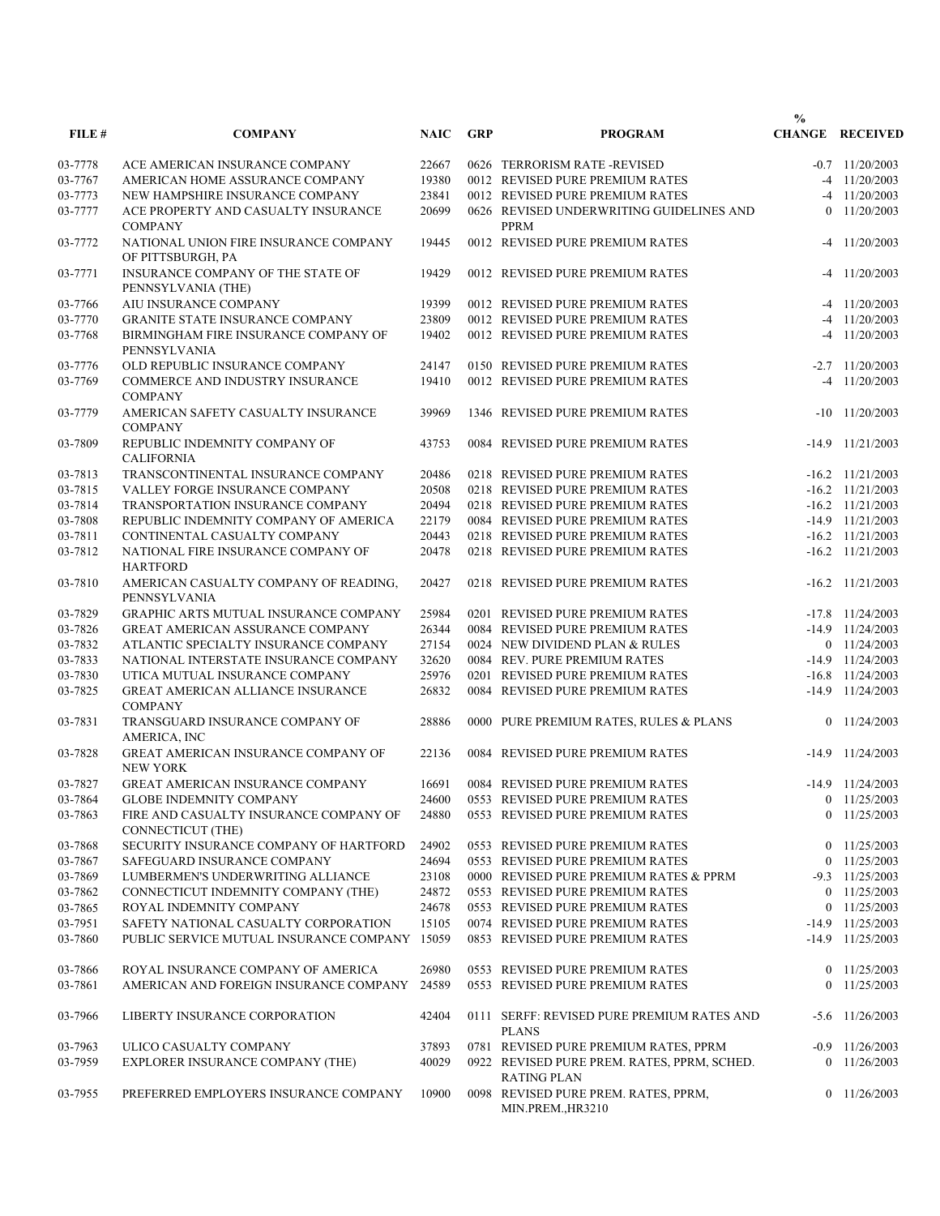|         |                                                             |             |            |                                                                   | $\frac{0}{0}$  |                        |
|---------|-------------------------------------------------------------|-------------|------------|-------------------------------------------------------------------|----------------|------------------------|
| FILE#   | <b>COMPANY</b>                                              | <b>NAIC</b> | <b>GRP</b> | <b>PROGRAM</b>                                                    |                | <b>CHANGE RECEIVED</b> |
| 03-7778 | ACE AMERICAN INSURANCE COMPANY                              | 22667       |            | 0626 TERRORISM RATE -REVISED                                      |                | $-0.7$ 11/20/2003      |
| 03-7767 | AMERICAN HOME ASSURANCE COMPANY                             | 19380       |            | 0012 REVISED PURE PREMIUM RATES                                   |                | $-4$ 11/20/2003        |
| 03-7773 | NEW HAMPSHIRE INSURANCE COMPANY                             | 23841       |            | 0012 REVISED PURE PREMIUM RATES                                   |                | $-4$ 11/20/2003        |
| 03-7777 | ACE PROPERTY AND CASUALTY INSURANCE<br><b>COMPANY</b>       | 20699       |            | 0626 REVISED UNDERWRITING GUIDELINES AND<br>PPRM                  | $\overline{0}$ | 11/20/2003             |
| 03-7772 | NATIONAL UNION FIRE INSURANCE COMPANY<br>OF PITTSBURGH, PA  | 19445       |            | 0012 REVISED PURE PREMIUM RATES                                   |                | $-4$ 11/20/2003        |
| 03-7771 | INSURANCE COMPANY OF THE STATE OF<br>PENNSYLVANIA (THE)     | 19429       |            | 0012 REVISED PURE PREMIUM RATES                                   |                | $-4$ 11/20/2003        |
| 03-7766 | AIU INSURANCE COMPANY                                       | 19399       |            | 0012 REVISED PURE PREMIUM RATES                                   |                | $-4$ 11/20/2003        |
| 03-7770 | <b>GRANITE STATE INSURANCE COMPANY</b>                      | 23809       |            | 0012 REVISED PURE PREMIUM RATES                                   |                | $-4$ 11/20/2003        |
| 03-7768 | BIRMINGHAM FIRE INSURANCE COMPANY OF<br>PENNSYLVANIA        | 19402       |            | 0012 REVISED PURE PREMIUM RATES                                   |                | $-4$ 11/20/2003        |
| 03-7776 | OLD REPUBLIC INSURANCE COMPANY                              | 24147       |            | 0150 REVISED PURE PREMIUM RATES                                   |                | $-2.7$ $11/20/2003$    |
| 03-7769 | COMMERCE AND INDUSTRY INSURANCE<br><b>COMPANY</b>           | 19410       |            | 0012 REVISED PURE PREMIUM RATES                                   |                | $-4$ 11/20/2003        |
| 03-7779 | AMERICAN SAFETY CASUALTY INSURANCE<br><b>COMPANY</b>        | 39969       |            | 1346 REVISED PURE PREMIUM RATES                                   |                | $-10$ $11/20/2003$     |
| 03-7809 | REPUBLIC INDEMNITY COMPANY OF<br><b>CALIFORNIA</b>          | 43753       |            | 0084 REVISED PURE PREMIUM RATES                                   |                | $-14.9$ $11/21/2003$   |
| 03-7813 | TRANSCONTINENTAL INSURANCE COMPANY                          | 20486       |            | 0218 REVISED PURE PREMIUM RATES                                   |                | $-16.2$ $11/21/2003$   |
| 03-7815 | VALLEY FORGE INSURANCE COMPANY                              | 20508       |            | 0218 REVISED PURE PREMIUM RATES                                   |                | $-16.2$ $11/21/2003$   |
| 03-7814 | TRANSPORTATION INSURANCE COMPANY                            | 20494       |            | 0218 REVISED PURE PREMIUM RATES                                   |                | $-16.2$ $11/21/2003$   |
| 03-7808 | REPUBLIC INDEMNITY COMPANY OF AMERICA                       | 22179       |            | 0084 REVISED PURE PREMIUM RATES                                   |                | $-14.9$ $11/21/2003$   |
| 03-7811 | CONTINENTAL CASUALTY COMPANY                                | 20443       |            | 0218 REVISED PURE PREMIUM RATES                                   |                | $-16.2$ $11/21/2003$   |
| 03-7812 | NATIONAL FIRE INSURANCE COMPANY OF<br><b>HARTFORD</b>       | 20478       |            | 0218 REVISED PURE PREMIUM RATES                                   |                | $-16.2$ $11/21/2003$   |
| 03-7810 | AMERICAN CASUALTY COMPANY OF READING,<br>PENNSYLVANIA       | 20427       |            | 0218 REVISED PURE PREMIUM RATES                                   |                | $-16.2$ $11/21/2003$   |
| 03-7829 | <b>GRAPHIC ARTS MUTUAL INSURANCE COMPANY</b>                | 25984       |            | 0201 REVISED PURE PREMIUM RATES                                   |                | $-17.8$ $11/24/2003$   |
| 03-7826 | GREAT AMERICAN ASSURANCE COMPANY                            | 26344       |            | 0084 REVISED PURE PREMIUM RATES                                   |                | $-14.9$ $11/24/2003$   |
| 03-7832 | ATLANTIC SPECIALTY INSURANCE COMPANY                        | 27154       |            | 0024 NEW DIVIDEND PLAN & RULES                                    |                | $0$ 11/24/2003         |
| 03-7833 | NATIONAL INTERSTATE INSURANCE COMPANY                       | 32620       |            | 0084 REV. PURE PREMIUM RATES                                      |                | $-14.9$ $11/24/2003$   |
| 03-7830 | UTICA MUTUAL INSURANCE COMPANY                              | 25976       |            | 0201 REVISED PURE PREMIUM RATES                                   |                | $-16.8$ $11/24/2003$   |
| 03-7825 | <b>GREAT AMERICAN ALLIANCE INSURANCE</b><br><b>COMPANY</b>  | 26832       |            | 0084 REVISED PURE PREMIUM RATES                                   |                | $-14.9$ $11/24/2003$   |
| 03-7831 | TRANSGUARD INSURANCE COMPANY OF<br>AMERICA, INC             | 28886       |            | 0000 PURE PREMIUM RATES, RULES & PLANS                            |                | $0$ 11/24/2003         |
| 03-7828 | GREAT AMERICAN INSURANCE COMPANY OF<br><b>NEW YORK</b>      | 22136       |            | 0084 REVISED PURE PREMIUM RATES                                   | $-14.9$        | 11/24/2003             |
| 03-7827 | <b>GREAT AMERICAN INSURANCE COMPANY</b>                     | 16691       |            | 0084 REVISED PURE PREMIUM RATES                                   |                | $-14.9$ $11/24/2003$   |
| 03-7864 | <b>GLOBE INDEMNITY COMPANY</b>                              |             |            | 24600 0553 REVISED PURE PREMIUM RATES                             |                | $0$ 11/25/2003         |
| 03-7863 | FIRE AND CASUALTY INSURANCE COMPANY OF<br>CONNECTICUT (THE) | 24880       |            | 0553 REVISED PURE PREMIUM RATES                                   |                | $0$ 11/25/2003         |
| 03-7868 | SECURITY INSURANCE COMPANY OF HARTFORD                      | 24902       |            | 0553 REVISED PURE PREMIUM RATES                                   |                | $0$ 11/25/2003         |
| 03-7867 | SAFEGUARD INSURANCE COMPANY                                 | 24694       |            | 0553 REVISED PURE PREMIUM RATES                                   |                | $0$ 11/25/2003         |
| 03-7869 | LUMBERMEN'S UNDERWRITING ALLIANCE                           | 23108       |            | 0000 REVISED PURE PREMIUM RATES & PPRM                            |                | $-9.3$ $11/25/2003$    |
| 03-7862 | CONNECTICUT INDEMNITY COMPANY (THE)                         | 24872       |            | 0553 REVISED PURE PREMIUM RATES                                   |                | $0$ 11/25/2003         |
| 03-7865 | ROYAL INDEMNITY COMPANY                                     | 24678       |            | 0553 REVISED PURE PREMIUM RATES                                   |                | $0$ 11/25/2003         |
| 03-7951 | SAFETY NATIONAL CASUALTY CORPORATION                        | 15105       |            | 0074 REVISED PURE PREMIUM RATES                                   |                | $-14.9$ $11/25/2003$   |
| 03-7860 | PUBLIC SERVICE MUTUAL INSURANCE COMPANY 15059               |             |            | 0853 REVISED PURE PREMIUM RATES                                   |                | $-14.9$ $11/25/2003$   |
| 03-7866 | ROYAL INSURANCE COMPANY OF AMERICA                          | 26980       |            | 0553 REVISED PURE PREMIUM RATES                                   |                | $0$ 11/25/2003         |
| 03-7861 | AMERICAN AND FOREIGN INSURANCE COMPANY                      | 24589       |            | 0553 REVISED PURE PREMIUM RATES                                   |                | $0$ 11/25/2003         |
| 03-7966 | LIBERTY INSURANCE CORPORATION                               | 42404       |            | 0111 SERFF: REVISED PURE PREMIUM RATES AND<br><b>PLANS</b>        |                | $-5.6$ 11/26/2003      |
| 03-7963 | ULICO CASUALTY COMPANY                                      | 37893       |            | 0781 REVISED PURE PREMIUM RATES, PPRM                             |                | $-0.9$ $11/26/2003$    |
| 03-7959 | EXPLORER INSURANCE COMPANY (THE)                            | 40029       |            | 0922 REVISED PURE PREM. RATES, PPRM, SCHED.<br><b>RATING PLAN</b> |                | $0$ 11/26/2003         |
| 03-7955 | PREFERRED EMPLOYERS INSURANCE COMPANY                       | 10900       |            | 0098 REVISED PURE PREM. RATES, PPRM,<br>MIN.PREM., HR3210         |                | $0$ 11/26/2003         |
|         |                                                             |             |            |                                                                   |                |                        |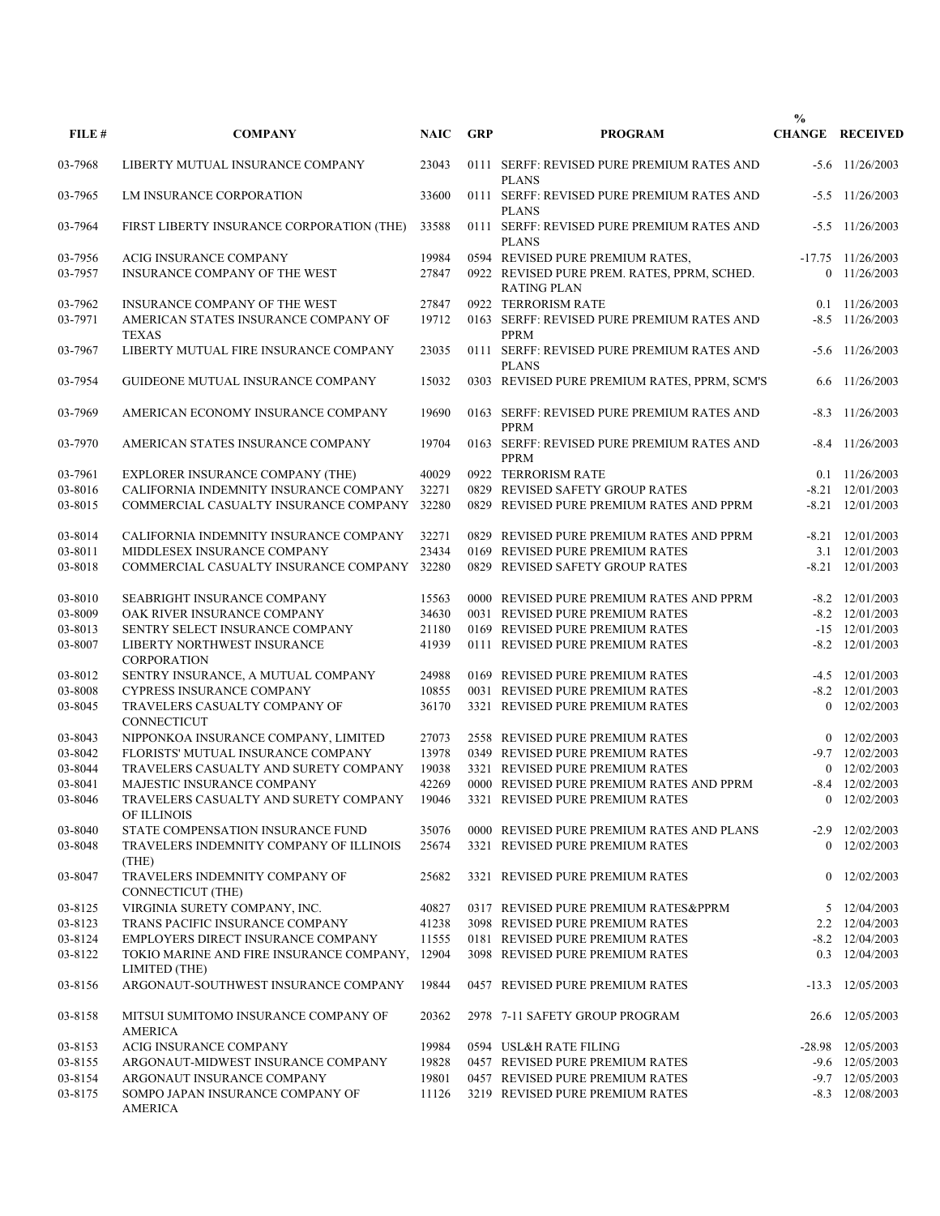|         |                                                            |             |            |                                                                   | $\frac{0}{0}$ |                        |
|---------|------------------------------------------------------------|-------------|------------|-------------------------------------------------------------------|---------------|------------------------|
| FILE#   | <b>COMPANY</b>                                             | <b>NAIC</b> | <b>GRP</b> | <b>PROGRAM</b>                                                    |               | <b>CHANGE RECEIVED</b> |
| 03-7968 | LIBERTY MUTUAL INSURANCE COMPANY                           | 23043       |            | 0111 SERFF: REVISED PURE PREMIUM RATES AND<br><b>PLANS</b>        |               | $-5.6$ 11/26/2003      |
| 03-7965 | LM INSURANCE CORPORATION                                   | 33600       |            | 0111 SERFF: REVISED PURE PREMIUM RATES AND<br><b>PLANS</b>        |               | $-5.5$ 11/26/2003      |
| 03-7964 | FIRST LIBERTY INSURANCE CORPORATION (THE)                  | 33588       |            | 0111 SERFF: REVISED PURE PREMIUM RATES AND<br><b>PLANS</b>        |               | $-5.5$ 11/26/2003      |
| 03-7956 | ACIG INSURANCE COMPANY                                     | 19984       |            | 0594 REVISED PURE PREMIUM RATES,                                  |               | $-17.75$ $11/26/2003$  |
| 03-7957 | INSURANCE COMPANY OF THE WEST                              | 27847       |            | 0922 REVISED PURE PREM. RATES, PPRM, SCHED.<br><b>RATING PLAN</b> |               | $0$ 11/26/2003         |
| 03-7962 | INSURANCE COMPANY OF THE WEST                              | 27847       |            | 0922 TERRORISM RATE                                               |               | $0.1$ 11/26/2003       |
| 03-7971 | AMERICAN STATES INSURANCE COMPANY OF<br><b>TEXAS</b>       | 19712       |            | 0163 SERFF: REVISED PURE PREMIUM RATES AND<br><b>PPRM</b>         |               | $-8.5$ 11/26/2003      |
| 03-7967 | LIBERTY MUTUAL FIRE INSURANCE COMPANY                      | 23035       |            | 0111 SERFF: REVISED PURE PREMIUM RATES AND<br><b>PLANS</b>        |               | $-5.6$ 11/26/2003      |
| 03-7954 | GUIDEONE MUTUAL INSURANCE COMPANY                          | 15032       |            | 0303 REVISED PURE PREMIUM RATES, PPRM, SCM'S                      | 6.6           | 11/26/2003             |
| 03-7969 | AMERICAN ECONOMY INSURANCE COMPANY                         | 19690       |            | 0163 SERFF: REVISED PURE PREMIUM RATES AND<br><b>PPRM</b>         |               | $-8.3$ 11/26/2003      |
| 03-7970 | AMERICAN STATES INSURANCE COMPANY                          | 19704       |            | 0163 SERFF: REVISED PURE PREMIUM RATES AND<br><b>PPRM</b>         |               | $-8.4$ 11/26/2003      |
| 03-7961 | EXPLORER INSURANCE COMPANY (THE)                           | 40029       |            | 0922 TERRORISM RATE                                               |               | $0.1 \quad 11/26/2003$ |
| 03-8016 | CALIFORNIA INDEMNITY INSURANCE COMPANY                     | 32271       |            | 0829 REVISED SAFETY GROUP RATES                                   |               | $-8.21$ $12/01/2003$   |
| 03-8015 | COMMERCIAL CASUALTY INSURANCE COMPANY                      | 32280       |            | 0829 REVISED PURE PREMIUM RATES AND PPRM                          |               | $-8.21$ $12/01/2003$   |
| 03-8014 | CALIFORNIA INDEMNITY INSURANCE COMPANY                     | 32271       |            | 0829 REVISED PURE PREMIUM RATES AND PPRM                          |               | $-8.21$ $12/01/2003$   |
| 03-8011 | MIDDLESEX INSURANCE COMPANY                                | 23434       |            | 0169 REVISED PURE PREMIUM RATES                                   |               | 3.1 12/01/2003         |
| 03-8018 | COMMERCIAL CASUALTY INSURANCE COMPANY                      | 32280       |            | 0829 REVISED SAFETY GROUP RATES                                   |               | $-8.21$ $12/01/2003$   |
| 03-8010 | <b>SEABRIGHT INSURANCE COMPANY</b>                         | 15563       |            | 0000 REVISED PURE PREMIUM RATES AND PPRM                          |               | $-8.2$ 12/01/2003      |
| 03-8009 | OAK RIVER INSURANCE COMPANY                                | 34630       |            | 0031 REVISED PURE PREMIUM RATES                                   |               | $-8.2$ 12/01/2003      |
| 03-8013 | SENTRY SELECT INSURANCE COMPANY                            | 21180       |            | 0169 REVISED PURE PREMIUM RATES                                   |               | $-15$ $12/01/2003$     |
| 03-8007 | LIBERTY NORTHWEST INSURANCE<br><b>CORPORATION</b>          | 41939       |            | 0111 REVISED PURE PREMIUM RATES                                   |               | $-8.2$ $12/01/2003$    |
| 03-8012 | SENTRY INSURANCE, A MUTUAL COMPANY                         | 24988       |            | 0169 REVISED PURE PREMIUM RATES                                   |               | $-4.5$ 12/01/2003      |
| 03-8008 | CYPRESS INSURANCE COMPANY                                  | 10855       |            | 0031 REVISED PURE PREMIUM RATES                                   |               | $-8.2$ 12/01/2003      |
| 03-8045 | TRAVELERS CASUALTY COMPANY OF<br>CONNECTICUT               | 36170       |            | 3321 REVISED PURE PREMIUM RATES                                   |               | $0$ 12/02/2003         |
| 03-8043 | NIPPONKOA INSURANCE COMPANY, LIMITED                       | 27073       |            | 2558 REVISED PURE PREMIUM RATES                                   |               | $0$ 12/02/2003         |
| 03-8042 | FLORISTS' MUTUAL INSURANCE COMPANY                         | 13978       |            | 0349 REVISED PURE PREMIUM RATES                                   |               | $-9.7$ $12/02/2003$    |
| 03-8044 | TRAVELERS CASUALTY AND SURETY COMPANY                      | 19038       |            | 3321 REVISED PURE PREMIUM RATES                                   |               | $0$ 12/02/2003         |
| 03-8041 | MAJESTIC INSURANCE COMPANY                                 | 42269       |            | 0000 REVISED PURE PREMIUM RATES AND PPRM                          |               | $-8.4$ 12/02/2003      |
| 03-8046 | TRAVELERS CASUALTY AND SURETY COMPANY 19046<br>OF ILLINOIS |             |            | 3321 REVISED PURE PREMIUM RATES                                   |               | $0$ 12/02/2003         |
| 03-8040 | STATE COMPENSATION INSURANCE FUND                          | 35076       |            | 0000 REVISED PURE PREMIUM RATES AND PLANS                         |               | $-2.9$ $12/02/2003$    |
| 03-8048 | TRAVELERS INDEMNITY COMPANY OF ILLINOIS<br>(THE)           | 25674       |            | 3321 REVISED PURE PREMIUM RATES                                   |               | 0 12/02/2003           |
| 03-8047 | TRAVELERS INDEMNITY COMPANY OF<br>CONNECTICUT (THE)        | 25682       |            | 3321 REVISED PURE PREMIUM RATES                                   |               | $0$ 12/02/2003         |
| 03-8125 | VIRGINIA SURETY COMPANY, INC.                              | 40827       |            | 0317 REVISED PURE PREMIUM RATES&PPRM                              |               | 5 12/04/2003           |
| 03-8123 | TRANS PACIFIC INSURANCE COMPANY                            | 41238       |            | 3098 REVISED PURE PREMIUM RATES                                   |               | 2.2 12/04/2003         |
| 03-8124 | EMPLOYERS DIRECT INSURANCE COMPANY                         | 11555       |            | 0181 REVISED PURE PREMIUM RATES                                   |               | $-8.2$ 12/04/2003      |
| 03-8122 | TOKIO MARINE AND FIRE INSURANCE COMPANY,<br>LIMITED (THE)  | 12904       |            | 3098 REVISED PURE PREMIUM RATES                                   |               | 0.3 12/04/2003         |
| 03-8156 | ARGONAUT-SOUTHWEST INSURANCE COMPANY                       | 19844       |            | 0457 REVISED PURE PREMIUM RATES                                   |               | $-13.3$ $12/05/2003$   |
| 03-8158 | MITSUI SUMITOMO INSURANCE COMPANY OF<br><b>AMERICA</b>     | 20362       |            | 2978 7-11 SAFETY GROUP PROGRAM                                    |               | 26.6 12/05/2003        |
| 03-8153 | ACIG INSURANCE COMPANY                                     | 19984       |            | 0594 USL&H RATE FILING                                            |               | -28.98 12/05/2003      |
| 03-8155 | ARGONAUT-MIDWEST INSURANCE COMPANY                         | 19828       |            | 0457 REVISED PURE PREMIUM RATES                                   |               | $-9.6$ 12/05/2003      |
| 03-8154 | ARGONAUT INSURANCE COMPANY                                 | 19801       |            | 0457 REVISED PURE PREMIUM RATES                                   |               | $-9.7$ $12/05/2003$    |
| 03-8175 | SOMPO JAPAN INSURANCE COMPANY OF<br>AMERICA                | 11126       |            | 3219 REVISED PURE PREMIUM RATES                                   |               | $-8.3$ 12/08/2003      |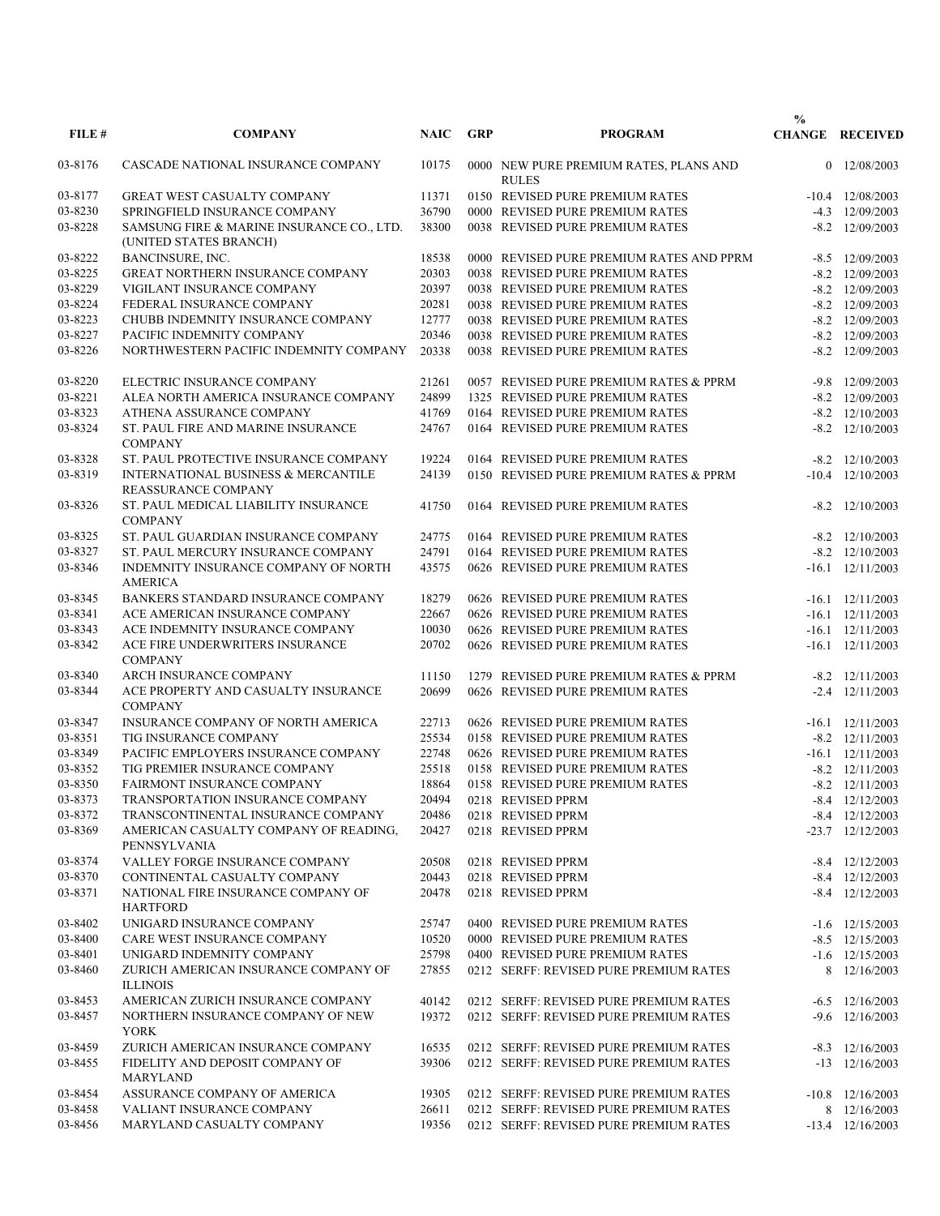|         |                                                                     |             |            |                                                        | $\frac{0}{0}$ |                        |
|---------|---------------------------------------------------------------------|-------------|------------|--------------------------------------------------------|---------------|------------------------|
| FILE#   | <b>COMPANY</b>                                                      | <b>NAIC</b> | <b>GRP</b> | <b>PROGRAM</b>                                         |               | <b>CHANGE RECEIVED</b> |
| 03-8176 | CASCADE NATIONAL INSURANCE COMPANY                                  | 10175       |            | 0000 NEW PURE PREMIUM RATES, PLANS AND<br><b>RULES</b> |               | 0 12/08/2003           |
| 03-8177 | <b>GREAT WEST CASUALTY COMPANY</b>                                  | 11371       |            | 0150 REVISED PURE PREMIUM RATES                        |               | $-10.4$ $12/08/2003$   |
| 03-8230 | SPRINGFIELD INSURANCE COMPANY                                       | 36790       |            | 0000 REVISED PURE PREMIUM RATES                        |               | $-4.3$ $12/09/2003$    |
| 03-8228 | SAMSUNG FIRE & MARINE INSURANCE CO., LTD.<br>(UNITED STATES BRANCH) | 38300       |            | 0038 REVISED PURE PREMIUM RATES                        |               | $-8.2$ 12/09/2003      |
| 03-8222 | BANCINSURE, INC.                                                    | 18538       |            | 0000 REVISED PURE PREMIUM RATES AND PPRM               |               | $-8.5$ 12/09/2003      |
| 03-8225 | GREAT NORTHERN INSURANCE COMPANY                                    | 20303       |            | 0038 REVISED PURE PREMIUM RATES                        |               | $-8.2$ 12/09/2003      |
| 03-8229 | VIGILANT INSURANCE COMPANY                                          | 20397       |            | 0038 REVISED PURE PREMIUM RATES                        |               | $-8.2$ 12/09/2003      |
| 03-8224 | FEDERAL INSURANCE COMPANY                                           | 20281       |            | 0038 REVISED PURE PREMIUM RATES                        |               | $-8.2$ 12/09/2003      |
| 03-8223 | CHUBB INDEMNITY INSURANCE COMPANY                                   | 12777       |            | 0038 REVISED PURE PREMIUM RATES                        |               | $-8.2$ $12/09/2003$    |
| 03-8227 | PACIFIC INDEMNITY COMPANY                                           | 20346       |            | 0038 REVISED PURE PREMIUM RATES                        |               | $-8.2$ 12/09/2003      |
| 03-8226 | NORTHWESTERN PACIFIC INDEMNITY COMPANY                              | 20338       |            | 0038 REVISED PURE PREMIUM RATES                        |               | $-8.2$ 12/09/2003      |
| 03-8220 | ELECTRIC INSURANCE COMPANY                                          | 21261       |            | 0057 REVISED PURE PREMIUM RATES & PPRM                 |               | $-9.8$ 12/09/2003      |
| 03-8221 | ALEA NORTH AMERICA INSURANCE COMPANY                                | 24899       |            | 1325 REVISED PURE PREMIUM RATES                        |               | $-8.2$ 12/09/2003      |
| 03-8323 | ATHENA ASSURANCE COMPANY                                            | 41769       |            | 0164 REVISED PURE PREMIUM RATES                        |               | $-8.2$ $12/10/2003$    |
| 03-8324 | ST. PAUL FIRE AND MARINE INSURANCE<br><b>COMPANY</b>                | 24767       |            | 0164 REVISED PURE PREMIUM RATES                        |               | $-8.2$ $12/10/2003$    |
| 03-8328 | ST. PAUL PROTECTIVE INSURANCE COMPANY                               | 19224       |            | 0164 REVISED PURE PREMIUM RATES                        |               | $-8.2$ $12/10/2003$    |
| 03-8319 | INTERNATIONAL BUSINESS & MERCANTILE<br><b>REASSURANCE COMPANY</b>   | 24139       |            | 0150 REVISED PURE PREMIUM RATES & PPRM                 |               | $-10.4$ $12/10/2003$   |
| 03-8326 | ST. PAUL MEDICAL LIABILITY INSURANCE<br><b>COMPANY</b>              | 41750       |            | 0164 REVISED PURE PREMIUM RATES                        |               | $-8.2$ 12/10/2003      |
| 03-8325 | ST. PAUL GUARDIAN INSURANCE COMPANY                                 | 24775       |            | 0164 REVISED PURE PREMIUM RATES                        |               | $-8.2$ $12/10/2003$    |
| 03-8327 | ST. PAUL MERCURY INSURANCE COMPANY                                  | 24791       |            | 0164 REVISED PURE PREMIUM RATES                        |               | $-8.2$ 12/10/2003      |
| 03-8346 | INDEMNITY INSURANCE COMPANY OF NORTH<br><b>AMERICA</b>              | 43575       |            | 0626 REVISED PURE PREMIUM RATES                        |               | $-16.1$ $12/11/2003$   |
| 03-8345 | BANKERS STANDARD INSURANCE COMPANY                                  | 18279       |            | 0626 REVISED PURE PREMIUM RATES                        |               | $-16.1$ $12/11/2003$   |
| 03-8341 | ACE AMERICAN INSURANCE COMPANY                                      | 22667       |            | 0626 REVISED PURE PREMIUM RATES                        |               | $-16.1$ $12/11/2003$   |
| 03-8343 | ACE INDEMNITY INSURANCE COMPANY                                     | 10030       |            | 0626 REVISED PURE PREMIUM RATES                        |               | $-16.1$ $12/11/2003$   |
| 03-8342 | ACE FIRE UNDERWRITERS INSURANCE<br><b>COMPANY</b>                   | 20702       |            | 0626 REVISED PURE PREMIUM RATES                        |               | $-16.1$ $12/11/2003$   |
| 03-8340 | ARCH INSURANCE COMPANY                                              | 11150       |            | 1279 REVISED PURE PREMIUM RATES & PPRM                 |               | $-8.2$ $12/11/2003$    |
| 03-8344 | ACE PROPERTY AND CASUALTY INSURANCE<br><b>COMPANY</b>               | 20699       |            | 0626 REVISED PURE PREMIUM RATES                        |               | $-2.4$ $12/11/2003$    |
| 03-8347 | INSURANCE COMPANY OF NORTH AMERICA                                  | 22713       |            | 0626 REVISED PURE PREMIUM RATES                        |               | $-16.1$ $12/11/2003$   |
| 03-8351 | TIG INSURANCE COMPANY                                               | 25534       |            | 0158 REVISED PURE PREMIUM RATES                        |               | $-8.2$ $12/11/2003$    |
| 03-8349 | PACIFIC EMPLOYERS INSURANCE COMPANY                                 | 22748       |            | 0626 REVISED PURE PREMIUM RATES                        |               | $-16.1$ $12/11/2003$   |
| 03-8352 | TIG PREMIER INSURANCE COMPANY                                       | 25518       |            | 0158 REVISED PURE PREMIUM RATES                        |               | $-8.2$ $12/11/2003$    |
| 03-8350 | <b>FAIRMONT INSURANCE COMPANY</b>                                   | 18864       |            | 0158 REVISED PURE PREMIUM RATES                        |               | $-8.2$ $12/11/2003$    |
| 03-8373 | TRANSPORTATION INSURANCE COMPANY                                    | 20494       |            | 0218 REVISED PPRM                                      |               | $-8.4$ $12/12/2003$    |
| 03-8372 | TRANSCONTINENTAL INSURANCE COMPANY                                  | 20486       |            | 0218 REVISED PPRM                                      |               | $-8.4$ 12/12/2003      |
| 03-8369 | AMERICAN CASUALTY COMPANY OF READING,<br>PENNSYLVANIA               | 20427       |            | 0218 REVISED PPRM                                      |               | $-23.7$ $12/12/2003$   |
| 03-8374 | VALLEY FORGE INSURANCE COMPANY                                      | 20508       |            | 0218 REVISED PPRM                                      |               | $-8.4$ $12/12/2003$    |
| 03-8370 | CONTINENTAL CASUALTY COMPANY                                        | 20443       |            | 0218 REVISED PPRM                                      |               | $-8.4$ 12/12/2003      |
| 03-8371 | NATIONAL FIRE INSURANCE COMPANY OF<br><b>HARTFORD</b>               | 20478       |            | 0218 REVISED PPRM                                      |               | $-8.4$ $12/12/2003$    |
| 03-8402 | UNIGARD INSURANCE COMPANY                                           | 25747       |            | 0400 REVISED PURE PREMIUM RATES                        |               | $-1.6$ 12/15/2003      |
| 03-8400 | CARE WEST INSURANCE COMPANY                                         | 10520       |            | 0000 REVISED PURE PREMIUM RATES                        |               | $-8.5$ 12/15/2003      |
| 03-8401 | UNIGARD INDEMNITY COMPANY                                           | 25798       |            | 0400 REVISED PURE PREMIUM RATES                        |               | $-1.6$ 12/15/2003      |
| 03-8460 | ZURICH AMERICAN INSURANCE COMPANY OF<br><b>ILLINOIS</b>             | 27855       |            | 0212 SERFF: REVISED PURE PREMIUM RATES                 |               | 8 12/16/2003           |
| 03-8453 | AMERICAN ZURICH INSURANCE COMPANY                                   | 40142       |            | 0212 SERFF: REVISED PURE PREMIUM RATES                 |               | $-6.5$ 12/16/2003      |
| 03-8457 | NORTHERN INSURANCE COMPANY OF NEW<br><b>YORK</b>                    | 19372       |            | 0212 SERFF: REVISED PURE PREMIUM RATES                 |               | $-9.6$ $12/16/2003$    |
| 03-8459 | ZURICH AMERICAN INSURANCE COMPANY                                   | 16535       |            | 0212 SERFF: REVISED PURE PREMIUM RATES                 |               | $-8.3$ $12/16/2003$    |
| 03-8455 | FIDELITY AND DEPOSIT COMPANY OF<br><b>MARYLAND</b>                  | 39306       |            | 0212 SERFF: REVISED PURE PREMIUM RATES                 |               | $-13$ $12/16/2003$     |
| 03-8454 | ASSURANCE COMPANY OF AMERICA                                        | 19305       |            | 0212 SERFF: REVISED PURE PREMIUM RATES                 |               | $-10.8$ $12/16/2003$   |
| 03-8458 | VALIANT INSURANCE COMPANY                                           | 26611       |            | 0212 SERFF: REVISED PURE PREMIUM RATES                 |               | 8 12/16/2003           |
| 03-8456 | MARYLAND CASUALTY COMPANY                                           | 19356       |            | 0212 SERFF: REVISED PURE PREMIUM RATES                 |               | $-13.4$ $12/16/2003$   |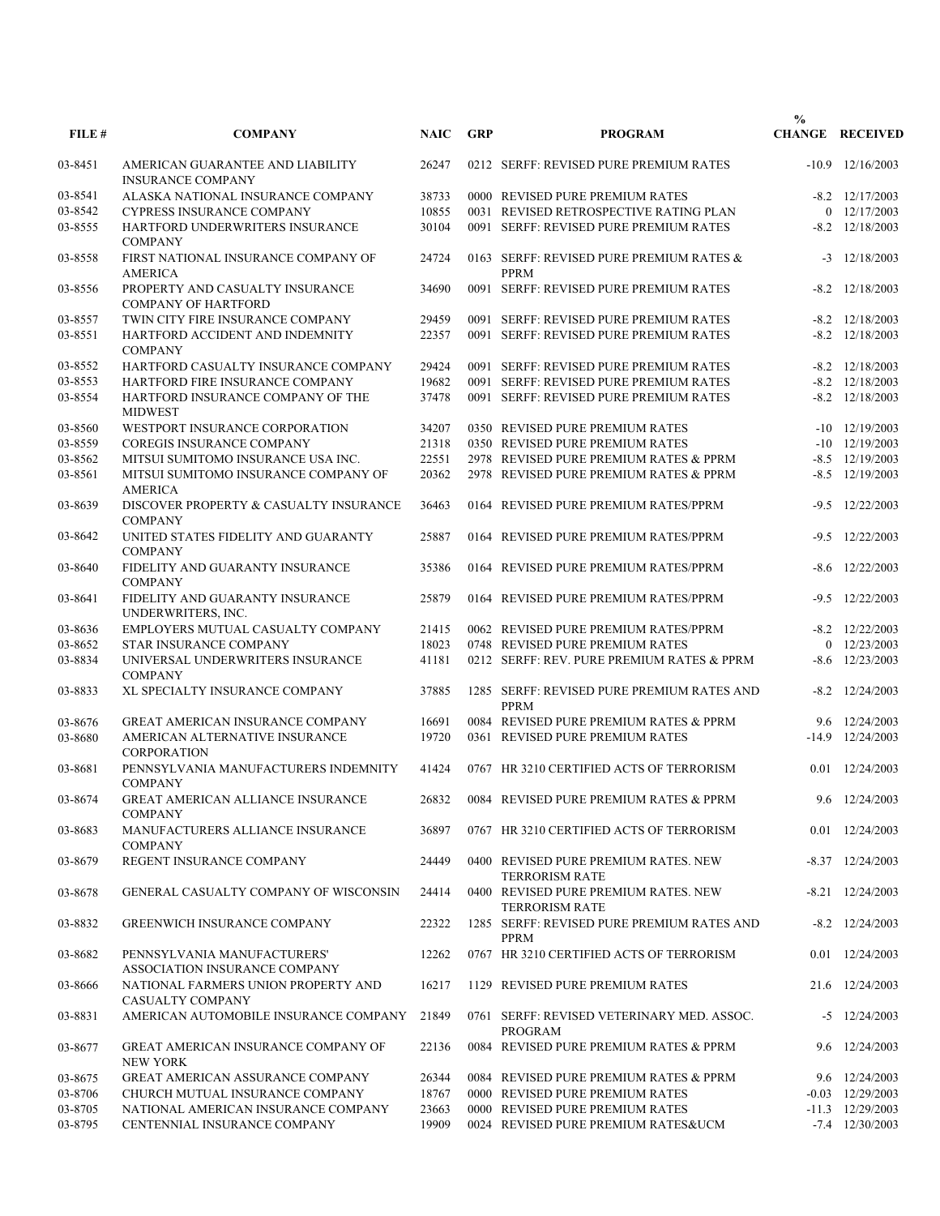| FILE#              | <b>COMPANY</b>                                                       | <b>NAIC</b> | <b>GRP</b> | <b>PROGRAM</b>                                                | $\frac{0}{0}$ | <b>CHANGE RECEIVED</b> |
|--------------------|----------------------------------------------------------------------|-------------|------------|---------------------------------------------------------------|---------------|------------------------|
| 03-8451            | AMERICAN GUARANTEE AND LIABILITY                                     | 26247       |            | 0212 SERFF: REVISED PURE PREMIUM RATES                        |               | $-10.9$ $12/16/2003$   |
| 03-8541            | <b>INSURANCE COMPANY</b><br>ALASKA NATIONAL INSURANCE COMPANY        | 38733       |            | 0000 REVISED PURE PREMIUM RATES                               |               | $-8.2$ $12/17/2003$    |
| 03-8542            | <b>CYPRESS INSURANCE COMPANY</b>                                     | 10855       |            | 0031 REVISED RETROSPECTIVE RATING PLAN                        |               | $0$ 12/17/2003         |
|                    |                                                                      |             |            |                                                               |               |                        |
| 03-8555            | HARTFORD UNDERWRITERS INSURANCE<br><b>COMPANY</b>                    | 30104       |            | 0091 SERFF: REVISED PURE PREMIUM RATES                        |               | $-8.2$ $12/18/2003$    |
| 03-8558            | FIRST NATIONAL INSURANCE COMPANY OF<br><b>AMERICA</b>                | 24724       |            | 0163 SERFF: REVISED PURE PREMIUM RATES &<br>PPRM              | $-3$          | 12/18/2003             |
| 03-8556            | PROPERTY AND CASUALTY INSURANCE<br><b>COMPANY OF HARTFORD</b>        | 34690       |            | 0091 SERFF: REVISED PURE PREMIUM RATES                        |               | $-8.2$ $12/18/2003$    |
| 03-8557            | TWIN CITY FIRE INSURANCE COMPANY                                     | 29459       |            | 0091 SERFF: REVISED PURE PREMIUM RATES                        |               | $-8.2$ $12/18/2003$    |
| 03-8551            | HARTFORD ACCIDENT AND INDEMNITY<br><b>COMPANY</b>                    | 22357       |            | 0091 SERFF: REVISED PURE PREMIUM RATES                        |               | $-8.2$ $12/18/2003$    |
| 03-8552            | HARTFORD CASUALTY INSURANCE COMPANY                                  | 29424       |            | 0091 SERFF: REVISED PURE PREMIUM RATES                        |               | $-8.2$ $12/18/2003$    |
| 03-8553            | HARTFORD FIRE INSURANCE COMPANY                                      | 19682       |            | 0091 SERFF: REVISED PURE PREMIUM RATES                        |               | $-8.2$ $12/18/2003$    |
| 03-8554            | HARTFORD INSURANCE COMPANY OF THE                                    | 37478       |            | 0091 SERFF: REVISED PURE PREMIUM RATES                        |               | $-8.2$ $12/18/2003$    |
|                    | <b>MIDWEST</b>                                                       |             |            |                                                               |               |                        |
| 03-8560            | WESTPORT INSURANCE CORPORATION                                       | 34207       |            | 0350 REVISED PURE PREMIUM RATES                               | $-10$         | 12/19/2003             |
| 03-8559            | <b>COREGIS INSURANCE COMPANY</b>                                     | 21318       |            | 0350 REVISED PURE PREMIUM RATES                               |               | $-10$ $12/19/2003$     |
| 03-8562            | MITSUI SUMITOMO INSURANCE USA INC.                                   | 22551       |            | 2978 REVISED PURE PREMIUM RATES & PPRM                        |               | $-8.5$ 12/19/2003      |
| 03-8561            | MITSUI SUMITOMO INSURANCE COMPANY OF<br><b>AMERICA</b>               | 20362       |            | 2978 REVISED PURE PREMIUM RATES & PPRM                        |               | $-8.5$ 12/19/2003      |
| 03-8639            | DISCOVER PROPERTY & CASUALTY INSURANCE<br><b>COMPANY</b>             | 36463       |            | 0164 REVISED PURE PREMIUM RATES/PPRM                          | $-9.5$        | 12/22/2003             |
| 03-8642            | UNITED STATES FIDELITY AND GUARANTY<br><b>COMPANY</b>                | 25887       |            | 0164 REVISED PURE PREMIUM RATES/PPRM                          | $-9.5$        | 12/22/2003             |
| 03-8640            | FIDELITY AND GUARANTY INSURANCE<br><b>COMPANY</b>                    | 35386       |            | 0164 REVISED PURE PREMIUM RATES/PPRM                          | -8.6          | 12/22/2003             |
| 03-8641            | FIDELITY AND GUARANTY INSURANCE<br>UNDERWRITERS, INC.                | 25879       |            | 0164 REVISED PURE PREMIUM RATES/PPRM                          | $-9.5$        | 12/22/2003             |
| 03-8636            | EMPLOYERS MUTUAL CASUALTY COMPANY                                    | 21415       |            | 0062 REVISED PURE PREMIUM RATES/PPRM                          |               | $-8.2$ $12/22/2003$    |
| 03-8652            | STAR INSURANCE COMPANY                                               | 18023       |            | 0748 REVISED PURE PREMIUM RATES                               |               | $0$ 12/23/2003         |
| 03-8834            | UNIVERSAL UNDERWRITERS INSURANCE                                     | 41181       |            | 0212 SERFF: REV. PURE PREMIUM RATES & PPRM                    |               | $-8.6$ 12/23/2003      |
|                    | <b>COMPANY</b>                                                       |             |            |                                                               |               |                        |
| 03-8833            | XL SPECIALTY INSURANCE COMPANY                                       | 37885       |            | 1285 SERFF: REVISED PURE PREMIUM RATES AND<br><b>PPRM</b>     |               | $-8.2$ $12/24/2003$    |
|                    | <b>GREAT AMERICAN INSURANCE COMPANY</b>                              | 16691       |            | 0084 REVISED PURE PREMIUM RATES & PPRM                        |               | 9.6 12/24/2003         |
| 03-8676<br>03-8680 | AMERICAN ALTERNATIVE INSURANCE<br><b>CORPORATION</b>                 | 19720       |            | 0361 REVISED PURE PREMIUM RATES                               |               | $-14.9$ $12/24/2003$   |
| 03-8681            | PENNSYLVANIA MANUFACTURERS INDEMNITY<br><b>COMPANY</b>               | 41424       |            | 0767 HR 3210 CERTIFIED ACTS OF TERRORISM                      |               | 0.01 12/24/2003        |
| 03-8674            | GREAT AMERICAN ALLIANCE INSURANCE<br><b>COMPANY</b>                  |             |            | 26832 0084 REVISED PURE PREMIUM RATES & PPRM                  |               | 9.6 12/24/2003         |
| 03-8683            | MANUFACTURERS ALLIANCE INSURANCE<br><b>COMPANY</b>                   | 36897       |            | 0767 HR 3210 CERTIFIED ACTS OF TERRORISM                      |               | 0.01 12/24/2003        |
| 03-8679            | REGENT INSURANCE COMPANY                                             | 24449       |            | 0400 REVISED PURE PREMIUM RATES. NEW<br><b>TERRORISM RATE</b> |               | $-8.37$ $12/24/2003$   |
| 03-8678            | GENERAL CASUALTY COMPANY OF WISCONSIN                                | 24414       |            | 0400 REVISED PURE PREMIUM RATES. NEW<br><b>TERRORISM RATE</b> |               | $-8.21$ $12/24/2003$   |
| 03-8832            | <b>GREENWICH INSURANCE COMPANY</b>                                   | 22322       |            | 1285 SERFF: REVISED PURE PREMIUM RATES AND<br>PPRM            |               | $-8.2$ 12/24/2003      |
| 03-8682            | PENNSYLVANIA MANUFACTURERS'                                          | 12262       |            | 0767 HR 3210 CERTIFIED ACTS OF TERRORISM                      |               | 0.01 12/24/2003        |
| 03-8666            | ASSOCIATION INSURANCE COMPANY<br>NATIONAL FARMERS UNION PROPERTY AND | 16217       |            | 1129 REVISED PURE PREMIUM RATES                               |               | 21.6 12/24/2003        |
| 03-8831            | <b>CASUALTY COMPANY</b><br>AMERICAN AUTOMOBILE INSURANCE COMPANY     | 21849       |            | 0761 SERFF: REVISED VETERINARY MED. ASSOC.                    |               | $-5$ 12/24/2003        |
| 03-8677            | GREAT AMERICAN INSURANCE COMPANY OF<br><b>NEW YORK</b>               | 22136       |            | PROGRAM<br>0084 REVISED PURE PREMIUM RATES & PPRM             |               | 9.6 12/24/2003         |
| 03-8675            | <b>GREAT AMERICAN ASSURANCE COMPANY</b>                              | 26344       |            | 0084 REVISED PURE PREMIUM RATES & PPRM                        |               | 9.6 12/24/2003         |
| 03-8706            | CHURCH MUTUAL INSURANCE COMPANY                                      | 18767       |            | 0000 REVISED PURE PREMIUM RATES                               |               | $-0.03$ $12/29/2003$   |
|                    | NATIONAL AMERICAN INSURANCE COMPANY                                  | 23663       |            | 0000 REVISED PURE PREMIUM RATES                               |               | $-11.3$ $12/29/2003$   |
| 03-8705            |                                                                      |             |            |                                                               |               |                        |
| 03-8795            | CENTENNIAL INSURANCE COMPANY                                         | 19909       |            | 0024 REVISED PURE PREMIUM RATES&UCM                           |               | $-7.4$ 12/30/2003      |